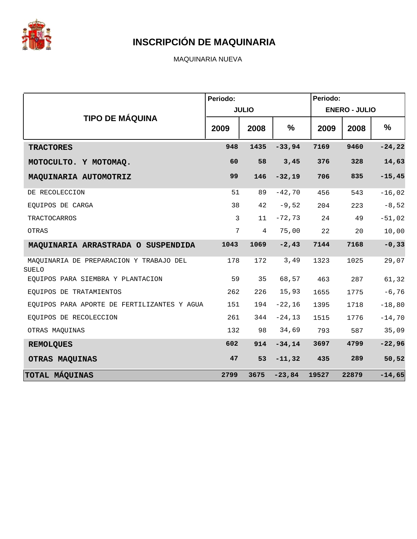

MAQUINARIA NUEVA

|                                                         | Periodo: | <b>JULIO</b>   |               | Periodo:<br><b>ENERO - JULIO</b> |       |           |  |
|---------------------------------------------------------|----------|----------------|---------------|----------------------------------|-------|-----------|--|
| <b>TIPO DE MÁQUINA</b>                                  | 2009     | 2008           | $\frac{0}{0}$ | 2009                             | 2008  | $\%$      |  |
| <b>TRACTORES</b>                                        | 948      | 1435           | $-33,94$      | 7169                             | 9460  | $-24, 22$ |  |
| MOTOCULTO. Y MOTOMAQ.                                   | 60       | 58             | 3,45          | 376                              | 328   | 14,63     |  |
| MAQUINARIA AUTOMOTRIZ                                   | 99       | 146            | $-32,19$      | 706                              | 835   | $-15,45$  |  |
| DE RECOLECCION                                          | 51       | 89             | $-42,70$      | 456                              | 543   | $-16,02$  |  |
| EOUIPOS DE CARGA                                        | 38       | 42             | $-9,52$       | 204                              | 223   | $-8,52$   |  |
| TRACTOCARROS                                            | 3        | 11             | $-72,73$      | 24                               | 49    | $-51,02$  |  |
| OTRAS                                                   | 7        | $\overline{4}$ | 75,00         | 22                               | 20    | 10,00     |  |
| MAQUINARIA ARRASTRADA O SUSPENDIDA                      | 1043     | 1069           | $-2, 43$      | 7144                             | 7168  | $-0, 33$  |  |
| MAQUINARIA DE PREPARACION Y TRABAJO DEL<br><b>SUELO</b> | 178      | 172            | 3,49          | 1323                             | 1025  | 29,07     |  |
| EQUIPOS PARA SIEMBRA Y PLANTACION                       | 59       | 35             | 68,57         | 463                              | 287   | 61,32     |  |
| EOUIPOS DE TRATAMIENTOS                                 | 262      | 226            | 15,93         | 1655                             | 1775  | $-6,76$   |  |
| EQUIPOS PARA APORTE DE FERTILIZANTES Y AGUA             | 151      | 194            | $-22,16$      | 1395                             | 1718  | $-18,80$  |  |
| EQUIPOS DE RECOLECCION                                  | 261      | 344            | $-24,13$      | 1515                             | 1776  | $-14,70$  |  |
| OTRAS MAQUINAS                                          | 132      | 98             | 34,69         | 793                              | 587   | 35,09     |  |
| <b>REMOLQUES</b>                                        | 602      | 914            | $-34, 14$     | 3697                             | 4799  | $-22,96$  |  |
| OTRAS MAQUINAS                                          | 47       | 53             | $-11, 32$     | 435                              | 289   | 50,52     |  |
| <b>TOTAL MÁQUINAS</b>                                   | 2799     | 3675           | $-23,84$      | 19527                            | 22879 | $-14,65$  |  |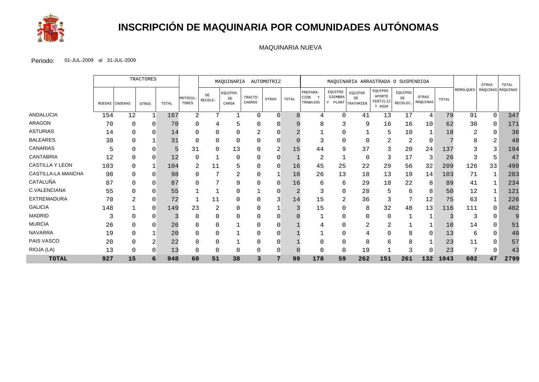

# **INSCRIPCIÓN DE MAQUINARIA POR COMUNIDADES AUTÓNOMAS**

#### MAQUINARIA NUEVA

|                        |        | TRACTORES      |          |       | MAOUINARIA<br>AUTOMOTRIZ |                |                        | MAQUINARIA ARRASTRADA O SUSPENDIDA |       |              |                                          |                    |                                    |                                         | OTRAS                     | TOTAL             |       |           |          |                   |
|------------------------|--------|----------------|----------|-------|--------------------------|----------------|------------------------|------------------------------------|-------|--------------|------------------------------------------|--------------------|------------------------------------|-----------------------------------------|---------------------------|-------------------|-------|-----------|----------|-------------------|
|                        | RUEDAS | <b>CADENAS</b> | OTROS    | TOTAL | MOTOCUL<br>TORES         | DE<br>RECOLE-  | EQUIPOS<br>DE<br>CARGA | TRACTO-<br>CARROS                  | OTRAS | TOTAL        | PREPARA-<br>CIÓN<br><b>V</b><br>TRABAJOS | EQUIPOS<br>SIEMBRA | EQUIPOS<br>DE<br>Y PLANT TRATAMIEN | EQUIPOS<br>APORTE<br>FERTILIZ<br>Y AGUA | EQUIPOS<br>DE<br>RECOLEC. | OTRAS<br>MÁQUINAS | TOTAL | REMOLQUES |          | MÁQUINAS MÁQUINAS |
| <b>ANDALUCIA</b>       | 154    | 12             |          | 167   | 2                        | 7              |                        | $\Omega$                           |       | $\mathsf{R}$ | 4                                        | 0                  | 41                                 | 13                                      | 17                        | 4                 | 79    | 91        | $\Omega$ | 347               |
| <b>ARAGON</b>          | 70     | 0              | 0        | 70    | $\Omega$                 | 4              |                        | 0                                  |       |              | 8                                        | 3                  | 9                                  | 16                                      | 16                        | 10                | 62    | 30        | O        | 17 <sub>1</sub>   |
| <b>ASTURIAS</b>        | 14     | U              |          | 14    |                          |                |                        |                                    |       |              |                                          | 0                  |                                    | 5                                       | 10                        |                   | 18    | 2         | 0        | 36                |
| <b>BALEARES</b>        | 30     |                |          | 31    |                          |                | 0                      |                                    |       |              |                                          | 0                  |                                    | ⌒<br>∠                                  | 2                         |                   |       | 8         | ⌒<br>∠   | 48                |
| <b>CANARIAS</b>        |        | U              |          |       | 31                       | $\Omega$       | 13                     |                                    |       | 15           | 44                                       | 9                  | 37                                 |                                         | 20                        | 24                | 137   |           |          | 194               |
| <b>CANTABRIA</b>       | 12     | 0              |          | 12    | 0                        |                | 0                      | 0                                  |       |              | $\overline{2}$                           |                    | $\Omega$                           | 3                                       | 17                        |                   | 26    | 3         | 5        | 47                |
| <b>CASTILLA Y LEON</b> | 103    | 0              |          | 104   | 2                        | 11             |                        |                                    |       | 16           | 45                                       | 25                 | 22                                 | 29                                      | 56                        | 32                | 209   | 126       | 33       | 490               |
| CASTILLA-LA MANCHA     | 98     | 0              |          | 98    |                          |                | ⌒<br>∠                 | 0                                  |       | 10           | 26                                       | 13                 | 18                                 | 13                                      | 19                        | 14                | 103   | 71        |          | 283               |
| CATALUÑA               | 87     | 0              |          | 87    |                          | 7              | 9                      | 0                                  | ∩     | 16           | 6                                        | 6                  | 29                                 | 18                                      | 22                        | 8                 | 89    | 41        |          | 234               |
| C.VALENCIANA           | 55     |                |          | 55    |                          |                |                        |                                    |       |              | 3                                        | 0                  | 28                                 | 5                                       | 6                         | 8                 | 50    | 12        |          | 12 <sub>1</sub>   |
| <b>EXTREMADURA</b>     | 70     |                | $\left($ | 72    |                          | 11             |                        |                                    |       | 14           | 15                                       | 2                  | 36                                 |                                         |                           | 12                | 75    | 63        |          | 226               |
| <b>GALICIA</b>         | 148    |                | $\Omega$ | 149   | 23                       | $\overline{2}$ | 0                      | 0                                  |       |              | 15                                       | 0                  | 8                                  | 32                                      | 48                        | 13                | 116   | 111       | O        | 402               |
| <b>MADRID</b>          |        |                |          |       |                          | 0              |                        |                                    |       |              |                                          |                    |                                    | 0                                       |                           |                   |       | 3         | 0        |                   |
| <b>MURCIA</b>          | 26     |                |          | 26    |                          |                |                        |                                    |       |              |                                          | 0                  |                                    | ∠                                       |                           |                   | 10    | 14        |          | 51                |
| <b>NAVARRA</b>         | 19     | O              |          | 20    |                          |                |                        | U                                  |       |              |                                          | 0                  |                                    |                                         | 8                         | U                 | 13    | 6         | U        | 40                |
| PAIS VASCO             | 20     |                |          | 22    |                          |                |                        |                                    |       |              |                                          |                    |                                    | 6                                       | 8                         |                   | 23    | 11        | 0        | 57                |
| RIOJA (LA)             | 13     | 0              |          | 13    |                          | $\Omega$       |                        |                                    |       |              | $\Omega$                                 | 0                  | 19                                 |                                         |                           |                   | 23    |           |          | 43                |
| <b>TOTAL</b>           | 927    | 15             | 6        | 948   | 60                       | 51             | 38                     | 3                                  | 7     | 99           | 178                                      | 59                 | 262                                | 151                                     | 261                       | 132               | 1043  | 602       | 47       | 2799              |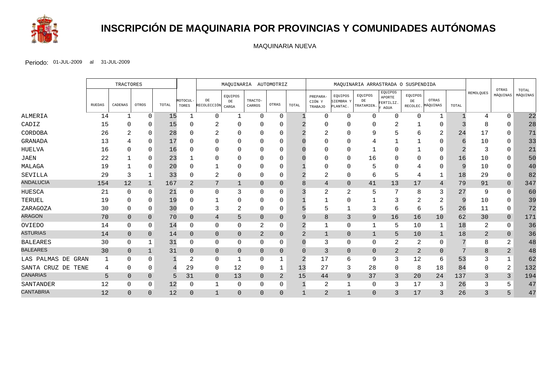

# **INSCRIPCIÓN DE MAQUINARIA POR PROVINCIAS Y COMUNIDADES AUTÓNOMAS**

MAQUINARIA NUEVA

|                       |               | <b>TRACTORES</b> |              |       | MAQUINARIA AUTOMOTRIZ |                         |                       |                   | MAQUINARIA ARRASTRADA O SUSPENDIDA |                |                               |                                  |                             |                                        |               |                            |          |                |                   |                   |
|-----------------------|---------------|------------------|--------------|-------|-----------------------|-------------------------|-----------------------|-------------------|------------------------------------|----------------|-------------------------------|----------------------------------|-----------------------------|----------------------------------------|---------------|----------------------------|----------|----------------|-------------------|-------------------|
|                       | <b>RUEDAS</b> | CADENAS          | OTROS        | TOTAL | MOTOCUL-<br>TORES     | DE<br>RECOLECCIÓN CARGA | EQUIPOS<br>${\rm DE}$ | TRACTO-<br>CARROS | OTRAS                              | TOTAL          | PREPARA-<br>CIÓN Y<br>TRABAJO | EQUIPOS<br>SIEMBRA Y<br>PLANTAC. | EQUIPOS<br>DE<br>TRATAMIEN. | EQUIPOS<br>APORTE<br>FERTILIZ.<br>AGUA | EQUIPOS<br>DE | OTRAS<br>RECOLEC. MÁQUINAS | TOTAL    | REMOLQUES      | OTRAS<br>MÁQUINAS | TOTAL<br>MÁQUINAS |
| ALMERIA               | 14            | -1               | $\Omega$     | 15    |                       | 0                       |                       | 0                 | $\Omega$                           |                | ∩                             | $\Omega$                         | 0                           | 0                                      | $\Omega$      |                            |          | 4              | $\Omega$          | 22                |
| CADIZ                 | 15            |                  | <sup>0</sup> | 15    |                       |                         |                       |                   |                                    |                |                               |                                  |                             |                                        |               | $\Omega$                   |          |                |                   | 28                |
| CORDOBA               | 26            |                  | $\Omega$     | 28    |                       | 2                       |                       | ∩                 |                                    |                |                               |                                  | q                           | 5                                      |               | 2                          | 24       | 17             | $\Omega$          | 71                |
| GRANADA               | 13            |                  | <sup>0</sup> | 17    |                       | 0                       |                       | O                 |                                    |                |                               |                                  |                             |                                        |               | $\left($                   |          | 10             |                   | 33                |
| HUELVA                | 16            |                  | $\Omega$     | 16    |                       | 0                       |                       |                   |                                    |                |                               |                                  |                             | $\Omega$                               |               | $\Omega$                   |          | 3              | 0                 | 21                |
| <b>JAEN</b>           | 22            |                  | $\Omega$     | 23    |                       | 0                       | O                     | 0                 |                                    |                |                               | $\Omega$                         | 16                          | $\Omega$                               |               | $\Omega$                   | 16       | 10             |                   | 50                |
| MALAGA                | 19            |                  | $\Omega$     | 20    |                       |                         |                       |                   |                                    |                |                               | $\Omega$                         |                             | $\Omega$                               |               | $\Omega$                   | $\Omega$ | 10             | $\Omega$          | 40                |
| SEVILLA               | 29            |                  |              | 33    |                       | 2                       | 0                     | 0                 | 0                                  |                | 2                             | 0                                | h                           | 5                                      | 4             |                            | 18       | 29             | 0                 | 82                |
| <b>ANDALUCIA</b>      | 154           | 12               | -1           | 167   | 2                     | 7                       | -1                    | $\Omega$          | $\Omega$                           |                | $\overline{4}$                | $\Omega$                         | 41                          | 13                                     | 17            | 4                          | 79       | 91             | $\overline{0}$    | 347               |
| HUESCA                | 21            | $\Omega$         | $\Omega$     | 21    |                       | 0                       |                       | $\Omega$          |                                    |                | $\overline{2}$                | 2                                | 5                           | 7                                      | 8             | 3                          | 27       | 9              | $\Omega$          | 60                |
| TERUEL                | 19            |                  | $\Omega$     | 19    |                       |                         |                       | 0                 |                                    |                |                               |                                  |                             | 3                                      |               | 2                          |          | 10             | 0                 | 39                |
| ZARAGOZA              | 30            | $\Omega$         | $\Omega$     | 30    |                       | 3                       | 2                     | 0                 | 0                                  |                |                               |                                  |                             | 6                                      | $\mathsf{b}$  | 5                          | 26       | 11             | 0                 | 72                |
| <b>ARAGON</b>         | 70            | $\overline{0}$   | $\Omega$     | 70    | $\Omega$              | 4                       | 5                     | $\Omega$          | $\Omega$                           |                | 8                             | 3                                | 9                           | 16                                     | 16            | 10                         | 62       | 30             | $\overline{0}$    | 171               |
| OVIEDO                | 14            | 0                | 0            | 14    | $\Omega$              | 0                       | 0                     | 2                 | 0                                  |                |                               | $\Omega$                         |                             | 5                                      | 10            |                            | 18       | 2              | $\Omega$          | 36                |
| <b>ASTURIAS</b>       | 14            | $\overline{0}$   | $\Omega$     | 14    | $\Omega$              | $\mathbf 0$             | $\Omega$              | $\overline{2}$    | $\Omega$                           | $\overline{2}$ | $\mathbf{1}$                  | $\Omega$                         | $\mathbf{1}$                | 5                                      | 10            |                            | 18       | $\overline{2}$ | $\Omega$          | 36                |
| <b>BALEARES</b>       | 30            | 0                |              | 31    | $\Omega$              | 0                       | $\Omega$              | 0                 | 0                                  |                | 3                             | $\Omega$                         | $\Omega$                    | $\overline{2}$                         | 2             | 0                          |          | 8              | $\overline{2}$    | 48                |
| <b>BALEARES</b>       | 30            | $\Omega$         | $\mathbf{1}$ | 31    | $\mathbf{0}$          | $\mathbf 0$             | $\mathbf{0}$          | 0                 | $\overline{0}$                     | $\Omega$       | 3                             | $\overline{0}$                   | $\overline{0}$              | 2                                      | 2             | $\Omega$                   |          | 8              | 2                 | 48                |
| LAS PALMAS DE GRAN    | 1             | $\Omega$         | $\Omega$     |       | $\overline{2}$        | $\mathbf{0}$            | -1                    | 0                 |                                    |                | 17                            | 6                                | 9                           | 3                                      | 12            | 6                          | 53       | 3              |                   | 62                |
| SANTA CRUZ DE<br>TENE | 4             | 0                | $\Omega$     |       | 29                    | 0                       | 12                    | 0                 |                                    | 13             | 27                            | 3                                | 28                          | $\Omega$                               | 8             | 18                         | 84       |                | 2                 | 132               |
| <b>CANARIAS</b>       | 5             | $\Omega$         | $\Omega$     | 5     | 31                    | $\mathbf 0$             | 13                    | $\Omega$          | $\overline{2}$                     | 15             | 44                            | 9                                | 37                          | 3                                      | 20            | 24                         | 137      | 3              | 3                 | 194               |
| SANTANDER             | 12            | 0                | 0            | 12    | $\Omega$              | 1                       | $\Omega$              | 0                 | 0                                  |                | $\overline{2}$                |                                  | 0                           | 3                                      | 17            | 3                          | 26       | 3              |                   | 47                |
| <b>CANTABRIA</b>      | 12            | $\Omega$         | $\Omega$     | 12    | $\Omega$              | $\mathbf{1}$            | $\Omega$              | $\Omega$          | $\Omega$                           |                | 2                             | $\mathbf{1}$                     | $\Omega$                    | 3                                      | 17            | 3                          | 26       | 3              |                   | 47                |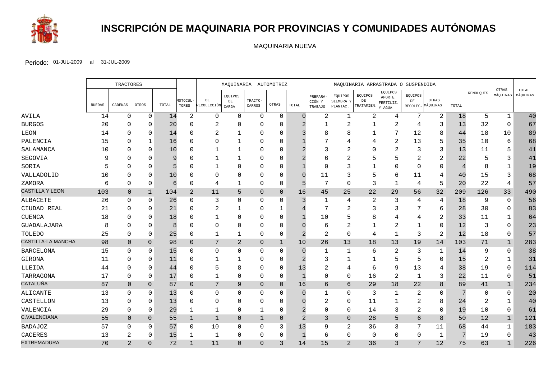

# **INSCRIPCIÓN DE MAQUINARIA POR PROVINCIAS Y COMUNIDADES AUTÓNOMAS**

MAQUINARIA NUEVA

|                           |               | <b>TRACTORES</b> |                |       |                   | MAQUINARIA AUTOMOTRIZ |                               | MAQUINARIA ARRASTRADA O SUSPENDIDA |                |                |                               |                                  |                                    | OTRAS                                  |                |                            |       |                  |              |                   |
|---------------------------|---------------|------------------|----------------|-------|-------------------|-----------------------|-------------------------------|------------------------------------|----------------|----------------|-------------------------------|----------------------------------|------------------------------------|----------------------------------------|----------------|----------------------------|-------|------------------|--------------|-------------------|
|                           | <b>RUEDAS</b> | CADENAS          | OTROS          | TOTAL | MOTOCUL-<br>TORES | DE<br>RECOLECCIÓN     | EQUIPOS<br>$\rm{DE}$<br>CARGA | TRACTO-<br>CARROS                  | OTRAS          | TOTAL          | PREPARA-<br>CIÓN Y<br>TRABAJO | EQUIPOS<br>SIEMBRA Y<br>PLANTAC. | EQUIPOS<br>$\rm{DE}$<br>TRATAMIEN. | EQUIPOS<br>APORTE<br>FERTILIZ.<br>AGUA | EQUIPOS<br>DE  | OTRAS<br>RECOLEC. MÁQUINAS | TOTAL | <b>REMOLQUES</b> | MÁQUINAS     | TOTAL<br>MÁQUINAS |
| AVILA                     | 14            | $\mathbf 0$      | $\mathbf 0$    | 14    | $\overline{a}$    | $\mathbf 0$           | $\mathbf 0$                   | $\mathbf 0$                        | $\mathbf 0$    |                | 2                             | $\mathbf{1}$                     | $\overline{c}$                     | 4                                      | 7              | $\overline{a}$             | 18    | 5                | $\mathbf{1}$ | 40                |
| <b>BURGOS</b>             | 20            | <sup>0</sup>     | $\mathbf{0}$   | 20    |                   | 2                     | $\Omega$                      | $\Omega$                           | $\Omega$       |                |                               | 2                                |                                    | 2                                      | 4              | 3                          | 13    | 32               | $\Omega$     | 67                |
| LEON                      | 14            | 0                | $\Omega$       | 14    |                   | $\overline{2}$        | $\mathbf{1}$                  | $\Omega$                           | $\Omega$       |                |                               | 8                                |                                    | 7                                      | 12             | $\mathsf{B}$               | 44    | 18               | 10           | 89                |
| PALENCIA                  | 15            | <sup>0</sup>     |                | 16    |                   | O                     |                               | $\Omega$                           | 0              |                |                               |                                  |                                    | $\overline{2}$                         | 13             | 5                          | 35    | 10               | 6            | 68                |
| SALAMANCA                 | 10            | $\Omega$         | $\Omega$       | 10    |                   | 1                     | $\mathbf{1}$                  | $\Omega$                           | $\Omega$       |                |                               |                                  |                                    | 2                                      | 3              | 3                          | 13    | 11               | 5            | 41                |
| SEGOVIA                   | 9             | <sup>0</sup>     | $\Omega$       | 9     |                   | 1                     | $\mathbf{1}$                  | $\Omega$                           | $\Omega$       |                | 6                             | $\overline{2}$                   |                                    | 5                                      | 2              | $\overline{2}$             | 22    |                  | 3            | 41                |
| SORIA                     |               | <sup>0</sup>     | $\Omega$       | 5     |                   | 1                     | $\Omega$                      | $\Omega$                           | $\Omega$       |                | $\mathbf 0$                   | 3                                |                                    | $\Omega$                               | $\Omega$       | $\Omega$                   |       |                  |              | 19                |
| VALLADOLID                | 10            | <sup>0</sup>     | $\Omega$       | 10    |                   | $\Omega$              | O                             | $\Omega$                           | $\Omega$       |                | 11                            | 3                                |                                    | 6                                      | 11             | 4                          | 40    | 15               | 3            | 68                |
| ZAMORA                    | 6             | $\Omega$         | $\Omega$       | 6     | $\Omega$          | 4                     | $\mathbf{1}$                  | $\Omega$                           | $\Omega$       |                | 7                             | $\Omega$                         | 3                                  | $\mathbf{1}$                           | 4              | 5                          | 20    | 22               | 4            | 57                |
| <b>CASTILLA Y LEON</b>    | 103           | $\overline{0}$   | $\mathbf{1}$   | 104   | $\overline{2}$    | 11                    | 5                             | $\overline{0}$                     | $\overline{0}$ | 16             | 45                            | 25                               | 22                                 | 29                                     | 56             | 32                         | 209   | 126              | 33           | 490               |
| ALBACETE                  | 26            | $\Omega$         | $\mathbf{0}$   | 26    | <sup>0</sup>      | 3                     | $\Omega$                      | 0                                  | $\Omega$       | 3              | 1                             | 4                                | 2                                  | 3                                      | 4              | 4                          | 18    | 9                | 0            | 56                |
| CIUDAD REAL               | 21            | 0                | $\Omega$       | 21    |                   | 2                     | $\mathbf{1}$                  | $\Omega$                           | 1              |                | 7                             | $\overline{2}$                   | 3                                  | 3                                      |                | 6                          | 28    | 30               | $\Omega$     | 83                |
| <b>CUENCA</b>             | 18            | <sup>0</sup>     | $\Omega$       | 18    |                   | $\mathbf{1}$          | $\Omega$                      | $\Omega$                           | $\Omega$       |                | 10                            |                                  |                                    | 4                                      | 4              | $\overline{2}$             | 33    | 11               | 1            | 64                |
| GUADALAJARA               | 8             | $\Omega$         | $\Omega$       | 8     |                   | $\mathbf 0$           | $\Omega$                      | $\Omega$                           | $\Omega$       |                | 6                             | 2                                |                                    | $\overline{2}$                         |                | $\mathbf 0$                | 12    | 3                | 0            | 23                |
| TOLEDO                    | 25            | 0                | $\Omega$       | 25    |                   | 1                     | 1                             | $\Omega$                           | 0              | 2              | $\sqrt{2}$                    | $\mathbf 0$                      | 4                                  | 1                                      | 3              | $\overline{2}$             | 12    | 18               | $\Omega$     | 57                |
| <b>CASTILLA-LA MANCHA</b> | 98            | $\overline{0}$   | $\overline{0}$ | 98    | $\overline{0}$    | 7                     | $\overline{a}$                | $\overline{0}$                     | $\mathbf{1}$   | 10             | 26                            | 13                               | 18                                 | 13                                     | 19             | 14                         | 103   | 71               | $\mathbf{1}$ | 283               |
| <b>BARCELONA</b>          | 15            | $\Omega$         | $\Omega$       | 15    | U                 | $\overline{0}$        | $\Omega$                      | $\Omega$                           | $\Omega$       |                | $\mathbf 1$                   | $\mathbf{1}$                     | 6                                  | $\overline{2}$                         | 3              | 1                          | 14    | 9                | $\Omega$     | 38                |
| GIRONA                    | 11            | $\Omega$         | $\mathbf 0$    | 11    |                   | $\mathbf 1$           | 1                             | $\Omega$                           | $\Omega$       |                | 3                             | -1                               |                                    | 5                                      | 5              | 0                          | 15    | 2                | 1            | 31                |
| LLEIDA                    | 44            | 0                | $\Omega$       | 44    |                   | 5                     | 8                             | $\Omega$                           | $\Omega$       | 13             | 2                             | 4                                | 6                                  | 9                                      | 13             | 4                          | 38    | 19               | $\Omega$     | 114               |
| TARRAGONA                 | 17            | $\Omega$         | $\Omega$       | 17    |                   | $\mathbf{1}$          | $\Omega$                      | $\Omega$                           | $\Omega$       |                | $\Omega$                      | $\mathbf 0$                      | 16                                 | $\overline{c}$                         | 1              | 3                          | 22    | 11               | 0            | 51                |
| CATALUÑA                  | 87            | $\overline{0}$   | $\Omega$       | 87    | $\Omega$          | 7                     | 9                             | $\overline{0}$                     | $\overline{0}$ | 16             | 6                             | 6                                | 29                                 | 18                                     | 22             | 8                          | 89    | 41               | $\mathbf{1}$ | 234               |
| ALICANTE                  | 13            | $\Omega$         | $\Omega$       | 13    |                   | 0                     | $\Omega$                      | 0                                  | $\Omega$       |                |                               | $\mathbf 0$                      | 3                                  | 1                                      | 2              | $\Omega$                   |       | $\Omega$         | $\Omega$     | 20                |
| CASTELLON                 | 13            | 0                | $\Omega$       | 13    |                   | 0                     | 0                             | $\Omega$                           | $\Omega$       |                | 2                             | $\mathbf 0$                      | 11                                 | $\mathbf 1$                            | 2              | 8                          | 24    | 2                | 1            | 40                |
| VALENCIA                  | 29            | $\Omega$         | $\Omega$       | 29    | -1                | 1                     | $\Omega$                      | 1                                  | 0              |                | $\mathbf 0$                   | $\Omega$                         | 14                                 | 3                                      | $\overline{a}$ | $\Omega$                   | 19    | 10               | $\Omega$     | 61                |
| <b>C.VALENCIANA</b>       | 55            | $\overline{0}$   | $\overline{0}$ | 55    | $\mathbf{1}$      | $\mathbf{1}$          | $\Omega$                      | $\mathbf{1}$                       | $\overline{0}$ | $\overline{2}$ | 3                             | $\mathbf{0}$                     | 28                                 | 5                                      | 6              | 8                          | 50    | 12               | $\mathbf{1}$ | 121               |
| <b>BADAJOZ</b>            | 57            | $\Omega$         | $\mathbf 0$    | 57    | 0                 | 10                    | 0                             | $\Omega$                           | 3              | 13             | 9                             | $\overline{2}$                   | 36                                 | 3                                      |                | 11                         | 68    | 44               | 1            | 183               |
| <b>CACERES</b>            | 13            | 2                | $\Omega$       | 15    |                   | $\mathbf{1}$          | 0                             | $\Omega$                           | 0              | $\mathbf 1$    | 6                             | $\mathbf 0$                      | 0                                  | $\mathbf 0$                            | $\Omega$       | 1                          |       | 19               | $\Omega$     | 43                |
| <b>EXTREMADURA</b>        | 70            | $\overline{2}$   | $\Omega$       | 72    | $\mathbf{1}$      | 11                    | $\Omega$                      | $\Omega$                           | 3              | 14             | 15                            | $\overline{2}$                   | 36                                 | 3                                      | 7              | 12                         | 75    | 63               | $\mathbf{1}$ | 226               |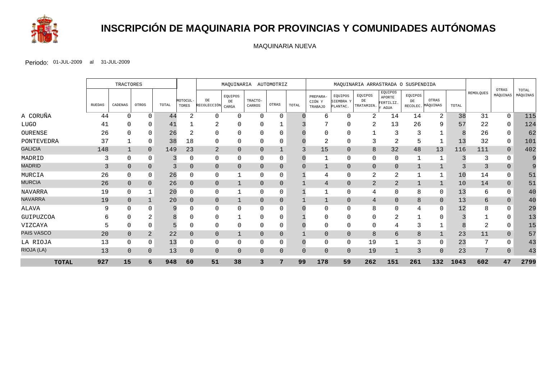

# **INSCRIPCIÓN DE MAQUINARIA POR PROVINCIAS Y COMUNIDADES AUTÓNOMAS**

MAQUINARIA NUEVA

|                |        | <b>TRACTORES</b> |          |       |                   | MAQUINARIA AUTOMOTRIZ    |                               |                   | MAQUINARIA ARRASTRADA O SUSPENDIDA |       |                                      |                                  |                             |                                        |                           |                   |       |           |                   |                   |
|----------------|--------|------------------|----------|-------|-------------------|--------------------------|-------------------------------|-------------------|------------------------------------|-------|--------------------------------------|----------------------------------|-----------------------------|----------------------------------------|---------------------------|-------------------|-------|-----------|-------------------|-------------------|
|                | RUEDAS | CADENAS          | OTROS    | TOTAL | MOTOCUL-<br>TORES | DE<br><b>RECOLECCIÓN</b> | EQUIPOS<br>$\rm{DE}$<br>CARGA | TRACTO-<br>CARROS | OTRAS                              | TOTAL | PREPARA-<br>CIÓN Y<br><b>TRABAJO</b> | EQUIPOS<br>SIEMBRA Y<br>PLANTAC. | EQUIPOS<br>DE<br>TRATAMIEN. | EQUIPOS<br>APORTE<br>FERTILIZ.<br>AGUA | EQUIPOS<br>DE<br>RECOLEC. | OTRAS<br>MÁQUINAS | TOTAL | REMOLQUES | OTRAS<br>MÁQUINAS | TOTAL<br>MÁQUINAS |
| A CORUÑA       | 44     | 0                | $\Omega$ | 44    | 2                 | $\Omega$                 | $\Omega$                      | $\Omega$          | $\Omega$                           |       | 6                                    | $\Omega$                         | 2                           | 14                                     | 14                        | 2                 | 38    | 31        | $\mathbf 0$       | 115               |
| LUGO           | 41     |                  | O        | 41    |                   | ∠                        |                               |                   |                                    |       |                                      |                                  |                             | 13                                     | 26                        | 9                 | 57    | 22        | $\Omega$          | 124               |
| OURENSE        | 26     |                  |          | 26    |                   | 0                        |                               |                   |                                    |       |                                      |                                  |                             | 3                                      |                           |                   |       | 26        |                   | 62                |
| PONTEVEDRA     | 37     |                  | $\Omega$ | 38    | 18                | 0                        | 0                             | 0                 |                                    |       | 2                                    | 0                                |                             | $\overline{2}$                         |                           |                   | 13    | 32        | 0                 | 101               |
| <b>GALICIA</b> | 148    |                  | $\Omega$ | 149   | 23                | $\overline{2}$           | $\Omega$                      | $\Omega$          |                                    | 3     | 15                                   | $\Omega$                         | 8                           | 32                                     | 48                        | 13                | 116   | 111       | $\overline{0}$    | 402               |
| MADRID         | 3      | $\Omega$         | $\Omega$ |       |                   | 0                        | $\Omega$                      | 0                 | 0                                  |       |                                      | $\Omega$                         | $\Omega$                    | 0                                      |                           |                   |       | 3         |                   |                   |
| <b>MADRID</b>  | 3      | $\mathbf{0}$     | $\Omega$ |       | $\Omega$          | $\overline{0}$           | $\Omega$                      | $\overline{0}$    | $\overline{0}$                     |       | $\mathbf 1$                          | $\overline{0}$                   | $\mathbf 0$                 | $\overline{0}$                         |                           |                   |       | 3         | $\Omega$          |                   |
| MURCIA         | 26     | 0                | $\Omega$ | 26    |                   | 0                        |                               | 0                 | 0                                  |       | 4                                    | $\mathbf 0$                      | 2                           | 2                                      |                           |                   | 10    | 14        | $\Omega$          | 51                |
| <b>MURCIA</b>  | 26     | $\Omega$         | $\Omega$ | 26    |                   | $\mathbf{0}$             |                               | $\Omega$          | $\Omega$                           |       | 4                                    | $\overline{0}$                   | $\overline{2}$              | $\overline{2}$                         |                           |                   | 10    | 14        |                   | 51                |
| <b>NAVARRA</b> | 19     | $\Omega$         |          | 20    |                   | 0                        |                               | $\Omega$          | $\Omega$                           |       |                                      | $\Omega$                         | 4                           | $\Omega$                               | 8                         | $\Omega$          | 13    | 6         | $\Omega$          | 40                |
| <b>NAVARRA</b> | 19     | $\Omega$         |          | 20    | $\Omega$          | $\overline{0}$           |                               | $\Omega$          | $\Omega$                           |       |                                      | $\overline{0}$                   | 4                           | $\overline{0}$                         | 8                         | $\Omega$          | 13    | 6         | $\Omega$          | 40                |
| <b>ALAVA</b>   | 9      | <sup>0</sup>     |          | 9     |                   | 0                        | U                             | $\Omega$          |                                    |       | ∩                                    |                                  | 8                           | $\Omega$                               | 4                         | 0                 | 12    |           |                   | 29                |
| GUIPUZCOA      | h      | 0                | ∠        | 8     |                   | $\mathbf 0$              |                               | $\Omega$          | 0                                  |       | ∩                                    | $\Omega$                         |                             | $\overline{2}$                         |                           |                   |       |           |                   | 13                |
| VIZCAYA        |        | 0                | $\Omega$ |       |                   | 0                        | O                             | 0                 | 0                                  |       | 0                                    | 0                                |                             | 4                                      |                           |                   |       |           |                   | 15                |
| PAIS VASCO     | 20     | $\overline{0}$   | 2        | 22    |                   | $\mathbf{0}$             |                               | $\Omega$          | 0                                  |       | $\mathbf 0$                          | $\overline{0}$                   | 8                           | 6                                      | 8                         |                   | 23    | 11        | $\Omega$          | 57                |
| LA RIOJA       | 13     | 0                | $\Omega$ | 13    |                   | 0                        | O                             | $\Omega$          |                                    |       | $\mathbf 0$                          | $\mathbf 0$                      | 19                          |                                        | 3                         | $\Omega$          | 23    |           |                   | 43                |
| RIOJA (LA)     | 13     | $\Omega$         | $\Omega$ | 13    | $\Omega$          | $\mathbf{0}$             | $\Omega$                      | $\Omega$          | $\Omega$                           |       | $\overline{0}$                       | $\Omega$                         | 19                          |                                        | 3                         | $\Omega$          | 23    | 7         | $\Omega$          | 43                |
| <b>TOTAL</b>   | 927    | 15               | 6        | 948   | 60                | 51                       | 38                            | 3                 | 7                                  | 99    | 178                                  | 59                               | 262                         | 151                                    | 261                       | 132               | 1043  | 602       | 47                | 2799              |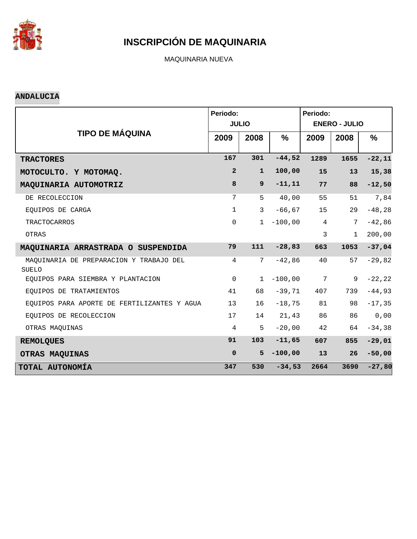

MAQUINARIA NUEVA

#### **ANDALUCIA**

|                                                  | Periodo:        | <b>JULIO</b>    |               | Periodo:        | <b>ENERO - JULIO</b> |               |
|--------------------------------------------------|-----------------|-----------------|---------------|-----------------|----------------------|---------------|
| <b>TIPO DE MÁQUINA</b>                           |                 |                 |               |                 |                      |               |
|                                                  | 2009            | 2008            | $\frac{9}{6}$ | 2009            | 2008                 | $\frac{9}{6}$ |
| <b>TRACTORES</b>                                 | 167             | 301             | $-44,52$      | 1289            | 1655                 | $-22,11$      |
| MOTOCULTO. Y MOTOMAQ.                            | $\overline{a}$  | $\mathbf{1}$    | 100,00        | 15              | 13                   | 15,38         |
| MAQUINARIA AUTOMOTRIZ                            | 8               | 9               | $-11,11$      | 77              | 88                   | $-12,50$      |
| DE RECOLECCION                                   | 7               | 5               | 40,00         | 55              | 51                   | 7,84          |
| EQUIPOS DE CARGA                                 | $\mathbf{1}$    | 3               | $-66, 67$     | 15              | 29                   | $-48,28$      |
| <b>TRACTOCARROS</b>                              | $\mathbf 0$     | $\mathbf{1}$    | $-100,00$     | $\overline{4}$  | 7                    | $-42,86$      |
| OTRAS                                            |                 |                 |               | 3               | $\mathbf{1}$         | 200,00        |
| MAQUINARIA ARRASTRADA O SUSPENDIDA               | 79              | 111             | $-28,83$      | 663             | 1053                 | $-37,04$      |
| MAQUINARIA DE PREPARACION Y TRABAJO DEL<br>SUELO | $\overline{4}$  | $7\phantom{.0}$ | $-42,86$      | 40              | 57                   | $-29,82$      |
| EOUIPOS PARA SIEMBRA Y PLANTACION                | $\mathbf 0$     | $\mathbf{1}$    | $-100,00$     | $7\phantom{.0}$ | 9                    | $-22, 22$     |
| EQUIPOS DE TRATAMIENTOS                          | 41              | 68              | $-39,71$      | 407             | 739                  | $-44,93$      |
| EQUIPOS PARA APORTE DE FERTILIZANTES Y AGUA      | 13 <sup>°</sup> | 16              | $-18,75$      | 81              | 98                   | $-17, 35$     |
| EOUIPOS DE RECOLECCION                           | 17              | 14              | 21, 43        | 86              | 86                   | 0,00          |
| OTRAS MAQUINAS                                   | $\overline{4}$  | 5               | $-20,00$      | 42              | 64                   | $-34, 38$     |
| <b>REMOLQUES</b>                                 | 91              | 103             | $-11,65$      | 607             | 855                  | $-29,01$      |
| OTRAS MAQUINAS                                   | $\mathbf 0$     | 5               | $-100,00$     | 13              | 26                   | $-50,00$      |
| TOTAL AUTONOMÍA                                  | 347             | 530             | $-34,53$      | 2664            | 3690                 | $-27,80$      |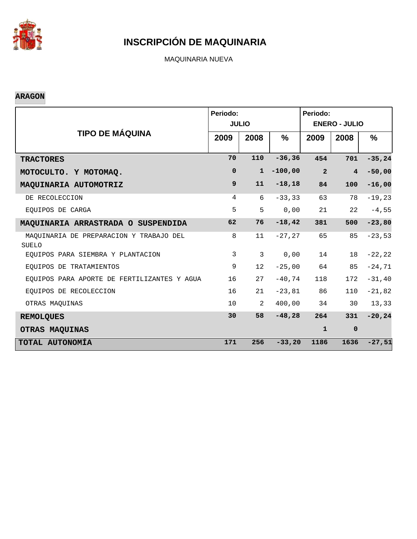

MAQUINARIA NUEVA

#### **ARAGON**

|                                                         | Periodo:     | <b>JULIO</b>    |               | Periodo:<br><b>ENERO - JULIO</b> |                |           |  |
|---------------------------------------------------------|--------------|-----------------|---------------|----------------------------------|----------------|-----------|--|
| <b>TIPO DE MÁQUINA</b>                                  | 2009         | 2008            | $\frac{9}{6}$ | 2009                             | 2008           | %         |  |
| <b>TRACTORES</b>                                        | 70           | 110             | $-36, 36$     | 454                              | 701            | $-35, 24$ |  |
| MOTOCULTO. Y MOTOMAQ.                                   | $\mathbf 0$  | $\mathbf{1}$    | $-100,00$     | $\overline{2}$                   | $\overline{4}$ | $-50,00$  |  |
| MAQUINARIA AUTOMOTRIZ                                   | 9            | 11              | $-18,18$      | 84                               | 100            | $-16,00$  |  |
| DE RECOLECCION                                          | 4            | 6               | $-33, 33$     | 63                               | 78             | $-19,23$  |  |
| EQUIPOS DE CARGA                                        | 5            | 5               | 0,00          | 21                               | 22             | $-4,55$   |  |
| MAQUINARIA ARRASTRADA O SUSPENDIDA                      | 62           | 76              | $-18, 42$     | 381                              | 500            | $-23,80$  |  |
| MAQUINARIA DE PREPARACION Y TRABAJO DEL<br><b>SUELO</b> | 8            | 11              | $-27, 27$     | 65                               | 85             | $-23,53$  |  |
| EQUIPOS PARA SIEMBRA Y PLANTACION                       | $\mathbf{3}$ | 3               | 0,00          | 14                               | 18             | $-22, 22$ |  |
| EOUIPOS DE TRATAMIENTOS                                 | 9            | 12 <sup>°</sup> | $-25,00$      | 64                               | 85             | $-24,71$  |  |
| EQUIPOS PARA APORTE DE FERTILIZANTES Y AGUA             | 16           | 27              | $-40,74$      | 118                              | 172            | $-31, 40$ |  |
| EQUIPOS DE RECOLECCION                                  | 16           | 21              | $-23,81$      | 86                               | 110            | $-21,82$  |  |
| OTRAS MAQUINAS                                          | 10           | 2               | 400,00        | 34                               | 30             | 13,33     |  |
| <b>REMOLQUES</b>                                        | 30           | 58              | $-48,28$      | 264                              | 331            | $-20, 24$ |  |
| OTRAS MAQUINAS                                          |              |                 |               | $\mathbf{1}$                     | $\mathbf 0$    |           |  |
| TOTAL AUTONOMÍA                                         | 171          | 256             | $-33,20$      | 1186                             | 1636           | $-27,51$  |  |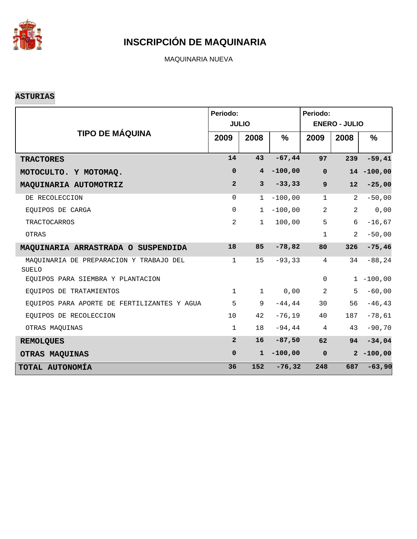

MAQUINARIA NUEVA

#### **ASTURIAS**

|                                                         | Periodo:       | <b>JULIO</b>    | Periodo:<br><b>ENERO - JULIO</b> |                    |                |               |
|---------------------------------------------------------|----------------|-----------------|----------------------------------|--------------------|----------------|---------------|
| <b>TIPO DE MÁQUINA</b>                                  | 2009           | 2008            | $\frac{9}{6}$                    | 2009               | 2008           | $\%$          |
| <b>TRACTORES</b>                                        | 14             | 43              | $-67,44$                         | 97                 | 239            | $-59,41$      |
| MOTOCULTO. Y MOTOMAQ.                                   | $\mathbf 0$    | $4\overline{ }$ | $-100,00$                        | $\pmb{\mathsf{O}}$ |                | $14 - 100,00$ |
| MAQUINARIA AUTOMOTRIZ                                   | $\overline{2}$ | $\mathbf{3}$    | $-33, 33$                        | $\mathbf{9}$       | 12             | $-25,00$      |
| DE RECOLECCION                                          | $\Omega$       | $\mathbf{1}$    | $-100,00$                        | $\mathbf{1}$       | 2              | $-50,00$      |
| EQUIPOS DE CARGA                                        | $\mathbf 0$    | $\mathbf{1}$    | $-100,00$                        | 2                  | 2              | 0,00          |
| TRACTOCARROS                                            | 2              | $\mathbf{1}$    | 100,00                           | 5                  | 6              | $-16,67$      |
| OTRAS                                                   |                |                 |                                  | $\mathbf{1}$       | $\mathfrak{D}$ | $-50,00$      |
| MAQUINARIA ARRASTRADA O SUSPENDIDA                      | 18             | 85              | $-78,82$                         | 80                 | 326            | $-75,46$      |
| MAQUINARIA DE PREPARACION Y TRABAJO DEL<br><b>SUELO</b> | $\mathbf{1}$   | 15              | $-93, 33$                        | $\overline{4}$     | 34             | $-88, 24$     |
| EQUIPOS PARA SIEMBRA Y PLANTACION                       |                |                 |                                  | $\mathbf 0$        |                | $1 - 100,00$  |
| EQUIPOS DE TRATAMIENTOS                                 | $\mathbf{1}$   | $\mathbf{1}$    | 0,00                             | 2                  | 5              | $-60,00$      |
| EQUIPOS PARA APORTE DE FERTILIZANTES Y AGUA             | 5              | 9               | $-44, 44$                        | 30                 | 56             | $-46, 43$     |
| EQUIPOS DE RECOLECCION                                  | 10             | 42              | $-76,19$                         | 40                 | 187            | $-78,61$      |
| OTRAS MAQUINAS                                          | $\mathbf{1}$   | 18              | $-94,44$                         | $\overline{4}$     | 43             | $-90,70$      |
| <b>REMOLQUES</b>                                        | $\overline{2}$ | 16              | $-87,50$                         | 62                 | 94             | $-34,04$      |
| OTRAS MAQUINAS                                          | $\mathbf 0$    | $\mathbf{1}$    | $-100,00$                        | $\mathbf 0$        |                | $2 - 100,00$  |
| TOTAL AUTONOMÍA                                         | 36             | 152             | $-76, 32$                        | 248                | 687            | $-63,90$      |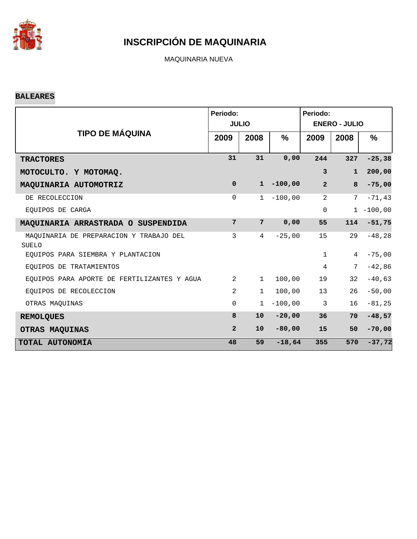

MAQUINARIA NUEVA

#### **BALEARES**

|                                                         | Periodo:       | <b>JULIO</b>   |               | Periodo:<br><b>ENERO - JULIO</b> |              |              |  |
|---------------------------------------------------------|----------------|----------------|---------------|----------------------------------|--------------|--------------|--|
| <b>TIPO DE MÁQUINA</b>                                  | 2009           | 2008           | $\frac{9}{6}$ | 2009                             | 2008         | $\%$         |  |
| <b>TRACTORES</b>                                        | 31             | 31             | 0,00          | 244                              | 327          | $-25, 38$    |  |
| MOTOCULTO. Y MOTOMAQ.                                   |                |                |               | 3                                | $\mathbf{1}$ | 200,00       |  |
| MAQUINARIA AUTOMOTRIZ                                   | $\mathbf 0$    | $\mathbf{1}$   | $-100,00$     | $\overline{2}$                   | 8            | $-75,00$     |  |
| DE RECOLECCION                                          | 0              | 1              | $-100,00$     | $\overline{2}$                   | 7            | $-71, 43$    |  |
| EQUIPOS DE CARGA                                        |                |                |               | $\mathbf 0$                      |              | $1 - 100,00$ |  |
| MAQUINARIA ARRASTRADA O SUSPENDIDA                      | 7              | $7\phantom{.}$ | 0,00          | 55                               | 114          | $-51,75$     |  |
| MAQUINARIA DE PREPARACION Y TRABAJO DEL<br><b>SUELO</b> | 3              | 4              | $-25,00$      | 15                               | 29           | $-48,28$     |  |
| EQUIPOS PARA SIEMBRA Y PLANTACION                       |                |                |               | $\mathbf{1}$                     | 4            | $-75,00$     |  |
| EOUIPOS DE TRATAMIENTOS                                 |                |                |               | $\overline{4}$                   | 7            | $-42,86$     |  |
| EQUIPOS PARA APORTE DE FERTILIZANTES Y AGUA             | 2              | $\mathbf{1}$   | 100,00        | 19                               | 32           | $-40,63$     |  |
| EQUIPOS DE RECOLECCION                                  | $\mathfrak{D}$ | $\mathbf 1$    | 100,00        | 13                               | 26           | $-50\, , 00$ |  |
| OTRAS MAQUINAS                                          | $\Omega$       | $\mathbf{1}$   | $-100,00$     | 3                                | 16           | $-81, 25$    |  |
| <b>REMOLQUES</b>                                        | 8              | 10             | $-20,00$      | 36                               | 70           | $-48,57$     |  |
| OTRAS MAQUINAS                                          | $\overline{2}$ | 10             | $-80,00$      | 15                               | 50           | $-70,00$     |  |
| TOTAL AUTONOMÍA                                         | 48             | 59             | $-18,64$      | 355                              | 570          | $-37,72$     |  |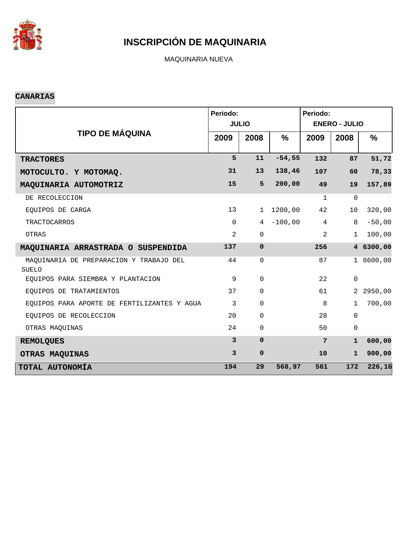

MAQUINARIA NUEVA

#### **CANARIAS**

|                                                         | Periodo:     |              |               | Periodo:       |                      |               |
|---------------------------------------------------------|--------------|--------------|---------------|----------------|----------------------|---------------|
|                                                         |              | <b>JULIO</b> |               |                | <b>ENERO - JULIO</b> |               |
| <b>TIPO DE MÁQUINA</b>                                  | 2009         | 2008         | $\frac{0}{0}$ | 2009           | 2008                 | $\frac{9}{6}$ |
| <b>TRACTORES</b>                                        | 5            | 11           | $-54,55$      | 132            | 87                   | 51,72         |
| MOTOCULTO. Y MOTOMAQ.                                   | 31           | 13           | 138,46        | 107            | 60                   | 78,33         |
| MAQUINARIA AUTOMOTRIZ                                   | 15           | 5            | 200,00        | 49             | 19                   | 157,89        |
| DE RECOLECCION                                          |              |              |               | $\mathbf{1}$   | $\Omega$             |               |
| EQUIPOS DE CARGA                                        | 13           | $\mathbf{1}$ | 1200,00       | 42             | 10                   | 320,00        |
| <b>TRACTOCARROS</b>                                     | $\Omega$     | 4            | $-100,00$     | $\overline{4}$ | 8                    | $-50,00$      |
| OTRAS                                                   | 2            | $\mathbf 0$  |               | 2              | $\mathbf{1}$         | 100,00        |
| MAQUINARIA ARRASTRADA O SUSPENDIDA                      | 137          | $\mathbf 0$  |               | 256            |                      | 4 6300,00     |
| MAQUINARIA DE PREPARACION Y TRABAJO DEL<br><b>SUELO</b> | 44           | $\mathbf 0$  |               | 87             |                      | 1 8600,00     |
| EQUIPOS PARA SIEMBRA Y PLANTACION                       | 9            | $\mathbf 0$  |               | 22             | $\mathbf 0$          |               |
| EQUIPOS DE TRATAMIENTOS                                 | 37           | 0            |               | 61             | $\overline{a}$       | 2950,00       |
| EQUIPOS PARA APORTE DE FERTILIZANTES Y AGUA             | 3            | $\Omega$     |               | 8              | $\mathbf{1}$         | 700,00        |
| EQUIPOS DE RECOLECCION                                  | 20           | $\mathbf 0$  |               | 28             | $\Omega$             |               |
| OTRAS MAQUINAS                                          | 24           | 0            |               | 50             | $\mathbf 0$          |               |
| <b>REMOLQUES</b>                                        | $\mathbf{3}$ | $\Omega$     |               | 7              | $\mathbf{1}$         | 600,00        |
| OTRAS MAQUINAS                                          | 3            | $\mathbf 0$  |               | 10             | $\mathbf{1}$         | 900,00        |
| TOTAL AUTONOMÍA                                         | 194          | 29           | 568,97        | 561            | 172                  | 226, 16       |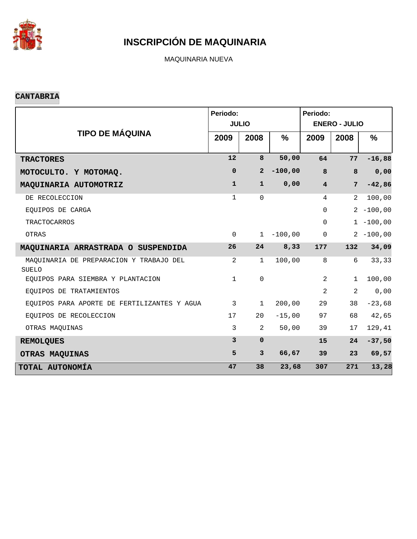

MAQUINARIA NUEVA

#### **CANTABRIA**

|                                                  | Periodo:     | <b>JULIO</b>   |               | Periodo:<br><b>ENERO - JULIO</b> |                |               |  |
|--------------------------------------------------|--------------|----------------|---------------|----------------------------------|----------------|---------------|--|
| <b>TIPO DE MÁQUINA</b>                           | 2009         | 2008           | $\frac{0}{0}$ | 2009                             | 2008           | $\frac{9}{6}$ |  |
| <b>TRACTORES</b>                                 | 12           | 8              | 50,00         | 64                               | 77             | $-16,88$      |  |
| MOTOCULTO. Y MOTOMAQ.                            | $\mathbf 0$  | $\overline{a}$ | $-100,00$     | 8                                | 8              | 0,00          |  |
| MAQUINARIA AUTOMOTRIZ                            | $\mathbf{1}$ | $\mathbf{1}$   | 0,00          | $\overline{4}$                   | $7\phantom{.}$ | $-42,86$      |  |
| DE RECOLECCION                                   | $\mathbf 1$  | $\Omega$       |               | 4                                | 2              | 100,00        |  |
| EOUIPOS DE CARGA                                 |              |                |               | $\mathbf 0$                      |                | $2 - 100,00$  |  |
| <b>TRACTOCARROS</b>                              |              |                |               | $\Omega$                         |                | $1 - 100,00$  |  |
| OTRAS                                            | $\mathbf 0$  | $\mathbf{1}$   | $-100,00$     | $\mathsf{O}\xspace$              |                | $2 - 100,00$  |  |
| MAQUINARIA ARRASTRADA O SUSPENDIDA               | 26           | 24             | 8,33          | 177                              | 132            | 34,09         |  |
| MAQUINARIA DE PREPARACION Y TRABAJO DEL<br>SUELO | 2            | $\mathbf{1}$   | 100,00        | $\,8\,$                          | 6              | 33,33         |  |
| EQUIPOS PARA SIEMBRA Y PLANTACION                | $\mathbf{1}$ | $\mathbf 0$    |               | 2                                | $\mathbf 1$    | 100,00        |  |
| EQUIPOS DE TRATAMIENTOS                          |              |                |               | 2                                | 2              | 0,00          |  |
| EOUIPOS PARA APORTE DE FERTILIZANTES Y AGUA      | $\mathbf{3}$ | $\mathbf 1$    | 200,00        | 29                               | 38             | $-23,68$      |  |
| EQUIPOS DE RECOLECCION                           | 17           | 20             | $-15,00$      | 97                               | 68             | 42,65         |  |
| OTRAS MAQUINAS                                   | $\mathbf{3}$ | 2              | 50,00         | 39                               | 17             | 129,41        |  |
| <b>REMOLQUES</b>                                 | 3            | $\mathbf{0}$   |               | 15                               | 24             | $-37,50$      |  |
| OTRAS MAQUINAS                                   | 5            | $\mathbf{3}$   | 66,67         | 39                               | 23             | 69,57         |  |
| TOTAL AUTONOMÍA                                  | 47           | 38             | 23,68         | 307                              | 271            | 13,28         |  |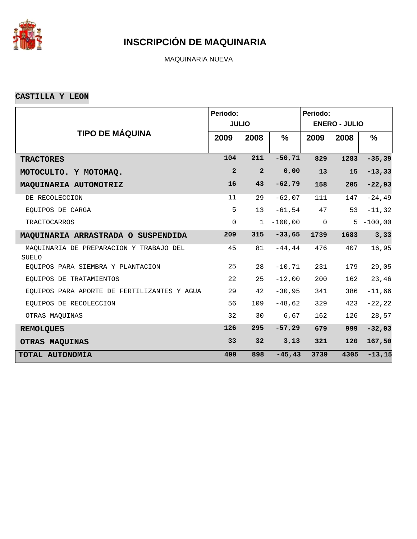

MAQUINARIA NUEVA

**CASTILLA Y LEON**

|                                                  | Periodo:            | <b>JULIO</b>    |           | Periodo:<br><b>ENERO - JULIO</b> |      |              |  |
|--------------------------------------------------|---------------------|-----------------|-----------|----------------------------------|------|--------------|--|
| <b>TIPO DE MÁQUINA</b>                           | 2009                | 2008            | $\%$      | 2009                             | 2008 | %            |  |
| <b>TRACTORES</b>                                 | 104                 | 211             | $-50, 71$ | 829                              | 1283 | $-35, 39$    |  |
| MOTOCULTO. Y MOTOMAQ.                            | $\overline{a}$      | $\overline{2}$  | 0,00      | 13                               | 15   | $-13, 33$    |  |
| MAQUINARIA AUTOMOTRIZ                            | 16                  | 43              | $-62,79$  | 158                              | 205  | $-22,93$     |  |
| DE RECOLECCION                                   | 11                  | 29              | $-62,07$  | 111                              | 147  | $-24, 49$    |  |
| EOUIPOS DE CARGA                                 | 5                   | 13              | $-61,54$  | 47                               | 53   | $-11, 32$    |  |
| <b>TRACTOCARROS</b>                              | $\mathsf{O}\xspace$ | $\mathbf 1$     | $-100,00$ | $\mathsf 0$                      |      | $5 - 100,00$ |  |
| MAQUINARIA ARRASTRADA O SUSPENDIDA               | 209                 | 315             | $-33,65$  | 1739                             | 1683 | 3,33         |  |
| MAQUINARIA DE PREPARACION Y TRABAJO DEL<br>SUELO | 45                  | 81              | $-44, 44$ | 476                              | 407  | 16,95        |  |
| EQUIPOS PARA SIEMBRA Y PLANTACION                | 25                  | 28              | $-10, 71$ | 231                              | 179  | 29,05        |  |
| EOUIPOS DE TRATAMIENTOS                          | 22                  | 25              | $-12,00$  | 200                              | 162  | 23,46        |  |
| EQUIPOS PARA APORTE DE FERTILIZANTES Y AGUA      | 29                  | 42              | $-30,95$  | 341                              | 386  | $-11,66$     |  |
| EOUIPOS DE RECOLECCION                           | 56                  | 109             | $-48,62$  | 329                              | 423  | $-22, 22$    |  |
| OTRAS MAQUINAS                                   | 32                  | 30              | 6,67      | 162                              | 126  | 28,57        |  |
| <b>REMOLQUES</b>                                 | 126                 | 295             | $-57,29$  | 679                              | 999  | $-32,03$     |  |
| <b>OTRAS MAQUINAS</b>                            | 33                  | 32 <sub>2</sub> | 3,13      | 321                              | 120  | 167,50       |  |
| TOTAL AUTONOMÍA                                  | 490                 | 898             | $-45, 43$ | 3739                             | 4305 | $-13, 15$    |  |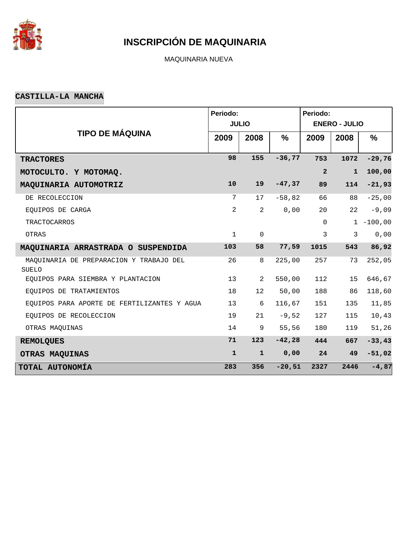

MAQUINARIA NUEVA

#### **CASTILLA-LA MANCHA**

|                                                  | Periodo:       |                |               | Periodo:             |              |           |  |  |
|--------------------------------------------------|----------------|----------------|---------------|----------------------|--------------|-----------|--|--|
|                                                  |                | <b>JULIO</b>   |               | <b>ENERO - JULIO</b> |              |           |  |  |
| <b>TIPO DE MÁQUINA</b>                           | 2009           | 2008           | $\frac{9}{6}$ | 2009                 | 2008         | $\%$      |  |  |
| <b>TRACTORES</b>                                 | 98             | 155            | $-36,77$      | 753                  | 1072         | $-29,76$  |  |  |
| MOTOCULTO. Y MOTOMAQ.                            |                |                |               | $\overline{a}$       | $\mathbf{1}$ | 100,00    |  |  |
| MAQUINARIA AUTOMOTRIZ                            | 10             | 19             | $-47,37$      | 89                   | 114          | $-21,93$  |  |  |
| DE RECOLECCION                                   | 7              | 17             | $-58,82$      | 66                   | 88           | $-25,00$  |  |  |
| EQUIPOS DE CARGA                                 | $\overline{2}$ | $\overline{2}$ | 0,00          | 20                   | 22           | $-9,09$   |  |  |
| <b>TRACTOCARROS</b>                              |                |                |               | $\mathbf 0$          | $\mathbf{1}$ | $-100,00$ |  |  |
| OTRAS                                            | $\mathbf{1}$   | $\mathbf 0$    |               | 3                    | 3            | 0,00      |  |  |
| MAQUINARIA ARRASTRADA O SUSPENDIDA               | 103            | 58             | 77,59         | 1015                 | 543          | 86,92     |  |  |
| MAQUINARIA DE PREPARACION Y TRABAJO DEL<br>SUELO | 26             | 8              | 225,00        | 257                  | 73           | 252,05    |  |  |
| EQUIPOS PARA SIEMBRA Y PLANTACION                | 13             | 2              | 550,00        | 112                  | 15           | 646,67    |  |  |
| EQUIPOS DE TRATAMIENTOS                          | 18             | 12             | 50,00         | 188                  | 86           | 118,60    |  |  |
| EQUIPOS PARA APORTE DE FERTILIZANTES Y AGUA      | 13             | 6              | 116,67        | 151                  | 135          | 11,85     |  |  |
| EQUIPOS DE RECOLECCION                           | 19             | 21             | $-9,52$       | 127                  | 115          | 10,43     |  |  |
| OTRAS MAQUINAS                                   | 14             | 9              | 55,56         | 180                  | 119          | 51,26     |  |  |
| <b>REMOLQUES</b>                                 | 71             | 123            | $-42,28$      | 444                  | 667          | $-33,43$  |  |  |
| OTRAS MAQUINAS                                   | $\mathbf{1}$   | $\mathbf{1}$   | 0,00          | 24                   | 49           | $-51,02$  |  |  |
| TOTAL AUTONOMÍA                                  | 283            | 356            | $-20,51$      | 2327                 | 2446         | $-4,87$   |  |  |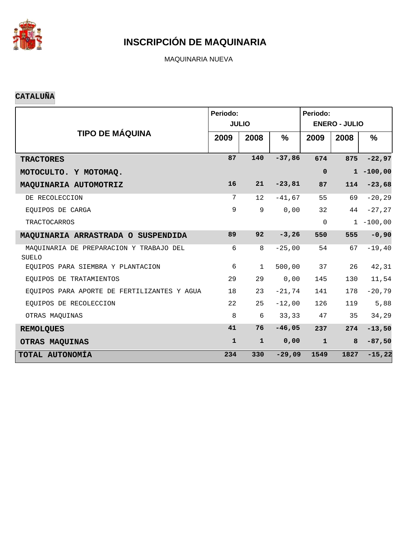

MAQUINARIA NUEVA

#### **CATALUÑA**

|                                                  | Periodo:     | <b>JULIO</b> |               | Periodo:<br><b>ENERO - JULIO</b> |      |              |  |  |
|--------------------------------------------------|--------------|--------------|---------------|----------------------------------|------|--------------|--|--|
| <b>TIPO DE MÁQUINA</b>                           | 2009         | 2008         | $\frac{9}{6}$ | 2009                             | 2008 | $\%$         |  |  |
| <b>TRACTORES</b>                                 | 87           | 140          | $-37,86$      | 674                              | 875  | $-22,97$     |  |  |
| MOTOCULTO. Y MOTOMAQ.                            |              |              |               | $\mathbf 0$                      |      | $1 - 100,00$ |  |  |
| MAQUINARIA AUTOMOTRIZ                            | 16           | 21           | $-23,81$      | 87                               | 114  | $-23,68$     |  |  |
| DE RECOLECCION                                   | 7            | 12           | $-41,67$      | 55                               | 69   | $-20, 29$    |  |  |
| EOUIPOS DE CARGA                                 | 9            | 9            | 0,00          | 32                               | 44   | $-27, 27$    |  |  |
| <b>TRACTOCARROS</b>                              |              |              |               | $\Omega$                         |      | $1 - 100,00$ |  |  |
| MAQUINARIA ARRASTRADA O SUSPENDIDA               | 89           | 92           | $-3, 26$      | 550                              | 555  | $-0,90$      |  |  |
| MAQUINARIA DE PREPARACION Y TRABAJO DEL<br>SUELO | 6            | 8            | $-25,00$      | 54                               | 67   | $-19, 40$    |  |  |
| EOUIPOS PARA SIEMBRA Y PLANTACION                | 6            | $\mathbf{1}$ | 500,00        | 37                               | 26   | 42,31        |  |  |
| EOUIPOS DE TRATAMIENTOS                          | 29           | 29           | 0,00          | 145                              | 130  | 11,54        |  |  |
| EQUIPOS PARA APORTE DE FERTILIZANTES Y AGUA      | 18           | 23           | $-21,74$      | 141                              | 178  | $-20,79$     |  |  |
| EQUIPOS DE RECOLECCION                           | 22           | 25           | $-12,00$      | 126                              | 119  | 5,88         |  |  |
| OTRAS MAQUINAS                                   | 8            | 6            | 33,33         | 47                               | 35   | 34,29        |  |  |
| <b>REMOLQUES</b>                                 | 41           | 76           | $-46,05$      | 237                              | 274  | $-13,50$     |  |  |
| OTRAS MAQUINAS                                   | $\mathbf{1}$ | $\mathbf{1}$ | 0,00          | $\mathbf{1}$                     | 8    | $-87,50$     |  |  |
| TOTAL AUTONOMÍA                                  | 234          | 330          | $-29,09$      | 1549                             | 1827 | $-15,22$     |  |  |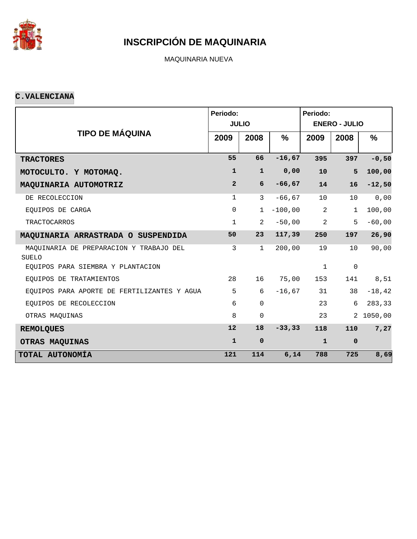

MAQUINARIA NUEVA

#### **C.VALENCIANA**

|                                                  | Periodo:       | <b>JULIO</b>   |           | Periodo:<br><b>ENERO - JULIO</b> |                |           |  |  |
|--------------------------------------------------|----------------|----------------|-----------|----------------------------------|----------------|-----------|--|--|
| <b>TIPO DE MÁQUINA</b>                           | 2009           | 2008           | %         | 2009                             | 2008           | %         |  |  |
| <b>TRACTORES</b>                                 | 55             | 66             | $-16,67$  | 395                              | 397            | $-0,50$   |  |  |
| MOTOCULTO. Y MOTOMAQ.                            | $\mathbf{1}$   | $\mathbf{1}$   | 0,00      | 10                               | 5              | 100,00    |  |  |
| MAQUINARIA AUTOMOTRIZ                            | $\overline{2}$ | 6              | $-66, 67$ | 14                               | 16             | $-12,50$  |  |  |
| DE RECOLECCION                                   | $\mathbf{1}$   | 3              | $-66, 67$ | 10                               | 10             | 0,00      |  |  |
| EQUIPOS DE CARGA                                 | $\mathsf{O}$   | $\mathbf{1}$   | $-100,00$ | 2                                | $\mathbf{1}$   | 100,00    |  |  |
| <b>TRACTOCARROS</b>                              | $\mathbf{1}$   | $\overline{2}$ | $-50,00$  | $\overline{a}$                   | 5              | $-60,00$  |  |  |
| MAQUINARIA ARRASTRADA O SUSPENDIDA               | 50             | 23             | 117,39    | 250                              | 197            | 26,90     |  |  |
| MAQUINARIA DE PREPARACION Y TRABAJO DEL<br>SUELO | 3              | $\mathbf{1}$   | 200,00    | 19                               | 10             | 90,00     |  |  |
| EQUIPOS PARA SIEMBRA Y PLANTACION                |                |                |           | $\mathbf 1$                      | $\mathbf 0$    |           |  |  |
| EOUIPOS DE TRATAMIENTOS                          | 28             | 16             | 75,00     | 153                              | 141            | 8,51      |  |  |
| EQUIPOS PARA APORTE DE FERTILIZANTES Y AGUA      | 5              | 6              | $-16,67$  | 31                               | 38             | $-18, 42$ |  |  |
| EQUIPOS DE RECOLECCION                           | 6              | $\mathbf 0$    |           | 23                               | 6              | 283,33    |  |  |
| OTRAS MAQUINAS                                   | 8              | $\mathbf 0$    |           | 23                               | $\overline{2}$ | 1050,00   |  |  |
| <b>REMOLQUES</b>                                 | 12             | 18             | $-33, 33$ | 118                              | 110            | 7,27      |  |  |
| OTRAS MAQUINAS                                   | $\mathbf{1}$   | $\mathbf 0$    |           | $\mathbf{1}$                     | $\mathbf 0$    |           |  |  |
| TOTAL AUTONOMÍA                                  | 121            | 114            | 6,14      | 788                              | 725            | 8,69      |  |  |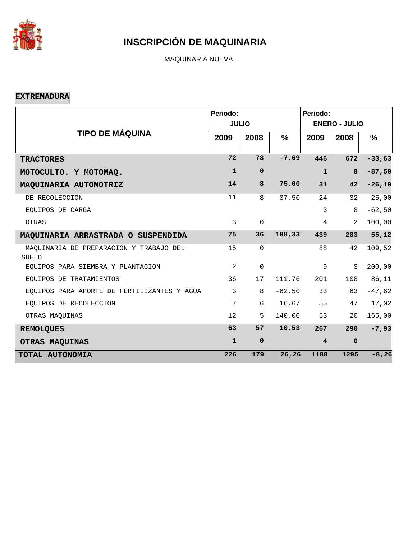

MAQUINARIA NUEVA

**EXTREMADURA**

|                                                  | Periodo:     | <b>JULIO</b> |          | Periodo:<br><b>ENERO - JULIO</b> |             |          |  |  |  |
|--------------------------------------------------|--------------|--------------|----------|----------------------------------|-------------|----------|--|--|--|
| <b>TIPO DE MÁQUINA</b>                           | 2009         | 2008         | %        | 2009                             | 2008        | %        |  |  |  |
| <b>TRACTORES</b>                                 | 72           | 78           | $-7,69$  | 446                              | 672         | $-33,63$ |  |  |  |
| MOTOCULTO. Y MOTOMAQ.                            | $\mathbf{1}$ | $\mathbf 0$  |          | $\mathbf{1}$                     | 8           | $-87,50$ |  |  |  |
| MAQUINARIA AUTOMOTRIZ                            | 14           | 8            | 75,00    | 31                               | 42          | $-26,19$ |  |  |  |
| DE RECOLECCION                                   | 11           | 8            | 37,50    | 24                               | 32          | $-25,00$ |  |  |  |
| EOUIPOS DE CARGA                                 |              |              |          | 3                                | 8           | $-62,50$ |  |  |  |
| OTRAS                                            | $\mathbf{3}$ | $\mathbf 0$  |          | $\overline{4}$                   | 2           | 100,00   |  |  |  |
| MAQUINARIA ARRASTRADA O SUSPENDIDA               | 75           | 36           | 108, 33  | 439                              | 283         | 55,12    |  |  |  |
| MAQUINARIA DE PREPARACION Y TRABAJO DEL<br>SUELO | 15           | $\mathbf 0$  |          | 88                               | 42          | 109,52   |  |  |  |
| EOUIPOS PARA SIEMBRA Y PLANTACION                | 2            | $\mathbf 0$  |          | 9                                | 3           | 200,00   |  |  |  |
| EOUIPOS DE TRATAMIENTOS                          | 36           | 17           | 111,76   | 201                              | 108         | 86,11    |  |  |  |
| EQUIPOS PARA APORTE DE FERTILIZANTES Y AGUA      | 3            | 8            | $-62,50$ | 33                               | 63          | $-47,62$ |  |  |  |
| EQUIPOS DE RECOLECCION                           | 7            | 6            | 16,67    | 55                               | 47          | 17,02    |  |  |  |
| OTRAS MAQUINAS                                   | 12           | 5            | 140,00   | 53                               | 20          | 165,00   |  |  |  |
| <b>REMOLQUES</b>                                 | 63           | 57           | 10,53    | 267                              | 290         | $-7,93$  |  |  |  |
| OTRAS MAQUINAS                                   | $\mathbf{1}$ | $\mathbf 0$  |          | $\overline{\mathbf{4}}$          | $\mathbf 0$ |          |  |  |  |
| TOTAL AUTONOMÍA                                  | 226          | 179          | 26,26    | 1188                             | 1295        | $-8, 26$ |  |  |  |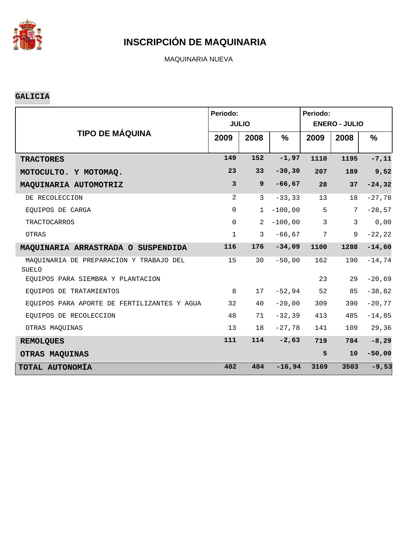

MAQUINARIA NUEVA

#### **GALICIA**

|                                                         | Periodo:     | <b>JULIO</b>    |               | Periodo:<br><b>ENERO - JULIO</b> |              |               |  |  |
|---------------------------------------------------------|--------------|-----------------|---------------|----------------------------------|--------------|---------------|--|--|
| <b>TIPO DE MÁQUINA</b>                                  | 2009         | 2008            | $\frac{9}{6}$ | 2009                             | 2008         | $\frac{9}{6}$ |  |  |
| <b>TRACTORES</b>                                        | 149          | 152             | $-1,97$       | 1110                             | 1195         | $-7,11$       |  |  |
| MOTOCULTO. Y MOTOMAQ.                                   | 23           | 33 <sup>2</sup> | $-30, 30$     | 207                              | 189          | 9,52          |  |  |
| MAQUINARIA AUTOMOTRIZ                                   | $\mathbf{3}$ | $\overline{9}$  | $-66,67$      | 28                               | 37           | $-24, 32$     |  |  |
| DE RECOLECCION                                          | 2            | 3               | $-33, 33$     | 13                               | 18           | $-27,78$      |  |  |
| EOUIPOS DE CARGA                                        | $\mathbf 0$  | $\mathbf 1$     | $-100,00$     | 5                                | 7            | $-28,57$      |  |  |
| <b>TRACTOCARROS</b>                                     | $\mathbf 0$  | 2               | $-100,00$     | $\overline{3}$                   | $\mathbf{3}$ | 0,00          |  |  |
| OTRAS                                                   | $\mathbf{1}$ | $\mathbf{3}$    | $-66, 67$     | 7                                | 9            | $-22, 22$     |  |  |
| MAQUINARIA ARRASTRADA O SUSPENDIDA                      | 116          | 176             | $-34,09$      | 1100                             | 1288         | $-14,60$      |  |  |
| MAQUINARIA DE PREPARACION Y TRABAJO DEL<br><b>SUELO</b> | 15           | 30              | $-50,00$      | 162                              | 190          | $-14,74$      |  |  |
| EQUIPOS PARA SIEMBRA Y PLANTACION                       |              |                 |               | 23                               | 29           | $-20,69$      |  |  |
| EQUIPOS DE TRATAMIENTOS                                 | 8            | 17              | $-52,94$      | 52                               | 85           | $-38,82$      |  |  |
| EQUIPOS PARA APORTE DE FERTILIZANTES Y AGUA             | 32           | 40              | $-20,00$      | 309                              | 390          | $-20,77$      |  |  |
| EOUIPOS DE RECOLECCION                                  | 48           | 71              | $-32, 39$     | 413                              | 485          | $-14,85$      |  |  |
| OTRAS MAOUINAS                                          | 13           | 18              | $-27,78$      | 141                              | 109          | 29,36         |  |  |
| <b>REMOLQUES</b>                                        | 111          | 114             | $-2,63$       | 719                              | 784          | $-8, 29$      |  |  |
| OTRAS MAQUINAS                                          |              |                 |               | 5                                | 10           | $-50,00$      |  |  |
| TOTAL AUTONOMÍA                                         | 402          | 484             | $-16,94$      | 3169                             | 3503         | $-9,53$       |  |  |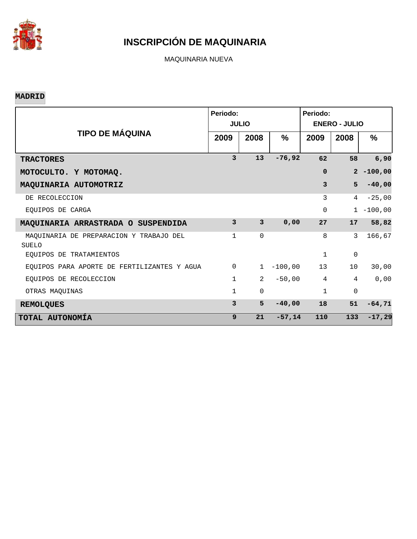

MAQUINARIA NUEVA

#### **MADRID**

|                                                  | Periodo:     | <b>JULIO</b>            |           | Periodo:<br><b>ENERO - JULIO</b> |                |               |  |  |
|--------------------------------------------------|--------------|-------------------------|-----------|----------------------------------|----------------|---------------|--|--|
| <b>TIPO DE MÁQUINA</b>                           | 2009         | 2008                    | %         | 2009                             | 2008           | $\frac{9}{6}$ |  |  |
| <b>TRACTORES</b>                                 | 3            | 13                      | $-76,92$  | 62                               | 58             | 6,90          |  |  |
| MOTOCULTO. Y MOTOMAQ.                            |              |                         |           | $\mathbf 0$                      |                | $2 - 100,00$  |  |  |
| MAQUINARIA AUTOMOTRIZ                            |              |                         |           | 3                                | 5              | $-40,00$      |  |  |
| DE RECOLECCION                                   |              |                         |           | 3                                | 4              | $-25,00$      |  |  |
| EOUIPOS DE CARGA                                 |              |                         |           | 0                                | $\mathbf{1}$   | $-100,00$     |  |  |
| MAQUINARIA ARRASTRADA O SUSPENDIDA               | 3            | $\overline{\mathbf{3}}$ | 0,00      | 27                               | 17             | 58,82         |  |  |
| MAQUINARIA DE PREPARACION Y TRABAJO DEL<br>SUELO | $\mathbf{1}$ | 0                       |           | 8                                | 3              | 166,67        |  |  |
| EOUIPOS DE TRATAMIENTOS                          |              |                         |           | $\mathbf{1}$                     | $\mathbf 0$    |               |  |  |
| EQUIPOS PARA APORTE DE FERTILIZANTES Y AGUA      | $\mathbf 0$  | $\mathbf{1}$            | $-100,00$ | 13                               | 10             | 30,00         |  |  |
| EOUIPOS DE RECOLECCION                           | $\mathbf{1}$ | $\overline{2}$          | $-50,00$  | $\overline{4}$                   | $\overline{4}$ | 0,00          |  |  |
| OTRAS MAOUINAS                                   | 1            | 0                       |           | $\mathbf{1}$                     | $\mathbf 0$    |               |  |  |
| <b>REMOLQUES</b>                                 | 3            | 5                       | $-40,00$  | 18                               | 51             | $-64,71$      |  |  |
| TOTAL AUTONOMÍA                                  | $\mathbf{9}$ | 21                      | $-57,14$  | 110                              | 133            | $-17,29$      |  |  |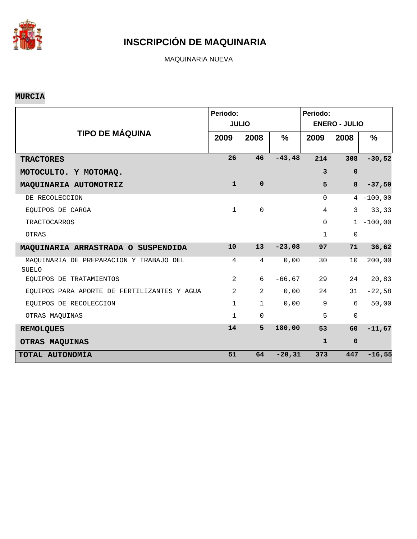

MAQUINARIA NUEVA

#### **MURCIA**

|                                                  | Periodo:       | <b>JULIO</b>        |           | Periodo:<br><b>ENERO - JULIO</b> |             |              |  |  |  |
|--------------------------------------------------|----------------|---------------------|-----------|----------------------------------|-------------|--------------|--|--|--|
| <b>TIPO DE MÁQUINA</b>                           | 2009           | 2008                | $\%$      | 2009                             | 2008        | %            |  |  |  |
| <b>TRACTORES</b>                                 | 26             | 46                  | $-43, 48$ | 214                              | 308         | $-30,52$     |  |  |  |
| MOTOCULTO. Y MOTOMAQ.                            |                |                     |           | $\overline{3}$                   | $\mathbf 0$ |              |  |  |  |
| MAQUINARIA AUTOMOTRIZ                            | $\mathbf{1}$   | $\mathbf 0$         |           | 5                                | 8           | $-37,50$     |  |  |  |
| DE RECOLECCION                                   |                |                     |           | $\Omega$                         |             | $4 - 100,00$ |  |  |  |
| EOUIPOS DE CARGA                                 | $\mathbf{1}$   | $\mathsf{O}\xspace$ |           | $\overline{4}$                   | 3           | 33,33        |  |  |  |
| <b>TRACTOCARROS</b>                              |                |                     |           | $\mathbf 0$                      |             | $1 - 100,00$ |  |  |  |
| OTRAS                                            |                |                     |           | $\mathbf{1}$                     | 0           |              |  |  |  |
| MAQUINARIA ARRASTRADA O SUSPENDIDA               | 10             | 13 <sup>2</sup>     | $-23,08$  | 97                               | 71          | 36,62        |  |  |  |
| MAQUINARIA DE PREPARACION Y TRABAJO DEL<br>SUELO | 4              | $\overline{4}$      | 0,00      | 30                               | 10          | 200,00       |  |  |  |
| EQUIPOS DE TRATAMIENTOS                          | $\overline{2}$ | 6                   | $-66, 67$ | 29                               | 24          | 20,83        |  |  |  |
| EOUIPOS PARA APORTE DE FERTILIZANTES Y AGUA      | 2              | $\overline{2}$      | 0,00      | 24                               | 31          | $-22,58$     |  |  |  |
| EQUIPOS DE RECOLECCION                           | $\mathbf{1}$   | $\mathbf 1$         | 0,00      | $\overline{9}$                   | 6           | 50,00        |  |  |  |
| OTRAS MAQUINAS                                   | $\mathbf{1}$   | $\mathbf 0$         |           | 5                                | $\mathbf 0$ |              |  |  |  |
| <b>REMOLQUES</b>                                 | 14             | 5                   | 180,00    | 53                               | 60          | $-11,67$     |  |  |  |
| OTRAS MAQUINAS                                   |                |                     |           | $\mathbf{1}$                     | $\mathbf 0$ |              |  |  |  |
| TOTAL AUTONOMÍA                                  | 51             | 64                  | $-20, 31$ | 373                              | 447         | $-16,55$     |  |  |  |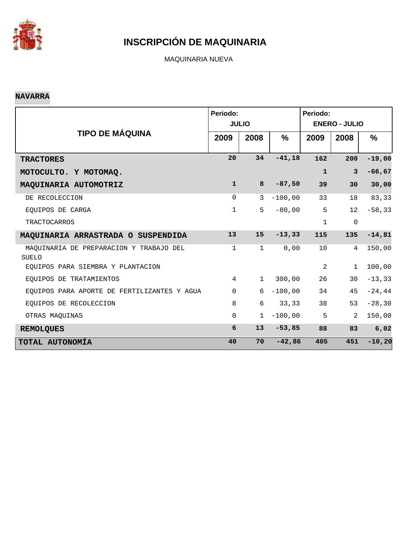

MAQUINARIA NUEVA

#### **NAVARRA**

|                                                         | Periodo:       |               |           | Periodo:             |                     |               |  |  |  |
|---------------------------------------------------------|----------------|---------------|-----------|----------------------|---------------------|---------------|--|--|--|
|                                                         |                | <b>JULIO</b>  |           | <b>ENERO - JULIO</b> |                     |               |  |  |  |
| <b>TIPO DE MÁQUINA</b>                                  | 2009           | 2008          | $\%$      | 2009                 | 2008                | $\frac{0}{0}$ |  |  |  |
| <b>TRACTORES</b>                                        | 20             | 34            | $-41,18$  | 162                  | 200                 | $-19,00$      |  |  |  |
| MOTOCULTO. Y MOTOMAQ.                                   |                |               |           | $\mathbf{1}$         | 3                   | $-66, 67$     |  |  |  |
| MAQUINARIA AUTOMOTRIZ                                   | $\mathbf{1}$   | 8             | $-87,50$  | 39                   | 30                  | 30,00         |  |  |  |
| DE RECOLECCION                                          | $\Omega$       | $\mathcal{E}$ | $-100,00$ | 33                   | 18                  | 83,33         |  |  |  |
| EOUIPOS DE CARGA                                        | 1              | 5             | $-80,00$  | 5                    | 12                  | $-58, 33$     |  |  |  |
| <b>TRACTOCARROS</b>                                     |                |               |           | $\mathbf{1}$         | $\mathsf{O}\xspace$ |               |  |  |  |
| MAQUINARIA ARRASTRADA O SUSPENDIDA                      | 13             | 15            | $-13, 33$ | 115                  | 135                 | $-14,81$      |  |  |  |
| MAQUINARIA DE PREPARACION Y TRABAJO DEL<br><b>SUELO</b> | $\mathbf{1}$   | $\mathbf 1$   | 0,00      | 10                   | 4                   | 150,00        |  |  |  |
| EOUIPOS PARA SIEMBRA Y PLANTACION                       |                |               |           | 2                    | $\mathbf{1}$        | 100,00        |  |  |  |
| EOUIPOS DE TRATAMIENTOS                                 | $\overline{4}$ | $\mathbf{1}$  | 300,00    | 26                   | 30                  | $-13, 33$     |  |  |  |
| EQUIPOS PARA APORTE DE FERTILIZANTES Y AGUA             | $\Omega$       | 6             | $-100,00$ | 34                   | 45                  | $-24,44$      |  |  |  |
| EQUIPOS DE RECOLECCION                                  | 8              | 6             | 33,33     | 38                   | 53                  | $-28, 30$     |  |  |  |
| OTRAS MAQUINAS                                          | $\Omega$       | $\mathbf{1}$  | $-100,00$ | 5                    | $\mathfrak{D}$      | 150,00        |  |  |  |
| <b>REMOLQUES</b>                                        | 6              | 13            | $-53,85$  | 88                   | 83                  | 6,02          |  |  |  |
| TOTAL AUTONOMÍA                                         | 40             | 70            | $-42,86$  | 405                  | 451                 | $-10, 20$     |  |  |  |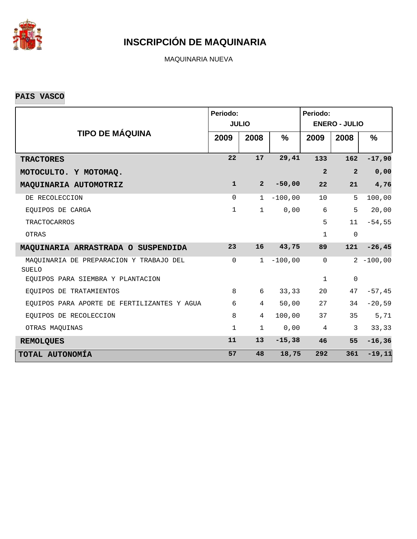

MAQUINARIA NUEVA

**PAIS VASCO**

|                                                         | Periodo:     | <b>JULIO</b>   |               | Periodo:<br><b>ENERO - JULIO</b> |                |              |  |  |  |
|---------------------------------------------------------|--------------|----------------|---------------|----------------------------------|----------------|--------------|--|--|--|
| <b>TIPO DE MÁQUINA</b>                                  | 2009         | 2008           | $\frac{9}{6}$ | 2009                             | 2008           | %            |  |  |  |
| <b>TRACTORES</b>                                        | 22           | 17             | 29,41         | 133                              | 162            | $-17,90$     |  |  |  |
| MOTOCULTO. Y MOTOMAQ.                                   |              |                |               | $\overline{2}$                   | $\overline{2}$ | 0,00         |  |  |  |
| MAQUINARIA AUTOMOTRIZ                                   | $\mathbf{1}$ | $\overline{a}$ | $-50,00$      | 22                               | 21             | 4,76         |  |  |  |
| DE RECOLECCION                                          | $\mathbf 0$  | $\mathbf{1}$   | $-100,00$     | 10                               | 5              | 100,00       |  |  |  |
| EOUIPOS DE CARGA                                        | $\mathbf{1}$ | $\mathbf{1}$   | 0,00          | 6                                | 5              | 20,00        |  |  |  |
| <b>TRACTOCARROS</b>                                     |              |                |               | 5                                | 11             | $-54,55$     |  |  |  |
| OTRAS                                                   |              |                |               | $\mathbf{1}$                     | $\mathbf 0$    |              |  |  |  |
| MAQUINARIA ARRASTRADA O SUSPENDIDA                      | 23           | 16             | 43,75         | 89                               | 121            | $-26, 45$    |  |  |  |
| MAQUINARIA DE PREPARACION Y TRABAJO DEL<br><b>SUELO</b> | $\mathbf 0$  | $\mathbf{1}$   | $-100,00$     | $\mathbf 0$                      |                | $2 - 100,00$ |  |  |  |
| EQUIPOS PARA SIEMBRA Y PLANTACION                       |              |                |               | $\mathbf{1}$                     | $\mathsf 0$    |              |  |  |  |
| EOUIPOS DE TRATAMIENTOS                                 | 8            | 6              | 33, 33        | 20                               | 47             | $-57, 45$    |  |  |  |
| EQUIPOS PARA APORTE DE FERTILIZANTES Y AGUA             | 6            | $\overline{4}$ | 50,00         | 27                               | 34             | $-20,59$     |  |  |  |
| EOUIPOS DE RECOLECCION                                  | 8            | $\overline{4}$ | 100,00        | 37                               | 35             | 5,71         |  |  |  |
| OTRAS MAQUINAS                                          | $\mathbf{1}$ | $\mathbf 1$    | 0,00          | $\overline{4}$                   | 3              | 33,33        |  |  |  |
| <b>REMOLQUES</b>                                        | 11           | 13             | $-15,38$      | 46                               | 55             | $-16, 36$    |  |  |  |
| TOTAL AUTONOMÍA                                         | 57           | 48             | 18,75         | 292                              | 361            | $-19, 11$    |  |  |  |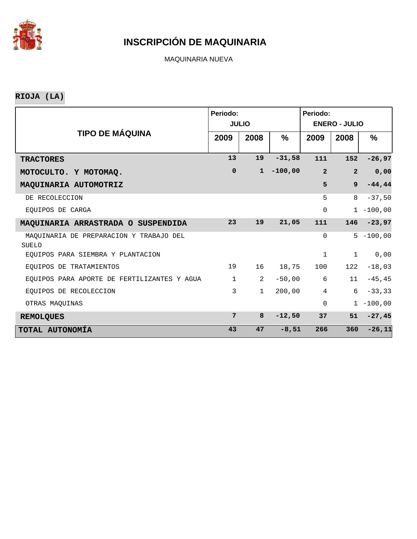

MAQUINARIA NUEVA

**RIOJA (LA)**

|                                                         | Periodo:     |                |           | Periodo:             |                |              |  |  |  |
|---------------------------------------------------------|--------------|----------------|-----------|----------------------|----------------|--------------|--|--|--|
|                                                         |              | <b>JULIO</b>   |           | <b>ENERO - JULIO</b> |                |              |  |  |  |
| <b>TIPO DE MÁQUINA</b>                                  | 2009         | 2008           | $\%$      | 2009                 | 2008           | %            |  |  |  |
|                                                         |              |                |           |                      |                |              |  |  |  |
| <b>TRACTORES</b>                                        | 13           | 19             | $-31,58$  | 111                  | 152            | $-26,97$     |  |  |  |
| MOTOCULTO. Y MOTOMAQ.                                   | $\mathbf 0$  | $\mathbf{1}$   | $-100,00$ | $\overline{2}$       | $\overline{2}$ | 0,00         |  |  |  |
| MAQUINARIA AUTOMOTRIZ                                   |              |                |           | 5                    | $\mathbf{9}$   | $-44, 44$    |  |  |  |
| DE RECOLECCION                                          |              |                |           | 5                    | 8              | $-37,50$     |  |  |  |
| EOUIPOS DE CARGA                                        |              |                |           | $\mathbf 0$          |                | $1 - 100,00$ |  |  |  |
| MAQUINARIA ARRASTRADA O SUSPENDIDA                      | 23           | 19             | 21,05     | 111                  | 146            | $-23,97$     |  |  |  |
| MAOUINARIA DE PREPARACION Y TRABAJO DEL<br><b>SUELO</b> |              |                |           | $\Omega$             |                | $5 - 100,00$ |  |  |  |
| EOUIPOS PARA SIEMBRA Y PLANTACION                       |              |                |           | $\mathbf 1$          | $\mathbf 1$    | 0,00         |  |  |  |
| EOUIPOS DE TRATAMIENTOS                                 | 19           | 16             | 18,75     | 100                  | 122            | $-18,03$     |  |  |  |
| EQUIPOS PARA APORTE DE FERTILIZANTES Y AGUA             | $\mathbf{1}$ | $\overline{2}$ | $-50,00$  | 6                    | 11             | $-45, 45$    |  |  |  |
| EOUIPOS DE RECOLECCION                                  | 3            | $\mathbf{1}$   | 200,00    | $\overline{4}$       | 6              | $-33, 33$    |  |  |  |
| OTRAS MAQUINAS                                          |              |                |           | $\Omega$             |                | $1 - 100,00$ |  |  |  |
| <b>REMOLQUES</b>                                        | 7            | 8              | $-12,50$  | 37                   | 51             | $-27,45$     |  |  |  |
| TOTAL AUTONOMÍA                                         | 43           | 47             | $-8,51$   | 266                  | 360            | $-26,11$     |  |  |  |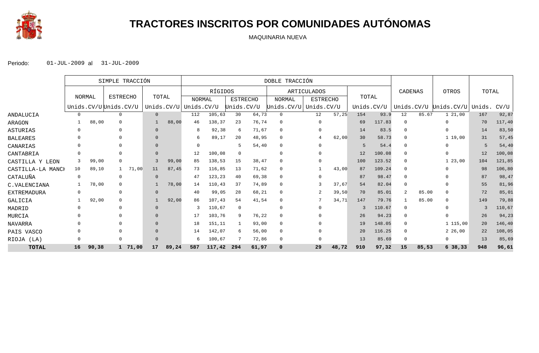

## **TRACTORES INSCRITOS POR COMUNIDADES AUTÓNOMAS**

MAQUINARIA NUEVA

|                   |          |        | SIMPLE TRACCIÓN       |         |            |       | DOBLE TRACCIÓN |         |                 |       |                |  |                    |       |            |        |            |       |            |        |        |
|-------------------|----------|--------|-----------------------|---------|------------|-------|----------------|---------|-----------------|-------|----------------|--|--------------------|-------|------------|--------|------------|-------|------------|--------|--------|
|                   |          |        |                       |         |            |       |                | RÍGIDOS |                 |       |                |  | <b>ARTICULADOS</b> |       |            |        | CADENAS    |       | OTROS      | TOTAL  |        |
|                   |          | NORMAL | <b>ESTRECHO</b>       |         | TOTAL      |       | <b>NORMAL</b>  |         | <b>ESTRECHO</b> |       | <b>NORMAL</b>  |  | <b>ESTRECHO</b>    |       | TOTAL      |        |            |       |            |        |        |
|                   |          |        | Unids.CV/UUUnids.CV/U |         | Unids.CV/U |       | Unids.CV/U     |         | Unids.CV/U      |       | Unids.CV/U     |  | Unids.CV/U         |       | Unids.CV/U |        | Unids.CV/U |       | Unids.CV/U | Unids. | CV/U   |
| ANDALUCIA         | $\Omega$ |        | $\Omega$              |         | $\Omega$   |       | 112            | 105,63  | 30              | 64,73 | $\mathbf{0}$   |  | 12                 | 57,25 | 154        | 93.9   | 12         | 85.67 | 1, 21, 00  | 167    | 92,87  |
| ARAGON            |          | 88,00  | $\Omega$              |         |            | 88,00 | 46             | 138,37  | 23              | 76,74 | 0              |  |                    |       | 69         | 117.83 |            |       | $\Omega$   | 70     | 117,40 |
| ASTURIAS          |          |        |                       |         |            |       |                | 92,38   | 6               | 71,67 | $\mathbf{0}$   |  |                    |       | 14         | 83.5   | $\Omega$   |       |            | 14     | 83,50  |
| BALEARES          |          |        |                       |         |            |       |                | 89,17   | 20              | 48,95 | $\mathbf 0$    |  |                    | 62,00 | 30         | 58.73  |            |       | 119,00     | 31     | 57,45  |
| CANARIAS          |          |        |                       |         |            |       |                |         |                 | 54,40 | 0              |  |                    |       | 5          | 54.4   |            |       |            | 5      | 54,40  |
| CANTABRIA         |          |        |                       |         |            |       | 12             | 100,08  | $\Omega$        |       | $\Omega$       |  |                    |       | 12         | 100.08 |            |       |            | 12     | 100,08 |
| CASTILLA Y LEON   |          | 99,00  |                       |         |            | 99,00 | 85             | 138,53  | 15              | 38,47 | $\Omega$       |  |                    |       | 100        | 123.52 |            |       | 1, 23, 00  | 104    | 121,85 |
| CASTILLA-LA MANCH | 10       | 89,10  |                       | 71,00   | 11         | 87,45 | 73             | 116,85  | 13              | 71,62 | $\mathbf 0$    |  |                    | 43,00 | 87         | 109.24 |            |       |            | 98     | 106,80 |
| CATALUÑA          | $\Omega$ |        | $\Omega$              |         |            |       | 47             | 123,23  | 40              | 69,38 | $\Omega$       |  | $\Omega$           |       | 87         | 98.47  |            |       |            | 87     | 98,47  |
| C.VALENCIANA      |          | 78,00  |                       |         |            | 78,00 | 14             | 110,43  | 37              | 74,89 | $\Omega$       |  |                    | 37,67 | 54         | 82.04  | $\Omega$   |       |            | 55     | 81,96  |
| EXTREMADURA       | 0        |        | $\Omega$              |         |            |       | 40             | 99,05   | 28              | 68,21 | 0              |  |                    | 39,50 | 70         | 85.01  |            | 85.00 |            | 72     | 85,01  |
| GALICIA           |          | 92,00  |                       |         |            | 92,00 | 86             | 107,43  | 54              | 41,54 | $\Omega$       |  |                    | 34,71 | 147        | 79.76  |            | 85.00 |            | 149    | 79,88  |
| MADRID            |          |        |                       |         |            |       |                | 110,67  | $\mathbf 0$     |       | $\Omega$       |  |                    |       | 3          | 110.67 | $\Omega$   |       |            | 3      | 110,67 |
| MURCIA            |          |        |                       |         |            |       | 17             | 103,76  | -9              | 76,22 | $\Omega$       |  |                    |       | 26         | 94.23  |            |       |            | 26     | 94,23  |
| NAVARRA           |          |        |                       |         |            |       | 18             | 151,11  |                 | 93,00 | 0              |  |                    |       | 19         | 148.05 |            |       | 1 115,00   | 20     | 146,40 |
| PAIS VASCO        |          |        |                       |         |            |       | 14             | 142,07  | 6               | 56,00 | $\overline{0}$ |  |                    |       | 20         | 116.25 | $\Omega$   |       | 2, 26, 00  | 22     | 108,05 |
| RIOJA<br>(LA)     |          |        |                       |         |            |       |                | 100,67  |                 | 72,86 | 0              |  |                    |       | 13         | 85.69  |            |       | $\Omega$   | 13     | 85,69  |
| <b>TOTAL</b>      | 16       | 90,38  |                       | 1 71,00 | 17         | 89,24 | 587            | 117,42  | 294             | 61,97 | $\mathbf 0$    |  | 29                 | 48,72 | 910        | 97,32  | 15         | 85,53 | 638,33     | 948    | 96,61  |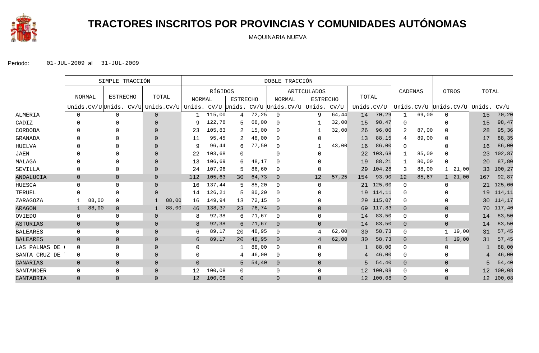

# **TRACTORES INSCRITOS POR PROVINCIAS Y COMUNIDADES AUTÓNOMAS**

MAQUINARIA NUEVA

|                 |                |               | SIMPLE TRACCIÓN                   |                |       | DOBLE TRACCIÓN |         |                 |       |                                     |                 |       |            |           |                |                       |                |           |                 |        |
|-----------------|----------------|---------------|-----------------------------------|----------------|-------|----------------|---------|-----------------|-------|-------------------------------------|-----------------|-------|------------|-----------|----------------|-----------------------|----------------|-----------|-----------------|--------|
|                 |                |               |                                   |                |       |                | RÍGIDOS |                 |       |                                     | ARTICULADOS     |       |            |           | CADENAS        |                       |                | OTROS     | TOTAL           |        |
|                 |                | <b>NORMAL</b> | <b>ESTRECHO</b>                   | TOTAL          |       | <b>NORMAL</b>  |         | <b>ESTRECHO</b> |       | <b>NORMAL</b>                       | <b>ESTRECHO</b> |       | TOTAL      |           |                |                       |                |           |                 |        |
|                 |                |               | Unids.CV/U Unids. CV/U Unids.CV/U |                |       |                |         |                 |       | Unids. CV/U Unids. CV/U Unids. CV/U | Unids.          | CV/U  | Unids.CV/U |           |                | Unids.CV/U Unids.CV/U |                |           | Unids.          | CV/U   |
| ALMERIA         | 0              |               | 0                                 | $\overline{0}$ |       |                | 115,00  | 4               | 72,25 | $\mathbf{0}$                        | 9               | 64,44 | 14         | 70,29     | $\mathbf 1$    | 69,00                 | $\mathbf 0$    |           | 15              | 70,20  |
| CADIZ           |                |               | $\Omega$                          | $\Omega$       |       | 9              | 122,78  |                 | 68,00 | $\Omega$                            |                 | 32,00 | 15         | 98,47     | $\mathbf 0$    |                       | O              |           | 15              | 98,47  |
| CORDOBA         |                |               |                                   | $\Omega$       |       | 23             | 105,83  |                 | 15,00 | $\Omega$                            |                 | 32,00 | 26         | 96,00     | 2              | 87,00                 | $\Omega$       |           | 28              | 95,36  |
| <b>GRANADA</b>  |                |               |                                   | $\Omega$       |       | 11             | 95,45   |                 | 48,00 | $\Omega$                            | $\Omega$        |       | 13         | 88,15     | 4              | 89,00                 | 0              |           | 17              | 88,35  |
| <b>HUELVA</b>   |                |               | $\Omega$                          | $\Omega$       |       | 9              | 96,44   | 6               | 77,50 | 0                                   |                 | 43,00 | 16         | 86,00     | 0              |                       | O              |           | 16              | 86,00  |
| <b>JAEN</b>     |                |               | U                                 | $\Omega$       |       | 22             | 103,68  | $\Omega$        |       | $\Omega$                            | U               |       | 22         | 103,68    | 1              | 85,00                 | $\Omega$       |           | 23              | 102,87 |
| MALAGA          |                |               | $\Omega$                          | $\Omega$       |       | 13             | 106,69  | 6               | 48,17 | $\Omega$                            |                 |       | 19         | 88,21     | 1              | 80,00                 | $\Omega$       |           | 20              | 87,80  |
| SEVILLA         |                |               | 0                                 | $\Omega$       |       | 24             | 107,96  |                 | 86,60 | $\Omega$                            | $\mathbf{0}$    |       | 29         | 104,28    | 3              | 88,00                 |                | 21,00     | 33              | 100,27 |
| ANDALUCIA       | $\overline{0}$ |               | $\mathbf 0$                       | $\Omega$       |       | 112            | 105,63  | 30              | 64,73 | $\overline{0}$                      | 12              | 57,25 | 154        | 93,90     | 12             | 85,67                 |                | 1, 21, 00 | 167             | 92,87  |
| HUESCA          | $\Omega$       |               | $\mathbf 0$                       | $\Omega$       |       | 16             | 137,44  |                 | 85,20 | $\mathbf 0$                         | $\Omega$        |       | 21         | 125,00    | $\mathbf 0$    |                       | $\Omega$       |           | 21              | 125,00 |
| TERUEL          |                |               | $\Omega$                          | $\Omega$       |       | 14             | 126,21  |                 | 80,20 | $\mathbf 0$                         | U               |       | 19         | 114,11    | 0              |                       |                |           | 19              | 114,11 |
| ZARAGOZA        |                | 88,00         | $\Omega$                          |                | 88,00 | 16             | 149,94  | 13              | 72,15 | $\Omega$                            | 0               |       | 29         | 115,07    | 0              |                       | O              |           | 30 <sup>°</sup> | 114,17 |
| <b>ARAGON</b>   | $\mathbf 1$    | 88,00         | $\mathbf 0$                       |                | 88,00 | 46             | 138,37  | 23              | 76,74 | $\overline{0}$                      | $\overline{0}$  |       | 69         | 117,83    | $\mathbf 0$    |                       | $\mathbf 0$    |           | 70              | 117,40 |
| OVIEDO          | $\mathbf 0$    |               | 0                                 | $\Omega$       |       | 8              | 92,38   | 6               | 71,67 | $\mathbf 0$                         | $\mathbf 0$     |       | 14         | 83,50     | 0              |                       | 0              |           | 14              | 83,50  |
| <b>ASTURIAS</b> | $\overline{0}$ |               | $\mathbf 0$                       | $\Omega$       |       | 8              | 92,38   | 6               | 71,67 | $\Omega$                            | $\overline{0}$  |       | 14         | 83,50     | $\mathbf 0$    |                       | $\overline{0}$ |           | 14              | 83,50  |
| <b>BALEARES</b> | $\mathbf 0$    |               | $\mathbf 0$                       | $\Omega$       |       | 6              | 89,17   | 20              | 48,95 | $\mathbf 0$                         | 4               | 62,00 | 30         | 58,73     | 0              |                       | $\mathbf{1}$   | 19,00     | 31              | 57,45  |
| <b>BALEARES</b> | $\overline{0}$ |               | $\overline{0}$                    | $\Omega$       |       | 6              | 89,17   | 20              | 48,95 | $\overline{0}$                      | 4               | 62,00 | 30         | 58,73     | $\overline{0}$ |                       |                | 1, 19, 00 | 31              | 57,45  |
| LAS PALMAS DE   | $\mathbf 0$    |               | $\Omega$                          | $\Omega$       |       | 0              |         |                 | 88,00 | $\mathbf 0$                         | 0               |       |            | 88,00     | 0              |                       | $\Omega$       |           |                 | 88,00  |
| SANTA CRUZ DE ! | $\mathbf 0$    |               | $\mathbf 0$                       | $\Omega$       |       | $\Omega$       |         |                 | 46,00 | $\Omega$                            | $\Omega$        |       | 4          | 46,00     | 0              |                       | $\Omega$       |           | 4               | 46,00  |
| CANARIAS        | $\overline{0}$ |               | $\overline{0}$                    | $\Omega$       |       | $\overline{0}$ |         | 5               | 54,40 | $\overline{0}$                      | $\Omega$        |       | 5          | 54,40     | $\mathbf 0$    |                       | $\overline{0}$ |           | 5               | 54,40  |
| SANTANDER       | $\Omega$       |               | 0                                 | $\Omega$       |       | 12             | 100,08  | $\mathbf{0}$    |       | $\mathbf{0}$                        | $\Omega$        |       | 12         | 100,08    | 0              |                       | $\mathbf{0}$   |           | 12              | 100,08 |
| CANTABRIA       | $\Omega$       |               | $\Omega$                          | $\Omega$       |       | 12             | 100,08  | $\Omega$        |       | $\Omega$                            | $\Omega$        |       |            | 12 100,08 | $\Omega$       |                       | $\Omega$       |           | 12              | 100,08 |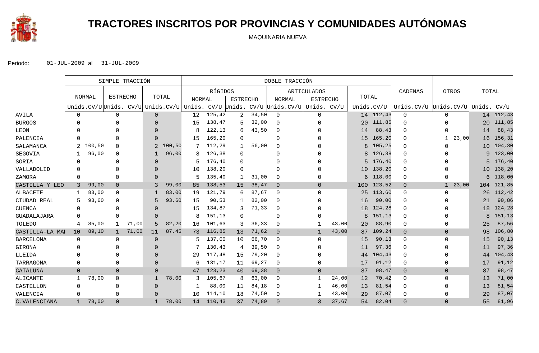

# **TRACTORES INSCRITOS POR PROVINCIAS Y COMUNIDADES AUTÓNOMAS**

MAQUINARIA NUEVA

|                  |                 | SIMPLE TRACCIÓN |                 |       |                |        |        | DOBLE TRACCIÓN |                 |       |                                                                                  |                    |       |                 |           |                                   |                       |                 |           |
|------------------|-----------------|-----------------|-----------------|-------|----------------|--------|--------|----------------|-----------------|-------|----------------------------------------------------------------------------------|--------------------|-------|-----------------|-----------|-----------------------------------|-----------------------|-----------------|-----------|
|                  |                 |                 |                 |       |                |        |        | RÍGIDOS        |                 |       |                                                                                  | <b>ARTICULADOS</b> |       |                 |           | CADENAS                           | OTROS                 | TOTAL           |           |
|                  |                 | NORMAL          | <b>ESTRECHO</b> |       |                | TOTAL  | NORMAL |                | <b>ESTRECHO</b> |       | <b>NORMAL</b>                                                                    | <b>ESTRECHO</b>    |       | TOTAL           |           |                                   |                       |                 |           |
|                  |                 |                 |                 |       |                |        |        |                |                 |       | Unids.CV/U Unids. CV/U Unids.CV/U Unids. CV/U Unids. CV/U Unids.CV/U Unids. CV/U |                    |       | Unids.CV/U      |           | Unids.CV/U Unids.CV/U Unids. CV/U |                       |                 |           |
| AVILA            | $\mathsf{O}$    |                 | 0               |       | $\overline{0}$ |        | 12     | 125,42         | $\overline{2}$  | 34,50 | $\mathbf 0$                                                                      | $\mathbf 0$        |       |                 | 14 112,43 | $\mathbf 0$                       | $\Omega$              |                 | 14 112,43 |
| <b>BURGOS</b>    | $\Omega$        |                 | 0               |       | $\Omega$       |        | 15     | 138,47         | 5               | 32,00 | $\mathbf 0$                                                                      | 0                  |       |                 | 20 111,85 | $\Omega$                          | 0                     | 20              | 111,85    |
| LEON             | 0               |                 |                 |       | $\Omega$       |        | 8      | 122,13         | 6               | 43,50 | $\mathbf 0$                                                                      |                    |       | 14              | 88,43     | $\Omega$                          | $\Omega$              | 14              | 88,43     |
| PALENCIA         | 0               |                 | $\Omega$        |       | $\Omega$       |        | 15     | 165,20         | $\Omega$        |       | $\Omega$                                                                         | <sup>0</sup>       |       | 15 <sub>1</sub> | 165,20    | $\Omega$                          | 23,00                 | 16              | 156,31    |
| SALAMANCA        | 2               | 100,50          | $\Omega$        |       | 2              | 100,50 |        | 112,29         |                 | 56,00 | $\mathbf{0}$                                                                     |                    |       | 8               | 105,25    | 0                                 |                       | 10 <sup>°</sup> | 104,30    |
| SEGOVIA          |                 | 96,00           | $\Omega$        |       |                | 96,00  | 8      | 126,38         | $\Omega$        |       | $\Omega$                                                                         |                    |       | 8               | 126,38    | $\Omega$                          |                       |                 | 9 123,00  |
| SORIA            | 0               |                 | 0               |       | $\Omega$       |        | 5      | 176,40         | $\Omega$        |       | $\Omega$                                                                         |                    |       |                 | 5 176,40  | $\Omega$                          |                       |                 | 5 176,40  |
| VALLADOLID       | $\Omega$        |                 |                 |       | $\Omega$       |        | 10     | 138,20         | $\Omega$        |       | $\Omega$                                                                         | $\Omega$           |       |                 | 10 138,20 | $\Omega$                          |                       |                 | 10 138,20 |
| ZAMORA           | 0               |                 | 0               |       | $\Omega$       |        | 5      | 135,40         |                 | 31,00 | $\Omega$                                                                         | 0                  |       | 6               | 118,00    | 0                                 | ∩                     |                 | 6 118,00  |
| CASTILLA Y LEO   | 3               | 99,00           | $\overline{0}$  |       | 3              | 99,00  | 85     | 138,53         | 15              | 38,47 | $\overline{0}$                                                                   | $\overline{0}$     |       | 100             | 123,52    | $\mathbf{0}$                      | 23,00<br>$\mathbf{1}$ | 104             | 121,85    |
| <b>ALBACETE</b>  | 1               | 83,00           | $\Omega$        |       |                | 83,00  | 19     | 121,79         | 6               | 87,67 | $\mathbf 0$                                                                      | $\mathbf 0$        |       | 25              | 113,60    | 0                                 | $\mathbf{0}$          | 26              | 112,42    |
| CIUDAD REAL      | 5               | 93,60           | 0               |       | 5              | 93,60  | 15     | 90,53          |                 | 82,00 | $\mathbf 0$                                                                      | $\Omega$           |       | 16              | 90,00     | 0                                 |                       | 21              | 90,86     |
| <b>CUENCA</b>    | 0               |                 | 0               |       | $\Omega$       |        | 15     | 134,87         | 3               | 71,33 | 0                                                                                | O                  |       | 18              | 124,28    | 0                                 |                       | 18              | 124,28    |
| GUADALAJARA      | 0               |                 | 0               |       | $\Omega$       |        | 8      | 151,13         | $\Omega$        |       | $\Omega$                                                                         | <sup>0</sup>       |       | 8               | 151,13    | 0                                 |                       | 8               | 151,13    |
| TOLEDO           | 4               | 85,00           | $\mathbf{1}$    | 71,00 | 5              | 82,20  | 16     | 101,63         | 3               | 36,33 | $\mathbf 0$                                                                      |                    | 43,00 | 20              | 88,90     | 0                                 | $\Omega$              | 25              | 87,56     |
| CASTILLA-LA MAI  | 10 <sup>°</sup> | 89,10           | $\mathbf{1}$    | 71,00 | 11             | 87,45  | 73     | 116,85         | 13              | 71,62 | $\overline{0}$                                                                   | $\mathbf{1}$       | 43,00 | 87              | 109,24    | $\overline{0}$                    | $\Omega$              | 98              | 106,80    |
| <b>BARCELONA</b> | $\mathbf 0$     |                 | 0               |       | $\Omega$       |        | 5      | 137,00         | 10              | 66,70 | $\Omega$                                                                         | $\Omega$           |       | 15              | 90, 13    | 0                                 | $\Omega$              | 15              | 90, 13    |
| GIRONA           | $\Omega$        |                 | <sup>n</sup>    |       | $\Omega$       |        |        | 130,43         | 4               | 39,50 | 0                                                                                | $\Omega$           |       | 11              | 97,36     | 0                                 | ∩                     | 11              | 97,36     |
| LLEIDA           | $\Omega$        |                 |                 |       | $\Omega$       |        | 29     | 117,48         | 15              | 79,20 | $\mathbf 0$                                                                      | $\Omega$           |       | 44              | 104,43    | $\Omega$                          | ∩                     | 44              | 104,43    |
| TARRAGONA        | $\mathbf 0$     |                 | 0               |       | $\Omega$       |        | 6      | 131,17         | 11              | 69,27 | $\mathbf 0$                                                                      | $\Omega$           |       | 17              | 91,12     | 0                                 | $\Omega$              | 17              | 91,12     |
| CATALUÑA         | $\overline{0}$  |                 | $\overline{0}$  |       | $\Omega$       |        | 47     | 123,23         | 40              | 69,38 | $\overline{0}$                                                                   | $\overline{0}$     |       | 87              | 98,47     | $\overline{0}$                    | $\mathbf{0}$          | 87              | 98,47     |
| ALICANTE         | $\mathbf{1}$    | 78,00           | $\mathbf 0$     |       |                | 78,00  | 3      | 105,67         |                 | 63,00 | $\mathbf 0$                                                                      | -1                 | 24,00 | 12              | 70,42     | 0                                 | $\mathbf 0$           | 13              | 71,00     |
| CASTELLON        | 0               |                 | $\Omega$        |       | $\Omega$       |        | -1     | 88,00          | 11              | 84,18 | $\Omega$                                                                         | -1                 | 46,00 | 13              | 81,54     | $\Omega$                          | <sup>0</sup>          | 13              | 81,54     |
| VALENCIA         | $\Omega$        |                 | $\Omega$        |       | $\Omega$       |        | 10     | 114,10         | 18              | 74,50 | $\Omega$                                                                         |                    | 43,00 | 29              | 87,07     | 0                                 | $\Omega$              | 29              | 87,07     |
| C.VALENCIANA     | $\mathbf{1}$    | 78,00           | $\Omega$        |       |                | 78,00  | 14     | 110,43         | 37              | 74,89 | $\Omega$                                                                         | 3                  | 37,67 | 54              | 82,04     | $\Omega$                          | $\Omega$              | 55              | 81,96     |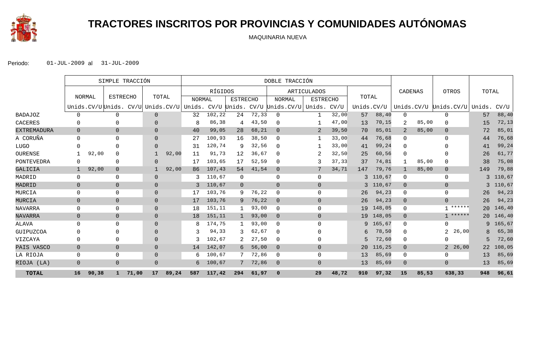

# **TRACTORES INSCRITOS POR PROVINCIAS Y COMUNIDADES AUTÓNOMAS**

MAQUINARIA NUEVA

|                |                | SIMPLE TRACCIÓN |                 |       |                |       | DOBLE TRACCIÓN                           |         |                 |       |                                         |                |                 |       |            |                |       |                              |       |        |
|----------------|----------------|-----------------|-----------------|-------|----------------|-------|------------------------------------------|---------|-----------------|-------|-----------------------------------------|----------------|-----------------|-------|------------|----------------|-------|------------------------------|-------|--------|
|                |                |                 |                 |       |                |       |                                          | RÍGIDOS |                 |       |                                         | ARTICULADOS    |                 |       |            | CADENAS        |       | OTROS                        | TOTAL |        |
|                |                | <b>NORMAL</b>   | <b>ESTRECHO</b> |       | TOTAL          |       | NORMAL                                   |         | <b>ESTRECHO</b> |       | <b>NORMAL</b>                           |                | <b>ESTRECHO</b> | TOTAL |            |                |       |                              |       |        |
|                |                |                 |                 |       |                |       | Unids.CV/U Unids. CV/U Unids.CV/U Unids. |         |                 |       | CV/U Unids. CV/U Unids.CV/U Unids. CV/U |                |                 |       | Unids.CV/U |                |       | Unids.CV/U Unids.CV/U Unids. |       | CV/U   |
| <b>BADAJOZ</b> | $\Omega$       |                 | $\Omega$        |       | $\overline{0}$ |       | 32                                       | 102,22  | 24              | 72,33 | $\Omega$                                | -1             | 32,00           | 57    | 88,40      | $\mathbf 0$    |       | $\Omega$                     | 57    | 88,40  |
| CACERES        | $\Omega$       |                 |                 |       | $\Omega$       |       | 8                                        | 86,38   | 4               | 43,50 | $\Omega$                                |                | 47,00           | 13    | 70,15      | 2              | 85,00 | 0                            | 15    | 72,13  |
| EXTREMADURA    | $\Omega$       |                 | $\overline{0}$  |       | $\overline{0}$ |       | 40                                       | 99,05   | 28              | 68,21 | $\Omega$                                | 2              | 39,50           | 70    | 85,01      | 2              | 85,00 | $\overline{0}$               | 72    | 85,01  |
| A CORUÑA       | $\Omega$       |                 | $\Omega$        |       | $\Omega$       |       | 27                                       | 100,93  | 16              | 38,50 | $\Omega$                                |                | 33,00           | 44    | 76,68      | 0              |       | $\Omega$                     | 44    | 76,68  |
| LUGO           | $\Omega$       |                 | ∩               |       | $\Omega$       |       | 31                                       | 120,74  | 9               | 32,56 | $\Omega$                                |                | 33,00           | 41    | 99,24      | $\Omega$       |       |                              | 41    | 99,24  |
| OURENSE        |                | 92,00           | $\Omega$        |       |                | 92,00 | 11                                       | 91,73   | 12              | 36,67 | $\Omega$                                |                | 32,50           | 25    | 60,56      | $\mathbf 0$    |       | 0                            | 26    | 61,77  |
| PONTEVEDRA     | $\Omega$       |                 | $\Omega$        |       | $\Omega$       |       | 17                                       | 103,65  | 17              | 52,59 | $\Omega$                                | 3              | 37,33           | 37    | 74,81      | 1              | 85,00 | 0                            | 38    | 75,08  |
| GALICIA        | $\mathbf 1$    | 92,00           | $\mathbf 0$     |       |                | 92,00 | 86                                       | 107,43  | 54              | 41,54 | $\Omega$                                | 7              | 34,71           | 147   | 79,76      | $\mathbf{1}$   | 85,00 | $\mathbf{0}$                 | 149   | 79,88  |
| MADRID         | 0              |                 | $\Omega$        |       | $\overline{0}$ |       | ζ                                        | 110,67  | 0               |       | $\Omega$                                | $\mathbf{0}$   |                 | 3     | 110,67     | 0              |       | 0                            | 3     | 110,67 |
| MADRID         | $\Omega$       |                 | $\overline{0}$  |       | $\overline{0}$ |       | 3                                        | 110,67  | $\overline{0}$  |       | $\Omega$                                | $\Omega$       |                 | 3     | 110,67     | $\overline{0}$ |       | $\overline{0}$               | 3     | 110,67 |
| MURCIA         | $\mathbf 0$    |                 | $\mathbf 0$     |       | $\Omega$       |       | 17                                       | 103,76  | 9               | 76,22 | $\Omega$                                | $\mathbf{0}$   |                 | 26    | 94,23      | 0              |       | 0                            | 26    | 94,23  |
| MURCIA         | $\overline{0}$ |                 | $\overline{0}$  |       | $\Omega$       |       | 17                                       | 103,76  | 9               | 76,22 | $\Omega$                                | $\Omega$       |                 | 26    | 94,23      | $\overline{0}$ |       | $\Omega$                     | 26    | 94,23  |
| NAVARRA        | $\mathbf 0$    |                 | $\Omega$        |       | $\Omega$       |       | 18                                       | 151,11  |                 | 93,00 | $\Omega$                                | $\Omega$       |                 | 19    | 148,05     | 0              |       | ******                       | 20    | 146,40 |
| NAVARRA        | $\overline{0}$ |                 | $\mathbf 0$     |       | $\overline{0}$ |       | 18                                       | 151,11  | $\mathbf{1}$    | 93,00 | $\Omega$                                | $\overline{0}$ |                 | 19    | 148,05     | $\overline{0}$ |       | ******<br>1                  | 20    | 146,40 |
| ALAVA          | $\mathbf 0$    |                 | $\Omega$        |       | $\Omega$       |       |                                          | 174,75  |                 | 93,00 | $\Omega$                                | $\mathbf{0}$   |                 | 9     | 165,67     | $\mathbf 0$    |       | 0                            | 9     | 165,67 |
| GUIPUZCOA      | $\Omega$       |                 |                 |       | $\Omega$       |       |                                          | 94,33   |                 | 62,67 | $\Omega$                                | $\Omega$       |                 | 6     | 78,50      | $\mathbf{0}$   |       | 2<br>26,00                   | 8     | 65,38  |
| VIZCAYA        | $\mathbf 0$    |                 | $\mathbf{0}$    |       | $\Omega$       |       | ζ                                        | 102,67  |                 | 27,50 | $\Omega$                                | $\mathbf{0}$   |                 | 5     | 72,60      | $\mathbf 0$    |       | 0                            | 5     | 72,60  |
| PAIS VASCO     | $\Omega$       |                 | $\overline{0}$  |       | $\overline{0}$ |       | 14                                       | 142,07  | 6               | 56,00 | $\Omega$                                | $\Omega$       |                 | 20    | 116,25     | $\overline{0}$ |       | 26,00<br>$\overline{2}$      | 22    | 108,05 |
| LA RIOJA       | $\Omega$       |                 | $\Omega$        |       | $\Omega$       |       | 6                                        | 100,67  |                 | 72,86 | $\Omega$                                | $\Omega$       |                 | 13    | 85,69      | $\mathbf 0$    |       | 0                            | 13    | 85,69  |
| RIOJA (LA)     | $\overline{0}$ |                 | $\overline{0}$  |       | $\overline{0}$ |       | 6                                        | 100,67  |                 | 72,86 | $\Omega$                                | $\overline{0}$ |                 | 13    | 85,69      | $\overline{0}$ |       | $\overline{0}$               | 13    | 85,69  |
| <b>TOTAL</b>   | 16             | 90,38           | $\mathbf{1}$    | 71,00 | 17             | 89,24 | 587                                      | 117,42  | 294             | 61,97 | $\mathbf 0$                             | 29             | 48,72           | 910   | 97,32      | 15             | 85,53 | 638,33                       | 948   | 96,61  |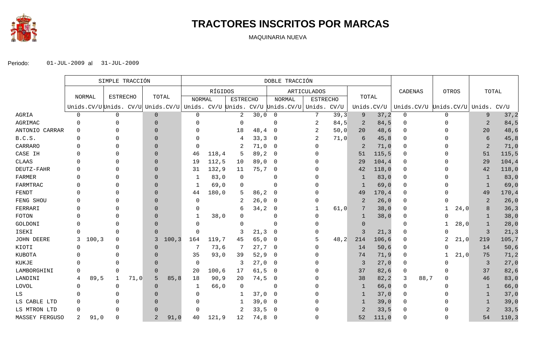

## **TRACTORES INSCRITOS POR MARCAS**

MAQUINARIA NUEVA

|                | SIMPLE TRACCIÓN |        |                                   |      | DOBLE TRACCIÓN |        |                |         |                 |       |                                                 |                    |      |          |            |                       |              |              |                |        |
|----------------|-----------------|--------|-----------------------------------|------|----------------|--------|----------------|---------|-----------------|-------|-------------------------------------------------|--------------------|------|----------|------------|-----------------------|--------------|--------------|----------------|--------|
|                |                 |        |                                   |      |                |        |                | RÍGIDOS |                 |       |                                                 | <b>ARTICULADOS</b> |      |          |            | CADENAS               |              | <b>OTROS</b> | TOTAL          |        |
|                |                 | NORMAL | <b>ESTRECHO</b>                   |      | TOTAL          |        | <b>NORMAL</b>  |         | <b>ESTRECHO</b> |       | <b>NORMAL</b>                                   | <b>ESTRECHO</b>    |      | TOTAL    |            |                       |              |              |                |        |
|                |                 |        | Unids.CV/U Unids. CV/U Unids.CV/U |      |                |        |                |         |                 |       | Unids. CV/U Unids. CV/U Unids. CV/U Unids. CV/U |                    |      |          | Unids.CV/U | Unids.CV/U Unids.CV/U |              |              | Unids. CV/U    |        |
| AGRIA          | $\mathbf 0$     |        | $\mathbf 0$                       |      | $\mathbf{0}$   |        | $\mathbf 0$    |         | 2               | 30,0  | $\overline{0}$                                  | 7                  | 39,3 | 9        | 37, 2      | $\mathbf 0$           | $\mathbf 0$  |              | 9              | 37, 2  |
| AGRIMAC        | $\Omega$        |        | $\Omega$                          |      | $\Omega$       |        | $\Omega$       |         | $\Omega$        |       | $\Omega$                                        | 2                  | 84,5 | 2        | 84,5       | $\Omega$              | $\Omega$     |              | $\overline{2}$ | 84,5   |
| ANTONIO CARRAR | $\Omega$        |        | $\Omega$                          |      | $\Omega$       |        | $\Omega$       |         | 18              | 48,4  | - 0                                             | 2                  | 50,0 | 20       | 48,6       | $\Omega$              | <sup>0</sup> |              | 20             | 48,6   |
| B.C.S.         | $\Omega$        |        |                                   |      | $\Omega$       |        | $\Omega$       |         | 4               | 33, 3 | - 0                                             | 2                  | 71,0 | 6        | 45,8       | $\Omega$              |              |              | 6              | 45,8   |
| CARRARO        | $\Omega$        |        | $\Omega$                          |      | $\Omega$       |        | $\Omega$       |         | 2               | 71,0  | - 0                                             |                    |      |          | 71,0       |                       |              |              | $\overline{2}$ | 71,0   |
| CASE IH        | $\Omega$        |        | $\Omega$                          |      | $\Omega$       |        | 46             | 118,4   | 5               | 89,2  | $\overline{\phantom{0}}$                        |                    |      | 51       | 115, 5     |                       |              |              | 51             | 115,5  |
| <b>CLAAS</b>   | <sup>0</sup>    |        |                                   |      | $\Omega$       |        | 19             | 112,5   | 10              | 89,0  | - 0                                             |                    |      | 29       | 104, 4     | $\Omega$              |              |              | 29             | 104,4  |
| DEUTZ-FAHR     | $\Omega$        |        |                                   |      | $\Omega$       |        | 31             | 132,9   | 11              | 75,7  | -0                                              |                    |      | 42       | 118,0      | $\Omega$              |              |              | 42             | 118,0  |
| FARMER         | $\Omega$        |        |                                   |      | $\Omega$       |        | -1             | 83,0    | $\mathbf 0$     |       | $\Omega$                                        |                    |      | -1       | 83,0       |                       |              |              | -1             | 83,0   |
| FARMTRAC       | $\Omega$        |        |                                   |      | $\Omega$       |        | 1              | 69,0    | $\Omega$        |       | $\Omega$                                        |                    |      |          | 69,0       | $\Omega$              |              |              | $\mathbf{1}$   | 69,0   |
| FENDT          | $\Omega$        |        |                                   |      | $\Omega$       |        | 44             | 180,0   | 5               | 86, 2 | - 0                                             |                    |      | 49       | 170,4      | 0                     |              |              | 49             | 170,4  |
| FENG SHOU      |                 |        |                                   |      | $\Omega$       |        | $\overline{0}$ |         | 2               | 26,0  | $\overline{0}$                                  |                    |      | 2        | 26,0       | $\Omega$              |              |              | $\overline{2}$ | 26,0   |
| FERRARI        | $\Omega$        |        |                                   |      | $\Omega$       |        | $\Omega$       |         | 6               | 34, 2 | 0                                               |                    | 61,0 |          | 38,0       | $\Omega$              |              | 24,0         | 8              | 36,3   |
| FOTON          | $\Omega$        |        |                                   |      | $\Omega$       |        | 1              | 38,0    |                 |       | $\Omega$                                        |                    |      | -1       | 38,0       | $\Omega$              |              |              | $\mathbf{1}$   | 38,0   |
| GOLDONI        | $\Omega$        |        |                                   |      | $\Omega$       |        | $\Omega$       |         | $\left($        |       |                                                 |                    |      | $\left($ |            | $\Omega$              |              | 28,0         | 1              | 28,0   |
| ISEKI          | $\Omega$        |        | $\Omega$                          |      | $\Omega$       |        | $\Omega$       |         | 3               | 21, 3 | -0                                              |                    |      | 3        | 21, 3      |                       |              |              | 3              | 21,3   |
| JOHN DEERE     | 3               | 100, 3 | 0                                 |      | 3              | 100, 3 | 164            | 119,7   | 45              | 65,0  | - 0                                             |                    | 48,2 | 214      | 106,6      |                       |              | 21,0         | 219            | 105,7  |
| KIOTI          | $\Omega$        |        | $\Omega$                          |      | $\Omega$       |        | 7              | 73,6    | 7               | 27,7  | - 0                                             |                    |      | 14       | 50,6       | $\Omega$              | <sup>n</sup> |              | 14             | 50,6   |
| KUBOTA         | $\Omega$        |        | $\Omega$                          |      | $\Omega$       |        | 35             | 93,0    | 39              | 52, 9 | - 0                                             |                    |      | 74       | 71, 9      | $\Omega$              |              | 21,0         | 75             | 71,2   |
| KUKJE          | $\Omega$        |        |                                   |      | $\Omega$       |        | $\Omega$       |         | 3               | 27,0  | $\overline{\phantom{0}}$                        |                    |      | 3        | 27,0       |                       |              |              | $\overline{3}$ | 27,0   |
| LAMBORGHINI    | $\Omega$        |        | $\Omega$                          |      | $\Omega$       |        | 20             | 100, 6  | 17              | 61, 5 | - 0                                             |                    |      | 37       | 82,6       | 0                     | O            |              | 37             | 82,6   |
| LANDINI        | 4               | 89,5   | $\mathbf 1$                       | 71,0 | 5              | 85, 8  | 18             | 90, 9   | 20              | 74,5  | $\overline{0}$                                  |                    |      | 38       | 82, 2      | 88,7<br>3             | $\Omega$     |              | 46             | 83,0   |
| LOVOL          | 0               |        | 0                                 |      | $\overline{0}$ |        | 1              | 66,0    | 0               |       | -0                                              |                    |      |          | 66,0       | 0                     |              |              | 1              | 66,0   |
| LS             | $\Omega$        |        | <sup>0</sup>                      |      | $\Omega$       |        | $\Omega$       |         |                 | 37,0  | - 0                                             |                    |      |          | 37,0       |                       |              |              | -1             | 37,0   |
| LS CABLE LTD   | $\Omega$        |        |                                   |      | $\Omega$       |        | $\Omega$       |         | -1              | 39,0  | - 0                                             |                    |      |          | 39,0       |                       |              |              | 1              | 39,0   |
| LS MTRON LTD   | $\Omega$        |        | <sup>0</sup>                      |      | $\Omega$       |        | $\Omega$       |         | 2               | 33,5  | - 0                                             |                    |      |          | 33,5       | U                     |              |              | 2              | 33,5   |
| MASSEY FERGUSO | 2               | 91,0   | $\Omega$                          |      | $\overline{2}$ | 91,0   | 40             | 121,9   | 12              | 74,8  | -0                                              |                    |      | 52       | 111,0      |                       |              |              | 54             | 110, 3 |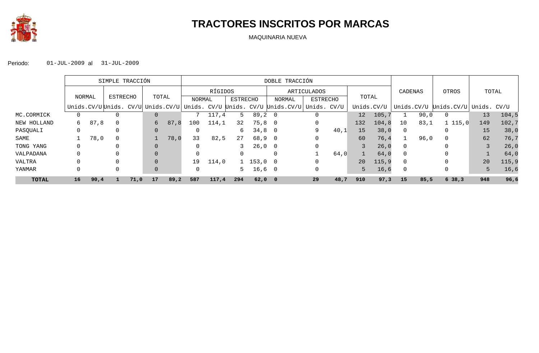

## **TRACTORES INSCRITOS POR MARCAS**

MAQUINARIA NUEVA

|              |          | SIMPLE TRACCIÓN    |   |      |       |      | DOBLE TRACCIÓN                                |         |          |                       |                                    |                 |      |            |       |                |            |                        |     |        |
|--------------|----------|--------------------|---|------|-------|------|-----------------------------------------------|---------|----------|-----------------------|------------------------------------|-----------------|------|------------|-------|----------------|------------|------------------------|-----|--------|
|              |          | ESTRECHO<br>NORMAL |   |      |       |      |                                               | RÍGIDOS |          |                       |                                    | ARTICULADOS     |      |            |       |                | CADENAS    | OTROS                  |     | TOTAL  |
|              |          |                    |   |      | TOTAL |      | NORMAL                                        |         | ESTRECHO |                       | NORMAL                             | <b>ESTRECHO</b> |      | TOTAL      |       |                |            |                        |     |        |
|              |          |                    |   |      |       |      | Unids.CV/U Unids. CV/U Unids.CV/U Unids. CV/U |         |          |                       | Unids. CV/U Unids.CV/U Unids. CV/U |                 |      | Unids.CV/U |       |                | Unids.CV/U | Unids.CV/U Unids. CV/U |     |        |
| MC.CORMICK   |          |                    |   |      |       |      |                                               | 117,4   |          | 89,2                  | - 0                                |                 |      | 12         | 105,7 |                | 90,0       | 0                      | 13  | 104,5  |
| NEW HOLLAND  | 6        | 87,8               |   |      | 6     | 87,8 | 100                                           | 114,1   | 32       | 75,8                  | $\overline{0}$                     |                 |      | 132        | 104,8 | 10             | 83,1       | 1115,0                 | 149 | 102,7  |
| PASQUALI     | $\Omega$ |                    | 0 |      |       |      |                                               |         | 6        | 34,8                  | $\overline{0}$                     | 9               | 40,1 | 15         | 38,0  | $\Omega$       |            |                        | 15  | 38,0   |
| SAME         |          | 78,0               |   |      |       | 78,0 | 33                                            | 82,5    | 27       | 68,9                  | - 0                                |                 |      | 60         | 76,4  |                | 96,0       | 0                      | 62  | 76,7   |
| TONG YANG    |          |                    |   |      |       |      |                                               |         |          | 26,0                  | $\overline{\phantom{0}}$           |                 |      |            | 26,0  | $\Omega$       |            | 0                      |     | 26,0   |
| VALPADANA    |          |                    |   |      |       |      | 0                                             |         |          |                       | $\Omega$                           |                 | 64,0 |            | 64,0  | $\Omega$       |            |                        |     | 64,0   |
| VALTRA       |          |                    |   |      |       |      | 19                                            | 114,0   |          | $1\quad 153,0\quad 0$ |                                    |                 |      | 20         | 115,9 | $\Omega$       |            |                        | 20  | 115, 9 |
| YANMAR       |          |                    |   |      |       |      | $\Omega$                                      |         |          | 16,6                  | $\overline{\phantom{0}}$           |                 |      | 5          | 16,6  | $\overline{0}$ |            | 0                      | 5   | 16,6   |
| <b>TOTAL</b> | 16       | 90,4               |   | 71,0 | 17    | 89,2 | 587                                           | 117,4   | 294      | $62,0$ 0              |                                    | 29              | 48,7 | 910        | 97,3  | 15             | 85,5       | 6, 38, 3               | 948 | 96,6   |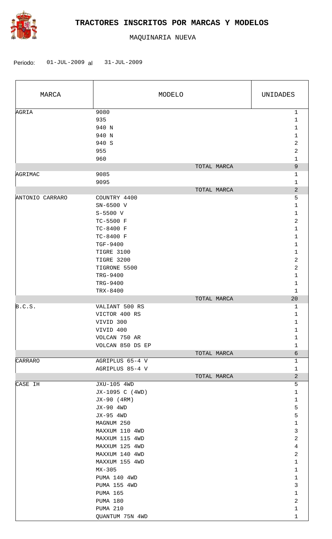

| MARCA                     |                                                                                                                                                                                                                                                                                         | MODELO      | UNIDADES                                                                                                                                                                                                                                                                  |
|---------------------------|-----------------------------------------------------------------------------------------------------------------------------------------------------------------------------------------------------------------------------------------------------------------------------------------|-------------|---------------------------------------------------------------------------------------------------------------------------------------------------------------------------------------------------------------------------------------------------------------------------|
| AGRIA                     | 9080<br>935<br>940 N<br>940 N<br>940 S<br>955<br>960                                                                                                                                                                                                                                    |             | $\mathbf{1}$<br>$\mathbf{1}$<br>$\mathbf{1}$<br>$\mathbf{1}$<br>$\overline{a}$<br>2<br>$\mathbf{1}$                                                                                                                                                                       |
|                           |                                                                                                                                                                                                                                                                                         | TOTAL MARCA | $\overline{9}$                                                                                                                                                                                                                                                            |
| AGRIMAC                   | 9085<br>9095                                                                                                                                                                                                                                                                            | TOTAL MARCA | $\mathbf 1$<br>$\mathbf 1$<br>$\overline{2}$                                                                                                                                                                                                                              |
| ANTONIO CARRARO<br>B.C.S. | COUNTRY 4400<br>SN-6500 V<br>$S-5500$ V<br>TC-5500 F<br>TC-8400 F<br>TC-8400 F<br>TGF-9400<br>TIGRE 3100<br>TIGRE 3200<br>TIGRONE 5500<br>TRG-9400<br>TRG-9400<br>TRX-8400<br>VALIANT 500 RS<br>VICTOR 400 RS<br>VIVID 300<br>VIVID 400<br>VOLCAN 750 AR                                | TOTAL MARCA | 5<br>1<br>$\mathbf{1}$<br>2<br>$\mathbf 1$<br>$\mathbf{1}$<br>$\mathbf{1}$<br>$\mathbf{1}$<br>$\overline{a}$<br>$\overline{a}$<br>$\mathbf{1}$<br>1<br>$\mathbf{1}$<br>20<br>$\mathbf{1}$<br>$\mathbf{1}$<br>1<br>1<br>1<br>$\mathbf{1}$                                  |
|                           | VOLCAN 850 DS EP                                                                                                                                                                                                                                                                        | TOTAL MARCA | $\epsilon$                                                                                                                                                                                                                                                                |
| CARRARO                   | AGRIPLUS 65-4 V<br>AGRIPLUS 85-4 V                                                                                                                                                                                                                                                      |             | $\mathbf{1}$<br>$\mathbf 1$                                                                                                                                                                                                                                               |
| CASE IH                   | JXU-105 4WD<br>JX-1095 C (4WD)<br>JX-90 (4RM)<br>JX-90 4WD<br>JX-95 4WD<br>MAGNUM 250<br>MAXXUM 110 4WD<br>MAXXUM 115 4WD<br>MAXXUM 125 4WD<br>MAXXUM 140 4WD<br>MAXXUM 155 4WD<br>MX-305<br>PUMA 140 4WD<br>PUMA 155 4WD<br><b>PUMA 165</b><br>PUMA 180<br>PUMA 210<br>QUANTUM 75N 4WD | TOTAL MARCA | $\overline{a}$<br>5<br>$\mathbf{1}$<br>$\mathbf 1$<br>5<br>5<br>$\mathbf{1}$<br>$\mathbf{3}$<br>$\overline{2}$<br>$\overline{4}$<br>$\overline{2}$<br>$\mathbf{1}$<br>$\mathbf{1}$<br>$\mathbf{1}$<br>$\mathsf{3}$<br>$\mathbf{1}$<br>$\overline{a}$<br>$\mathbf{1}$<br>1 |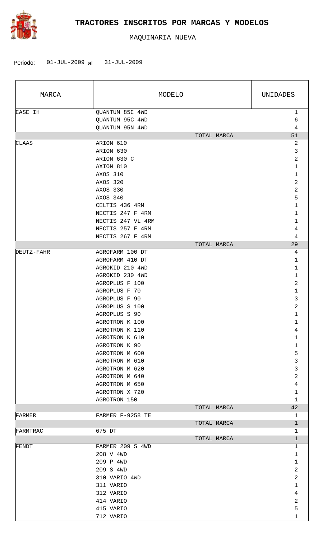

| MARCA      |                                                       | MODELO      | UNIDADES               |
|------------|-------------------------------------------------------|-------------|------------------------|
| CASE IH    | QUANTUM 85C 4WD<br>QUANTUM 95C 4WD<br>QUANTUM 95N 4WD |             | $\mathbf{1}$<br>6<br>4 |
|            |                                                       | TOTAL MARCA | 51                     |
| CLAAS      | ARION 610                                             |             | 2                      |
|            | ARION 630                                             |             | 3                      |
|            | ARION 630 C                                           |             | 2                      |
|            | AXION 810                                             |             | 1                      |
|            | AXOS 310                                              |             | $\mathbf 1$            |
|            | AXOS 320                                              |             | 2                      |
|            | AXOS 330                                              |             | $\sqrt{2}$             |
|            | AXOS 340                                              |             | 5                      |
|            | CELTIS 436 4RM                                        |             | $\mathbf 1$            |
|            | NECTIS 247 F 4RM                                      |             | 1                      |
|            | NECTIS 247 VL 4RM                                     |             | 1                      |
|            | NECTIS 257 F 4RM                                      |             | 4                      |
|            | NECTIS 267 F 4RM                                      |             | 4                      |
|            |                                                       | TOTAL MARCA | 29                     |
| DEUTZ-FAHR | AGROFARM 100 DT                                       |             | 4                      |
|            | AGROFARM 410 DT                                       |             | 1                      |
|            | AGROKID 210 4WD                                       |             | 1                      |
|            | AGROKID 230 4WD                                       |             | 1                      |
|            | AGROPLUS F 100                                        |             | 2                      |
|            | AGROPLUS F 70                                         |             | 1                      |
|            | AGROPLUS F 90                                         |             | 3                      |
|            | AGROPLUS S 100                                        |             | $\sqrt{2}$             |
|            | AGROPLUS S 90                                         |             | $\mathbf{1}$           |
|            | AGROTRON K 100                                        |             | 1                      |
|            | AGROTRON K 110                                        |             | 4                      |
|            | AGROTRON K 610                                        |             | $\mathbf 1$            |
|            | AGROTRON K 90                                         |             | $\mathbf{1}$           |
|            | AGROTRON M 600                                        |             | 5                      |
|            | AGROTRON M 610                                        |             | 3                      |
|            | AGROTRON M 620                                        |             | 3                      |
|            | AGROTRON M 640                                        |             | 2                      |
|            | AGROTRON M 650                                        |             | $\overline{4}$         |
|            | AGROTRON X 720                                        |             | $\mathbf 1$            |
|            | AGROTRON 150                                          |             | $\mathbf 1$            |
|            |                                                       | TOTAL MARCA | 42                     |
| FARMER     | FARMER F-9258 TE                                      |             | 1                      |
|            |                                                       | TOTAL MARCA | $\mathbf{1}$           |
| FARMTRAC   | 675 DT                                                |             | 1                      |
|            |                                                       | TOTAL MARCA | $\mathbf{1}$           |
| FENDT      | FARMER 209 S 4WD                                      |             | 1                      |
|            | 208 V 4WD                                             |             | 1                      |
|            | 209 P 4WD                                             |             | $\mathbf 1$            |
|            | 209 S 4WD                                             |             | $\overline{c}$         |
|            | 310 VARIO 4WD                                         |             | $\overline{a}$         |
|            | 311 VARIO                                             |             | $\mathbf{1}$           |
|            | 312 VARIO                                             |             | 4                      |
|            | 414 VARIO                                             |             | 2                      |
|            | 415 VARIO                                             |             | 5                      |
|            | 712 VARIO                                             |             | $\mathbf{1}$           |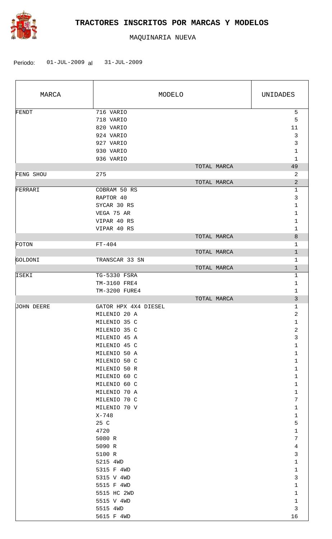

| MARCA             | MODELO                    | UNIDADES          |
|-------------------|---------------------------|-------------------|
| FENDT             | 716 VARIO                 | 5                 |
|                   | 718 VARIO                 | 5                 |
|                   | 820 VARIO                 | 11                |
|                   | 924 VARIO                 | $\mathfrak{Z}$    |
|                   | 927 VARIO                 | 3                 |
|                   | 930 VARIO                 | $\mathbf{1}$      |
|                   | 936 VARIO                 | 1                 |
|                   | TOTAL MARCA               | 49                |
| FENG SHOU         | 275                       | 2                 |
|                   | TOTAL MARCA               | $\overline{a}$    |
| FERRARI           | COBRAM 50 RS              | $\mathbf 1$       |
|                   | RAPTOR 40                 | 3                 |
|                   | SYCAR 30 RS               | 1                 |
|                   | VEGA 75 AR                | 1                 |
|                   | VIPAR 40 RS               | 1                 |
|                   | VIPAR 40 RS               | 1                 |
|                   | TOTAL MARCA               | 8                 |
| FOTON             | $FT-404$                  | 1                 |
|                   | TOTAL MARCA               | $\mathbf{1}$      |
| <b>GOLDONI</b>    | TRANSCAR 33 SN            | $\mathbf{1}$      |
|                   | TOTAL MARCA               | $\mathbf{1}$      |
| ISEKI             | TG-5330 FSRA              | 1                 |
|                   | TM-3160 FRE4              | 1                 |
|                   | TM-3200 FURE4             | 1                 |
|                   | TOTAL MARCA               | 3                 |
| <b>JOHN DEERE</b> | GATOR HPX 4X4 DIESEL      | 1                 |
|                   | MILENIO 20 A              | 2                 |
|                   | MILENIO 35 C              | $\mathbf{1}$      |
|                   | MILENIO 35 C              | 2                 |
|                   | MILENIO 45 A              | 3                 |
|                   | MILENIO 45 C              | 1                 |
|                   | MILENIO 50 A              | $\mathbf{1}$      |
|                   | MILENIO 50 C              | $\mathbf{1}$      |
|                   | MILENIO 50 R              | $\mathbf 1$       |
|                   | MILENIO 60 C              | 1                 |
|                   | MILENIO 60 C              | $\mathbf{1}$      |
|                   | MILENIO 70 A              | 1                 |
|                   | MILENIO 70 C              | 7                 |
|                   | MILENIO 70 V              | $\mathbf 1$       |
|                   | X-748                     | $\mathbf 1$       |
|                   | 25 C                      | 5                 |
|                   | 4720                      | $\mathbf{1}$      |
|                   | 5080 R                    | 7                 |
|                   | 5090 R                    | 4                 |
|                   | 5100 R                    | $\mathfrak{Z}$    |
|                   | 5215 4WD                  | $\mathbf 1$       |
|                   | 5315 F 4WD                | $\mathbf 1$       |
|                   | 5315 V 4WD                | 3<br>$\mathbf{1}$ |
|                   | 5515 F 4WD<br>5515 HC 2WD | $\mathbf{1}$      |
|                   | 5515 V 4WD                | $\mathbf{1}$      |
|                   |                           | $\mathfrak{Z}$    |
|                   | 5515 4WD<br>5615 F 4WD    | 16                |
|                   |                           |                   |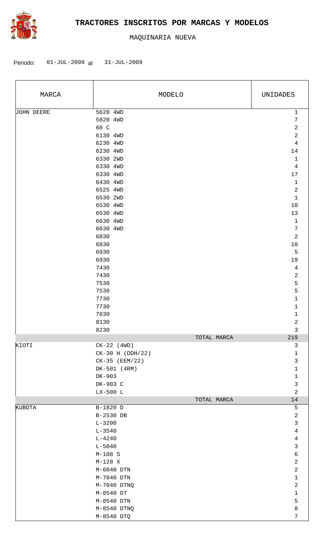

| MARCA      |                    | MODELO      | UNIDADES        |
|------------|--------------------|-------------|-----------------|
| JOHN DEERE | 5620 4WD           |             | $\mathbf 1$     |
|            | 5820 4WD           |             | $\overline{7}$  |
|            | 60 C               |             | $\sqrt{2}$      |
|            | 6130 4WD           |             | $\sqrt{2}$      |
|            | 6230 4WD           |             | $\bf 4$         |
|            | 6230 4WD           |             | 14              |
|            | 6330 2WD           |             | $\mathbf{1}$    |
|            | 6330 4WD           |             | $\overline{4}$  |
|            | 6330 4WD           |             | $17\,$          |
|            | 6430 4WD           |             | $\mathbf 1$     |
|            | 6525 4WD           |             | $\sqrt{2}$      |
|            | 6530 2WD           |             | $\mathbf 1$     |
|            | 6530 4WD           |             | $10$            |
|            | 6530 4WD           |             | 13              |
|            | 6630 4WD           |             | $\mathbf 1$     |
|            | 6630 4WD           |             | $\sqrt{ }$      |
|            | 6830               |             | $\sqrt{2}$      |
|            | 6830               |             | $10$            |
|            | 6930               |             | $\overline{5}$  |
|            | 6930               |             | 19              |
|            | 7430               |             | $\sqrt{4}$      |
|            | 7430               |             | $\sqrt{2}$      |
|            | 7530               |             | $\overline{5}$  |
|            | 7530               |             | 5               |
|            | 7730               |             | $\mathbf 1$     |
|            | 7730               |             | 1               |
|            | 7830               |             | $\mathbf 1$     |
|            | 8130               |             | $\sqrt{2}$<br>3 |
|            | 8230               | TOTAL MARCA | 219             |
| KIOTI      | $CK-22$ (4WD)      |             | $\mathsf{3}$    |
|            | $CK-30$ H (DDH/22) |             | $\mathbf{1}$    |
|            | $CK-35$ (EEM/22)   |             | $\mathbf{3}$    |
|            | DK-501 (4RM)       |             | $\mathbf 1$     |
|            | DK-903             |             | $\mathbf 1$     |
|            | DK-903 C           |             | $\mathfrak{Z}$  |
|            | LX-500 L           |             | $\overline{a}$  |
|            |                    | TOTAL MARCA | 14              |
| KUBOTA     | B-1820 D           |             | $\mathsf S$     |
|            | B-2530 DB          |             | $\overline{a}$  |
|            | $L - 3200$         |             | $\mathfrak{Z}$  |
|            | $L - 3540$         |             | $\overline{4}$  |
|            | $L - 4240$         |             | $\overline{4}$  |
|            | $L - 5040$         |             | $\mathfrak{Z}$  |
|            | $M-108$ S          |             | $\epsilon$      |
|            | $M-128$ X          |             | $\sqrt{2}$      |
|            | $M-6040$ DTN       |             | $\sqrt{2}$      |
|            | $M-7040$ DTN       |             | $\mathbf 1$     |
|            | M-7040 DTNQ        |             | $\overline{c}$  |
|            | M-8540 DT          |             | $\mathbf{1}$    |
|            | M-8540 DTN         |             | 5               |
|            | M-8540 DTNQ        |             | $\,8\,$         |
|            | M-8540 DTQ         |             | $\overline{7}$  |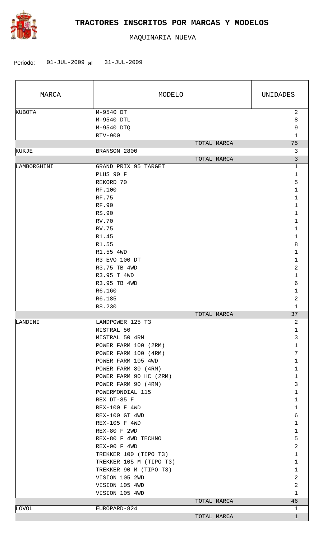

| MARCA       | MODELO                                                                                                                                                                                                                                                                                                                                                                                                                                                                           |             | UNIDADES                                                                                                                                                                                                                                                                           |  |
|-------------|----------------------------------------------------------------------------------------------------------------------------------------------------------------------------------------------------------------------------------------------------------------------------------------------------------------------------------------------------------------------------------------------------------------------------------------------------------------------------------|-------------|------------------------------------------------------------------------------------------------------------------------------------------------------------------------------------------------------------------------------------------------------------------------------------|--|
| KUBOTA      | M-9540 DT<br>M-9540 DTL<br>M-9540 DTQ<br>RTV-900                                                                                                                                                                                                                                                                                                                                                                                                                                 |             | $\overline{a}$<br>8<br>9<br>$\mathbf 1$                                                                                                                                                                                                                                            |  |
| KUKJE       | BRANSON 2800                                                                                                                                                                                                                                                                                                                                                                                                                                                                     | TOTAL MARCA | 75<br>3                                                                                                                                                                                                                                                                            |  |
|             |                                                                                                                                                                                                                                                                                                                                                                                                                                                                                  | TOTAL MARCA | 3                                                                                                                                                                                                                                                                                  |  |
| LAMBORGHINI | GRAND PRIX 95 TARGET<br>PLUS 90 F<br>REKORD 70<br>RF.100<br><b>RF.75</b><br>RF.90<br>RS.90<br><b>RV.70</b><br>RV.75<br>R1.45<br>R1.55<br>R1.55 4WD<br>R3 EVO 100 DT<br>R3.75 TB 4WD<br>R3.95 T 4WD                                                                                                                                                                                                                                                                               |             | $\mathbf 1$<br>1<br>5<br>$\mathbf 1$<br>$\mathbf{1}$<br>1<br>$\mathbf 1$<br>1<br>$\mathbf{1}$<br>1<br>8<br>$\mathbf{1}$<br>1<br>2<br>1                                                                                                                                             |  |
|             | R3.95 TB 4WD                                                                                                                                                                                                                                                                                                                                                                                                                                                                     |             | 6                                                                                                                                                                                                                                                                                  |  |
|             | R6.160<br>R6.185                                                                                                                                                                                                                                                                                                                                                                                                                                                                 |             | $\mathbf{1}$<br>2                                                                                                                                                                                                                                                                  |  |
|             | R8.230                                                                                                                                                                                                                                                                                                                                                                                                                                                                           |             | $\mathbf{1}$                                                                                                                                                                                                                                                                       |  |
|             |                                                                                                                                                                                                                                                                                                                                                                                                                                                                                  | TOTAL MARCA | 37                                                                                                                                                                                                                                                                                 |  |
| LANDINI     | LANDPOWER 125 T3<br>MISTRAL 50<br>MISTRAL 50 4RM<br>POWER FARM 100 (2RM)<br>POWER FARM 100 (4RM)<br>POWER FARM 105 4WD<br>POWER FARM 80 (4RM)<br>POWER FARM 90 HC (2RM)<br>POWER FARM 90 (4RM)<br>POWERMONDIAL 115<br>REX DT-85 F<br>REX-100 F 4WD<br>REX-100 GT 4WD<br>REX-105 F 4WD<br>REX-80 F 2WD<br>REX-80 F 4WD TECHNO<br>REX-90 F 4WD<br>TREKKER 100 (TIPO T3)<br>TREKKER 105 M (TIPO T3)<br>TREKKER 90 M (TIPO T3)<br>VISION 105 2WD<br>VISION 105 4WD<br>VISION 105 4WD |             | 2<br>1<br>3<br>$\mathbf{1}$<br>7<br>$\mathbf 1$<br>$\mathbf{1}$<br>$\mathbf{1}$<br>3<br>1<br>$\mathbf 1$<br>$\mathbf{1}$<br>6<br>$\mathbf 1$<br>$\mathbf{1}$<br>5<br>$\overline{a}$<br>1<br>$\mathbf{1}$<br>$\mathbf{1}$<br>$\overline{a}$<br>$\overline{a}$<br>$\mathbf{1}$<br>46 |  |
| LOVOL       | EUROPARD-824                                                                                                                                                                                                                                                                                                                                                                                                                                                                     | TOTAL MARCA | 1                                                                                                                                                                                                                                                                                  |  |
|             |                                                                                                                                                                                                                                                                                                                                                                                                                                                                                  | TOTAL MARCA | $\mathbf{1}$                                                                                                                                                                                                                                                                       |  |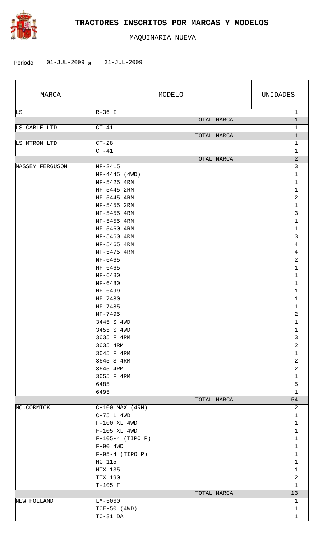

| MARCA           |                                 | MODELO      | UNIDADES                     |
|-----------------|---------------------------------|-------------|------------------------------|
| LS              | $R-36$ I                        |             | $\mathbf 1$                  |
|                 |                                 | TOTAL MARCA | $\mathbf{1}$                 |
| LS CABLE LTD    | $CT-41$                         | TOTAL MARCA | 1<br>$\mathbf 1$             |
| LS MTRON LTD    | $CT-28$                         |             | 1                            |
|                 | $CT-41$                         |             | 1                            |
|                 |                                 | TOTAL MARCA | $\overline{c}$               |
| MASSEY FERGUSON | MF-2415                         |             | 3                            |
|                 | $MF-4445$ (4WD)                 |             | $\mathbf 1$                  |
|                 | MF-5425 4RM                     |             | 1                            |
|                 | MF-5445 2RM                     |             | 1                            |
|                 | MF-5445 4RM                     |             | 2                            |
|                 | MF-5455 2RM                     |             | $\mathbf 1$                  |
|                 | MF-5455 4RM                     |             | 3                            |
|                 | MF-5455 4RM                     |             | $\mathbf 1$                  |
|                 | MF-5460 4RM<br>MF-5460 4RM      |             | $\mathbf 1$<br>3             |
|                 | MF-5465 4RM                     |             | 4                            |
|                 | MF-5475 4RM                     |             | 4                            |
|                 | MF-6465                         |             | 2                            |
|                 | MF-6465                         |             | $\mathbf 1$                  |
|                 | $MF-6480$                       |             | 1                            |
|                 | MF-6480                         |             | 1                            |
|                 | MF-6499                         |             | 1                            |
|                 | $MF - 7480$                     |             | 1                            |
|                 | MF-7485                         |             | 1                            |
|                 | MF-7495                         |             | 2                            |
|                 | 3445 S 4WD                      |             | $\mathbf{1}$                 |
|                 | 3455 S 4WD                      |             | 1                            |
|                 | 3635 F 4RM                      |             | 3                            |
|                 | 3635 4RM                        |             | $\sqrt{2}$<br>$\mathbf{1}$   |
|                 | 3645 F 4RM<br>3645 S 4RM        |             | $\overline{2}$               |
|                 | 3645 4RM                        |             | $\overline{2}$               |
|                 | 3655 F 4RM                      |             | $\mathbf 1$                  |
|                 | 6485                            |             | 5                            |
|                 | 6495                            |             | $\mathbf{1}$                 |
|                 |                                 | TOTAL MARCA | 54                           |
| MC.CORMICK      | $C-100$ MAX $(4RM)$             |             | 2                            |
|                 | $C-75$ L $4WD$                  |             | $\mathbf{1}$                 |
|                 | $F-100$ XL 4WD                  |             | $\mathbf 1$                  |
|                 | F-105 XL 4WD                    |             | $\mathbf{1}$                 |
|                 | $F-105-4$ (TIPO P)              |             | $\mathbf 1$                  |
|                 | $F-90$ 4WD<br>$F-95-4$ (TIPO P) |             | $\mathbf{1}$<br>$\mathbf{1}$ |
|                 | $MC-115$                        |             | $\mathbf{1}$                 |
|                 | $MTX-135$                       |             | $\mathbf{1}$                 |
|                 | TTX-190                         |             | $\overline{c}$               |
|                 | $T-105$ F                       |             | $\mathbf{1}$                 |
|                 |                                 | TOTAL MARCA | 13                           |
| NEW HOLLAND     | $LM-5060$                       |             | 1                            |
|                 | $TCE-50$ (4WD)                  |             | $\mathbf{1}$                 |
|                 | $TC-31$ DA                      |             | $\mathbf 1$                  |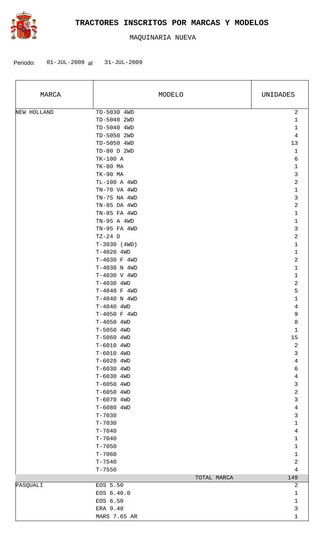

| MARCA       | MODELO         | UNIDADES                |
|-------------|----------------|-------------------------|
| NEW HOLLAND | TD-5030 4WD    | $\sqrt{2}$              |
|             | TD-5040 2WD    | $\mathbf{1}$            |
|             | TD-5040 4WD    | $\mathbf 1$             |
|             | TD-5050 2WD    | $\overline{4}$          |
|             | TD-5050 4WD    | 13                      |
|             | TD-80 D 2WD    | $\mathbf{1}$            |
|             | TK-100 A       | 6                       |
|             | TK-80 MA       | $\mathbf 1$             |
|             | TK-90 MA       | 3                       |
|             | TL-100 A 4WD   | 2                       |
|             | TN-70 VA 4WD   | $1\,$                   |
|             | TN-75 NA 4WD   | $\mathfrak{Z}$          |
|             | TN-85 DA 4WD   | $\overline{\mathbf{c}}$ |
|             | TN-85 FA 4WD   | 1                       |
|             | TN-95 A 4WD    | $1\,$                   |
|             | TN-95 FA 4WD   | 3                       |
|             | $TZ-24$ D      | 2                       |
|             | $T-3030$ (4WD) | 1                       |
|             | T-4020 4WD     | 1                       |
|             | T-4030 F 4WD   | 2                       |
|             | T-4030 N 4WD   | $\mathbf{1}$            |
|             | T-4030 V 4WD   | 1                       |
|             | T-4030 4WD     | $\sqrt{2}$              |
|             | T-4040 F 4WD   | 5                       |
|             | T-4040 N 4WD   | 1                       |
|             | T-4040 4WD     | 4                       |
|             | T-4050 F 4WD   | 9                       |
|             | T-4050 4WD     | 8                       |
|             | T-5050 4WD     | $\mathbf 1$             |
|             | T-5060 4WD     | 15                      |
|             | T-6010 4WD     | $\sqrt{2}$              |
|             | T-6010 4WD     | 3                       |
|             | T-6020 4WD     | $\overline{4}$          |
|             | T-6030 4WD     | 6                       |
|             | T-6030 4WD     | $\overline{4}$          |
|             | T-6050 4WD     | 3                       |
|             | T-6050 4WD     | $\overline{\mathbf{c}}$ |
|             | T-6070 4WD     | 3                       |
|             | T-6080 4WD     | $\overline{4}$          |
|             | $T - 7030$     | 3                       |
|             | $T - 7030$     | $1\,$                   |
|             | $T - 7040$     | $\overline{4}$          |
|             | $T - 7040$     | $1\,$                   |
|             | $T - 7050$     | 1                       |
|             | $T - 7060$     | $\mathbf{1}$            |
|             | $T - 7540$     | 2                       |
|             | $T - 7550$     | 4                       |
|             | TOTAL MARCA    | 149                     |
| PASQUALI    | EOS 5.50       | 2                       |
|             | EOS 6.40.0     | 1                       |
|             | EOS 6.50       | 1                       |
|             | ERA 9.40       | 3                       |
|             | MARS 7.65 AR   | 1                       |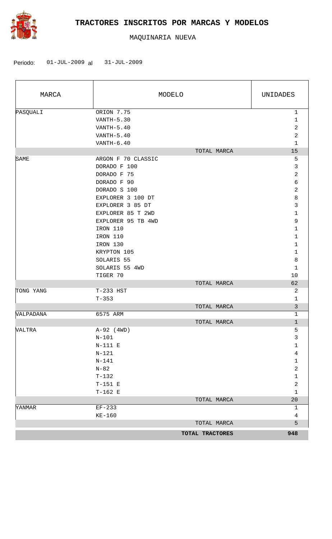

| MARCA         |                                       | MODELO          | UNIDADES                |
|---------------|---------------------------------------|-----------------|-------------------------|
| PASQUALI      | ORION 7.75                            |                 | $\mathbf 1$             |
|               | $VANTH-5.30$                          |                 | $\mathbf{1}$            |
|               | $VANTH-5.40$                          |                 | $\sqrt{2}$              |
|               | $VANTH-5.40$                          |                 | $\overline{a}$          |
|               | $VANTH-6.40$                          |                 | $\mathbf{1}$            |
|               |                                       | TOTAL MARCA     | 15                      |
| SAME          | ARGON F 70 CLASSIC                    |                 | 5                       |
|               | DORADO F 100                          |                 | $\mathbf{3}$            |
|               | DORADO F 75                           |                 | $\overline{2}$          |
|               | DORADO F 90                           |                 | $\sqrt{6}$              |
|               | DORADO S 100                          |                 | $\sqrt{2}$              |
|               | EXPLORER 3 100 DT<br>EXPLORER 3 85 DT |                 | $\,8\,$<br>$\mathsf{3}$ |
|               | EXPLORER 85 T 2WD                     |                 | $\mathbf 1$             |
|               | EXPLORER 95 TB 4WD                    |                 | 9                       |
|               | IRON 110                              |                 | $\mathbf 1$             |
|               | IRON 110                              |                 | $\mathbf{1}$            |
|               | IRON 130                              |                 | $\mathbf{1}$            |
|               | KRYPTON 105                           |                 | $\mathbf{1}$            |
|               | SOLARIS 55                            |                 | 8                       |
|               | SOLARIS 55 4WD                        |                 | $\mathbf{1}$            |
|               | TIGER 70                              |                 | 10                      |
|               |                                       | TOTAL MARCA     | 62                      |
| TONG YANG     | T-233 HST                             |                 | 2                       |
|               | $T - 353$                             |                 | $\mathbf 1$             |
|               |                                       | TOTAL MARCA     | $\overline{3}$          |
| VALPADANA     | 6575 ARM                              |                 | $\mathbf{1}$            |
|               |                                       | TOTAL MARCA     | $\mathbf{1}$            |
| <b>VALTRA</b> | $A-92$ (4WD)                          |                 | 5                       |
|               | $N-101$                               |                 | 3                       |
|               | $N-111$ E                             |                 | $\mathbf 1$             |
|               | $N-121$                               |                 | $\overline{4}$          |
|               | $N - 141$                             |                 | $\mathbf 1$             |
|               | $N-82$                                |                 | $\overline{\mathbf{c}}$ |
|               | $T-132$                               |                 | $\mathbf 1$             |
|               | $T-151$ E                             |                 | $\overline{\mathbf{c}}$ |
|               | $T-162$ E                             |                 | $\mathbf 1$             |
|               |                                       | TOTAL MARCA     | $20\,$                  |
| YANMAR        | $EF-233$                              |                 | 1                       |
|               | $KE-160$                              |                 | $\overline{4}$          |
|               |                                       | TOTAL MARCA     | 5                       |
|               |                                       | TOTAL TRACTORES | 948                     |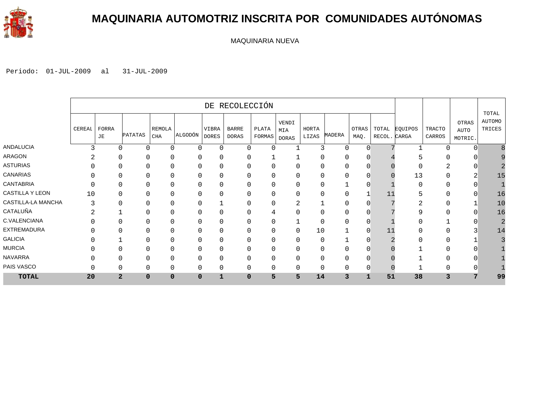

### **MAQUINARIA AUTOMOTRIZ INSCRITA POR COMUNIDADES AUTÓNOMAS**

MAQUINARIA NUEVA

|                    |        |                |                |                            |             |                       | DE RECOLECCIÓN               |                 |                       |                |          |                |                       |         |                  |                          |                           |
|--------------------|--------|----------------|----------------|----------------------------|-------------|-----------------------|------------------------------|-----------------|-----------------------|----------------|----------|----------------|-----------------------|---------|------------------|--------------------------|---------------------------|
|                    | CEREAI | FORRA<br>JE    | <b>PATATAS</b> | <b>REMOLA</b><br>$\rm CHA$ | ALGODÓN     | VIBRA<br><b>DORES</b> | <b>BARRE</b><br><b>DORAS</b> | PLATA<br>FORMAS | VENDI<br>MIA<br>DORAS | HORTA<br>LIZAS | MADERA   | OTRAS<br>MAQ.  | TOTAL<br>RECOL. CARGA | EQUIPOS | TRACTO<br>CARROS | OTRAS<br>AUTO<br>MOTRIC. | TOTAL<br>AUTOMO<br>TRICES |
| ANDALUCIA          | 3      | $\Omega$       | $\mathbf 0$    | 0                          | $\Omega$    | 0                     | $\Omega$                     | $\Omega$        |                       | 3              | $\Omega$ | $\overline{0}$ |                       |         | U                |                          |                           |
| ARAGON             |        | O              | 0              | 0                          |             | 0                     | $\Omega$                     |                 |                       | 0              |          |                |                       |         |                  |                          |                           |
| <b>ASTURIAS</b>    |        | O              |                | 0                          |             | 0                     | 0                            |                 |                       | 0              |          |                |                       |         |                  |                          |                           |
| <b>CANARIAS</b>    |        |                |                | 0                          |             | 0                     | $\Omega$                     | 0               |                       | 0              |          |                |                       | 13      |                  |                          | 15                        |
| <b>CANTABRIA</b>   | U      | $\Omega$       | $\Omega$       | 0                          |             | 0                     | $\Omega$                     | 0               |                       | 0              |          | $\cap$         |                       | 0       | U                |                          |                           |
| CASTILLA Y LEON    | 10     | $\Omega$       | $\mathbf 0$    | 0                          | $\Omega$    | 0                     | 0                            | 0               | $\Omega$              | 0              | $\Omega$ |                | 11                    | 5       | $\mathbf{0}$     | n                        | 16                        |
| CASTILLA-LA MANCHA | 3      | ∩              | 0              | 0                          | $\Omega$    |                       | $\Omega$                     | 0               | ∠                     |                | $\Omega$ |                |                       | ∩<br>∠  | 0                |                          | 10                        |
| CATALUÑA           | ⌒      |                | $\Omega$       | 0                          |             | 0                     | $\Omega$                     | 4               |                       | 0              |          |                |                       | 9       |                  |                          | 16                        |
| C.VALENCIANA       |        |                |                | 0                          |             | 0                     | 0                            | 0               |                       | 0              |          |                |                       |         |                  |                          |                           |
| <b>EXTREMADURA</b> |        |                |                | 0                          |             | 0                     | $\Omega$                     | 0               |                       | 10             |          | 0              |                       | N       |                  |                          | 14                        |
| <b>GALICIA</b>     |        |                | $\Omega$       | $\Omega$                   |             | 0                     | $\Omega$                     | 0               |                       | 0              |          |                |                       |         | U                |                          |                           |
| <b>MURCIA</b>      |        | $\Omega$       | $\Omega$       | 0                          | $\Omega$    | 0                     | $\mathbf 0$                  | 0               |                       | 0              |          |                |                       |         | 0                |                          |                           |
| <b>NAVARRA</b>     |        | O              | $\Omega$       | 0                          | $\Omega$    | 0                     | 0                            | 0               |                       | 0              | $\Omega$ |                |                       |         | U                |                          |                           |
| PAIS VASCO         |        | $\Omega$       | $\Omega$       | 0                          | $\Omega$    | 0                     | $\mathbf 0$                  | 0               | 0                     | 0              |          | 0              |                       |         | 0                |                          |                           |
| <b>TOTAL</b>       | 20     | $\overline{2}$ | $\mathbf 0$    | 0                          | $\mathbf 0$ | $\mathbf{1}$          | $\mathbf 0$                  | 5               | 5                     | 14             | 3        | 1              | 51                    | 38      | 3                | 7                        | 99                        |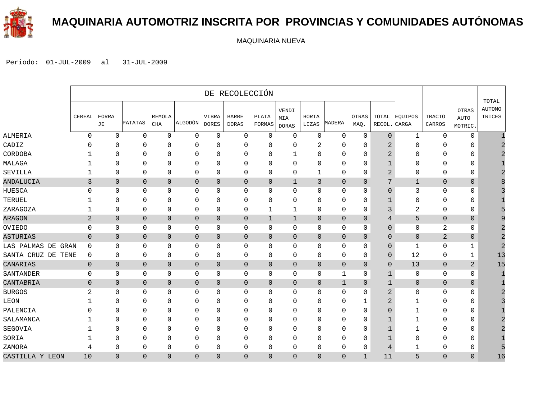

### **MAQUINARIA AUTOMOTRIZ INSCRITA POR PROVINCIAS Y COMUNIDADES AUTÓNOMAS**

MAQUINARIA NUEVA

|                    |                |                           |                |                      |                |                       | DE RECOLECCIÓN               |                 |                              |                |                |                      |                 |                  |                         |                                 |                                  |
|--------------------|----------------|---------------------------|----------------|----------------------|----------------|-----------------------|------------------------------|-----------------|------------------------------|----------------|----------------|----------------------|-----------------|------------------|-------------------------|---------------------------------|----------------------------------|
|                    | CEREAL         | <b>FORRA</b><br>$\rm{JE}$ | PATATAS        | <b>REMOLA</b><br>CHA | ALGODÓN        | VIBRA<br><b>DORES</b> | <b>BARRE</b><br><b>DORAS</b> | PLATA<br>FORMAS | VENDI<br>MIA<br><b>DORAS</b> | HORTA<br>LIZAS | MADERA         | <b>OTRAS</b><br>MAQ. | TOTAL<br>RECOL. | EOUIPOS<br>CARGA | <b>TRACTO</b><br>CARROS | OTRAS<br><b>AUTO</b><br>MOTRIC. | TOTAL<br><b>AUTOMO</b><br>TRICES |
| ALMERIA            | $\Omega$       | $\Omega$                  | $\mathbf 0$    | $\Omega$             | $\Omega$       | $\Omega$              | $\mathbf{0}$                 | $\Omega$        | $\mathbf 0$                  | $\Omega$       | $\mathbf 0$    | $\mathbf 0$          | $\overline{0}$  | $\mathbf{1}$     | $\Omega$                | $\mathbf 0$                     |                                  |
| CADIZ              | 0              | $\Omega$                  | $\Omega$       | $\Omega$             | $\Omega$       | $\Omega$              | $\mathbf 0$                  | $\Omega$        | $\Omega$                     | 2              | $\mathbf 0$    | $\mathbf 0$          | $\overline{2}$  | $\Omega$         | $\Omega$                | $\mathbf 0$                     |                                  |
| CORDOBA            |                | $\Omega$                  | $\mathbf 0$    | $\mathbf{0}$         | 0              | 0                     | $\mathbf 0$                  | 0               | 1                            | 0              | 0              | $\mathbf 0$          | 2               | 0                | 0                       | 0                               |                                  |
| MALAGA             |                | $\Omega$                  | 0              | $\Omega$             | 0              | 0                     | 0                            | 0               | 0                            | 0              | 0              | 0                    | 1               | 0                | $\Omega$                | 0                               |                                  |
| SEVILLA            |                | $\mathbf 0$               | $\mathbf 0$    | 0                    | 0              | 0                     | 0                            | 0               | 0                            | 1              | 0              | 0                    | 2               | 0                | $\Omega$                | 0                               |                                  |
| ANDALUCIA          | 3              | $\mathbf 0$               | $\mathbf 0$    | $\mathbf 0$          | $\mathbf{0}$   | $\mathbf 0$           | $\overline{0}$               | $\overline{0}$  | $\mathbf 1$                  | 3              | $\mathbf 0$    | $\mathbf{0}$         | 7               | $\mathbf 1$      | $\mathbf{0}$            | $\mathbf 0$                     |                                  |
| HUESCA             | 0              | $\Omega$                  | $\mathbf 0$    | $\Omega$             | 0              | 0                     | 0                            | 0               | $\mathbf 0$                  | 0              | 0              | $\mathbf 0$          | $\overline{0}$  | 3                | $\Omega$                | $\mathbf 0$                     |                                  |
| TERUEL             |                | $\Omega$                  | $\mathbf 0$    | $\Omega$             | $\Omega$       | $\Omega$              | $\mathbf 0$                  | 0               | $\Omega$                     | 0              | 0              | 0                    | 1               | 0                | $\Omega$                | $\mathbf 0$                     |                                  |
| ZARAGOZA           |                | $\mathbf 0$               | $\mathbf 0$    | 0                    | $\mathbf 0$    | 0                     | $\mathbf 0$                  | 1               | $\mathbf 1$                  | 0              | $\mathbf 0$    | $\mathbf 0$          | 3               | $\overline{2}$   | 0                       | $\mathbf 0$                     |                                  |
| <b>ARAGON</b>      | $\overline{a}$ | $\mathbf{0}$              | $\mathbf{0}$   | $\mathbf 0$          | $\mathbf 0$    | $\mathbf 0$           | $\overline{0}$               | $\mathbf{1}$    | $\mathbf 1$                  | $\overline{0}$ | $\overline{0}$ | $\mathbf{0}$         | 4               | 5                | $\theta$                | $\overline{0}$                  |                                  |
| OVIEDO             | 0              | $\mathbf 0$               | 0              | 0                    | 0              | 0                     | 0                            | 0               | 0                            | 0              | 0              | 0                    | $\mathbf{0}$    | 0                | 2                       | 0                               |                                  |
| ASTURIAS           | $\overline{0}$ | $\mathbf 0$               | $\mathbf 0$    | $\mathbf 0$          | $\mathbf 0$    | $\mathbf 0$           | $\overline{0}$               | $\overline{0}$  | $\mathbf 0$                  | $\mathbf{0}$   | $\overline{0}$ | $\mathbf{0}$         | 0               | $\mathbf 0$      | $\overline{2}$          | $\overline{0}$                  |                                  |
| LAS PALMAS DE GRAN | $\Omega$       | $\Omega$                  | $\mathbf 0$    | $\Omega$             | $\mathbf 0$    | 0                     | 0                            | $\Omega$        | $\mathbf 0$                  | $\Omega$       | 0              | $\mathbf 0$          | $\overline{0}$  | $\mathbf{1}$     | $\Omega$                | 1                               |                                  |
| SANTA CRUZ DE TENE | $\mathbf{0}$   | $\mathbf 0$               | $\mathbf 0$    | 0                    | 0              | 0                     | 0                            | 0               | $\mathbf 0$                  | 0              | $\mathbf 0$    | 0                    | 0               | 12               | $\mathbf 0$             | 1                               | 13                               |
| CANARIAS           | $\mathbf{0}$   | $\mathbf{0}$              | $\overline{0}$ | $\mathbf{0}$         | $\mathbf 0$    | $\mathbf 0$           | $\mathbf 0$                  | $\overline{0}$  | $\overline{0}$               | $\overline{0}$ | $\mathbf{0}$   | $\Omega$             | $\mathbf{0}$    | 13               | $\overline{0}$          | $\overline{a}$                  | 15                               |
| SANTANDER          | $\mathbf{0}$   | $\mathbf 0$               | $\mathbf 0$    | $\mathbf 0$          | $\mathbf 0$    | $\mathbf 0$           | $\mathsf{O}\xspace$          | 0               | $\mathbf 0$                  | 0              | 1              | $\mathbf 0$          | $\mathbf{1}$    | 0                | $\mathbf 0$             | $\mathbf 0$                     |                                  |
| CANTABRIA          | $\mathbf 0$    | $\mathbf 0$               | $\mathbf 0$    | $\mathbf{0}$         | $\mathbf 0$    | $\mathbf 0$           | $\mathbf 0$                  | $\overline{0}$  | $\overline{0}$               | $\mathbf{0}$   | $\mathbf 1$    | $\mathbf{0}$         | $\mathbf 1$     | $\overline{0}$   | $\mathbf{0}$            | $\mathbf 0$                     |                                  |
| <b>BURGOS</b>      | 2              | $\mathbf{0}$              | 0              | 0                    | 0              | 0                     | $\mathbf 0$                  | 0               | $\mathbf 0$                  | 0              | 0              | $\mathbf 0$          | 2               | 0                | 0                       | 0                               |                                  |
| LEON               |                | $\Omega$                  | 0              | $\Omega$             | 0              | 0                     | 0                            | 0               | O                            | 0              | 0              | 1                    | 2               | 1                | $\Omega$                | 0                               |                                  |
| PALENCIA           |                | $\Omega$                  | 0              | O                    | $\Omega$       | $\mathbf{0}$          | $\Omega$                     | 0               | $\Omega$                     | 0              | 0              | 0                    | 0               | 1                | $\Omega$                | 0                               |                                  |
| SALAMANCA          |                | $\Omega$                  | $\Omega$       | $\Omega$             | $\Omega$       | $\Omega$              | $\mathbf 0$                  | $\Omega$        | $\Omega$                     | $\Omega$       | $\mathbf 0$    | $\Omega$             | $\mathbf 1$     | 1                | $\Omega$                | 0                               |                                  |
| SEGOVIA            |                | $\Omega$                  | $\Omega$       | $\Omega$             | $\Omega$       | $\Omega$              | $\mathbf 0$                  | $\Omega$        | $\Omega$                     | 0              | $\mathbf 0$    | $\Omega$             | $\mathbf{1}$    | $\mathbf{1}$     | $\Omega$                | $\mathbf 0$                     |                                  |
| SORIA              |                | $\mathbf{0}$              | $\mathbf 0$    | $\mathbf{0}$         | $\Omega$       | $\mathbf 0$           | $\mathbf 0$                  | 0               | $\Omega$                     | 0              | $\mathbf 0$    | $\mathbf 0$          | $\mathbf{1}$    | 0                | $\mathbf 0$             | $\mathbf 0$                     |                                  |
| ZAMORA             | 4              | $\mathbf{0}$              | $\mathbf 0$    | $\mathbf{0}$         | 0              | 0                     | 0                            | 0               | $\Omega$                     | 0              | 0              | 0                    | 4               | 1                | 0                       | 0                               |                                  |
| CASTILLA Y LEON    | 10             | $\mathbf{0}$              | $\mathbf{0}$   | $\Omega$             | $\overline{0}$ | $\mathbf{0}$          | $\mathbf{0}$                 | $\Omega$        | $\mathbf{0}$                 | $\overline{0}$ | $\overline{0}$ | 1                    | 11              | 5                | $\Omega$                | $\overline{0}$                  | 16                               |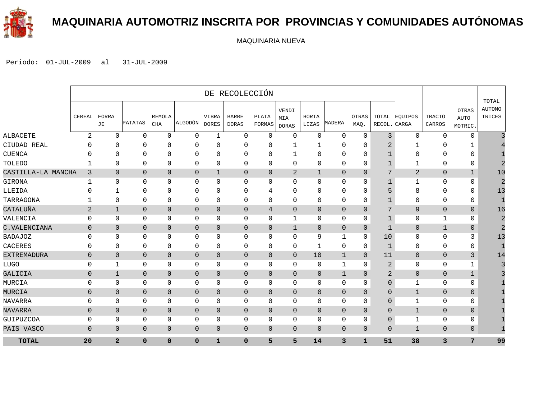

#### **MAQUINARIA AUTOMOTRIZ INSCRITA POR PROVINCIAS Y COMUNIDADES AUTÓNOMAS**

MAQUINARIA NUEVA

|                    |                |                |                     |                |                |                       | DE RECOLECCIÓN               |                 |                              |                |                |                |                 |                  |                         |                                        |                                  |
|--------------------|----------------|----------------|---------------------|----------------|----------------|-----------------------|------------------------------|-----------------|------------------------------|----------------|----------------|----------------|-----------------|------------------|-------------------------|----------------------------------------|----------------------------------|
|                    | CEREAL         | FORRA<br>JE    | PATATAS             | REMOLA<br>CHA  | ALGODÓN        | VIBRA<br><b>DORES</b> | <b>BARRE</b><br><b>DORAS</b> | PLATA<br>FORMAS | VENDI<br>MIA<br><b>DORAS</b> | HORTA<br>LIZAS | MADERA         | OTRAS<br>MAQ.  | TOTAL<br>RECOL. | EOUIPOS<br>CARGA | <b>TRACTO</b><br>CARROS | <b>OTRAS</b><br><b>AUTO</b><br>MOTRIC. | TOTAL<br><b>AUTOMO</b><br>TRICES |
| ALBACETE           | 2              | $\Omega$       | $\Omega$            | $\mathbf{0}$   | $\mathbf 0$    | $\mathbf 1$           | $\mathbf 0$                  | $\mathbf 0$     | $\mathbf 0$                  | $\Omega$       | $\mathbf 0$    | $\mathbf 0$    | 3               | $\Omega$         | $\Omega$                | $\mathbf 0$                            |                                  |
| CIUDAD REAL        |                | 0              | 0                   | 0              | 0              | $\Omega$              | 0                            | 0               |                              |                | 0              | O              |                 |                  | 0                       |                                        |                                  |
| CUENCA             |                | <sup>n</sup>   | $\Omega$            | $\Omega$       | 0              | $\Omega$              | $\mathbf{0}$                 | $\Omega$        | 1                            | O              | 0              | 0              |                 | ∩                | 0                       | $\mathbf 0$                            |                                  |
| TOLEDO             |                | 0              | 0                   | 0              | 0              | 0                     | $\mathbf{0}$                 | 0               | $\mathbf 0$                  | $\mathbf 0$    | 0              | 0              | $\mathbf 1$     |                  | 0                       | $\mathbf 0$                            | 2                                |
| CASTILLA-LA MANCHA | 3              | $\mathbf{0}$   | $\overline{0}$      | $\mathbf{0}$   | $\mathbf{0}$   | $\mathbf{1}$          | 0                            | $\overline{0}$  | 2                            | 1              | $\mathbf 0$    | $\overline{0}$ | 7               | $\overline{2}$   | $\mathbf{0}$            | $\mathbf 1$                            | 10                               |
| GIRONA             | 1              | $\Omega$       | $\Omega$            | $\Omega$       | $\mathbf 0$    | $\Omega$              | $\Omega$                     | $\Omega$        | $\Omega$                     | $\Omega$       | $\mathbf{0}$   | $\mathbf 0$    | $\mathbf{1}$    | $\mathbf 1$      | $\Omega$                | $\mathbf 0$                            | $\overline{2}$                   |
| LLEIDA             |                |                | 0                   | $\mathbf{0}$   | 0              | $\Omega$              | 0                            | 4               | $\mathbf 0$                  | O              | $\mathbf{0}$   | $\mathbf 0$    | 5               | 8                | 0                       | 0                                      | 13                               |
| TARRAGONA          |                | $\mathbf{0}$   | 0                   | $\mathbf{0}$   | 0              | 0                     | $\mathbf{0}$                 | $\mathbf{0}$    | $\mathbf 0$                  | 0              | 0              | 0              |                 | $\Omega$         | 0                       | $\mathbf 0$                            | $\mathbf{1}$                     |
| CATALUÑA           | 2              | $\mathbf{1}$   | $\overline{0}$      | $\overline{0}$ | $\overline{0}$ | $\Omega$              | $\overline{0}$               | 4               | $\overline{0}$               | $\mathbf{0}$   | $\overline{0}$ | $\Omega$       | 7               | 9                | $\Omega$                | $\Omega$                               | 16                               |
| VALENCIA           | $\Omega$       | $\Omega$       | $\mathbf 0$         | $\mathbf{0}$   | $\mathbf 0$    | $\Omega$              | 0                            | $\mathbf{0}$    | 1                            | $\Omega$       | 0              | 0              | $\mathbf{1}$    | $\mathbf 0$      | 1                       | $\mathbf 0$                            | $\overline{a}$                   |
| C.VALENCIANA       | $\mathbf{0}$   | $\mathbf{0}$   | $\mathbf{0}$        | $\mathbf{0}$   | $\mathbf{0}$   | $\mathbf{0}$          | 0                            | $\overline{0}$  | $\mathbf{1}$                 | $\mathbf{0}$   | $\mathbf 0$    | $\mathbf{0}$   | $\mathbf 1$     | $\mathbf{0}$     | $\mathbf{1}$            | $\mathbf 0$                            | $\overline{2}$                   |
| BADAJOZ            | $\Omega$       | $\Omega$       | $\Omega$            | $\Omega$       | $\mathbf 0$    | $\Omega$              | $\mathbf 0$                  | $\Omega$        | $\Omega$                     | 9              | $\mathbf{1}$   | $\mathbf 0$    | 10              | $\Omega$         | $\Omega$                | 3                                      | 13                               |
| CACERES            | $\Omega$       | $\Omega$       | $\mathbf 0$         | $\Omega$       | $\mathbf 0$    | 0                     | 0                            | $\Omega$        | $\mathbf 0$                  | 1              | 0              | 0              | $\mathbf 1$     | $\Omega$         | 0                       | $\mathbf 0$                            | 1                                |
| EXTREMADURA        | $\overline{0}$ | $\overline{0}$ | $\mathsf{O}\xspace$ | $\overline{0}$ | $\mathbf 0$    | $\mathbf{0}$          | $\mathbf 0$                  | $\overline{0}$  | $\overline{0}$               | 10             | $\mathbf{1}$   | $\overline{0}$ | 11              | $\overline{0}$   | 0                       | $\mathbf{3}$                           | 14                               |
| LUGO               | $\mathbf 0$    | 1              | $\mathbf 0$         | 0              | $\mathbf 0$    | 0                     | 0                            | $\mathbf{0}$    | $\mathbf 0$                  | $\mathbf 0$    | 1              | $\mathbf{0}$   | 2               | $\mathbf 0$      | $\mathbf 0$             | 1                                      |                                  |
| GALICIA            | $\mathbf 0$    | $\mathbf{1}$   | $\overline{0}$      | $\overline{0}$ | $\mathbf{0}$   | $\mathbf{0}$          | $\mathbf{0}$                 | $\overline{0}$  | $\overline{0}$               | $\overline{0}$ | $\mathbf{1}$   | $\mathbf{0}$   | $\overline{2}$  | $\mathbf{0}$     | $\overline{0}$          | $\mathbf{1}$                           |                                  |
| MURCIA             | $\mathbf 0$    | $\mathbf{0}$   | 0                   | $\mathbf 0$    | $\mathbf 0$    | $\Omega$              | $\mathbf{0}$                 | $\Omega$        | $\mathbf 0$                  | 0              | 0              | 0              | $\mathbf{0}$    | $\mathbf{1}$     | $\mathbf{0}$            | $\mathbf 0$                            |                                  |
| MURCIA             | $\overline{0}$ | $\mathbf{0}$   | $\overline{0}$      | $\overline{0}$ | $\mathbf{0}$   | $\mathbf{0}$          | $\mathbf{0}$                 | $\mathbf{0}$    | $\overline{0}$               | $\overline{0}$ | $\overline{0}$ | $\mathbf{0}$   | $\Omega$        | $\mathbf 1$      | $\overline{0}$          | $\mathbf{0}$                           |                                  |
| NAVARRA            | $\mathbf 0$    | 0              | $\mathbf 0$         | 0              | $\mathbf 0$    | 0                     | $\mathbf{0}$                 | $\mathbf 0$     | $\mathbf 0$                  | $\mathbf 0$    | $\mathbf{0}$   | 0              | $\mathbf{0}$    | 1                | $\mathbf 0$             | $\mathbf 0$                            |                                  |
| NAVARRA            | $\overline{0}$ | $\Omega$       | $\overline{0}$      | $\mathbf{0}$   | $\overline{0}$ | $\Omega$              | $\overline{0}$               | $\Omega$        | $\overline{0}$               | $\Omega$       | $\overline{0}$ | $\mathbf{0}$   | $\Omega$        | $\mathbf{1}$     | $\Omega$                | $\mathbf{0}$                           |                                  |
| GUIPUZCOA          | $\mathbf 0$    | 0              | $\mathbf 0$         | $\mathbf 0$    | $\mathbf 0$    | 0                     | 0                            | $\mathbf{0}$    | $\Omega$                     | $\Omega$       | 0              | $\mathbf 0$    | 0               | 1                | $\mathbf{0}$            | 0                                      |                                  |
| PAIS VASCO         | $\mathbf{0}$   | $\overline{0}$ | $\overline{0}$      | $\overline{0}$ | $\mathbf{0}$   | $\mathbf 0$           | $\overline{0}$               | $\overline{0}$  | $\overline{0}$               | $\overline{0}$ | $\overline{0}$ | $\overline{0}$ | $\overline{0}$  | $\mathbf{1}$     | $\overline{0}$          | $\overline{0}$                         |                                  |
| <b>TOTAL</b>       | 20             | $\overline{a}$ | $\mathbf{0}$        | $\Omega$       | $\Omega$       | 1                     | 0                            | 5               | 5                            | 14             | 3              | $\mathbf{1}$   | 51              | 38               | 3                       | $7\phantom{.0}$                        | 99                               |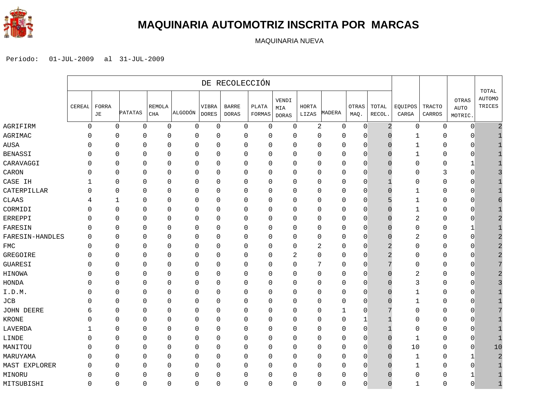

#### **MAQUINARIA AUTOMOTRIZ INSCRITA POR MARCAS**

MAQUINARIA NUEVA

|                 | DE RECOLECCIÓN |              |         |                     |             |                       |                              |                 |                              |                |                   |               |                 |                  |                  |                                        |                                         |
|-----------------|----------------|--------------|---------|---------------------|-------------|-----------------------|------------------------------|-----------------|------------------------------|----------------|-------------------|---------------|-----------------|------------------|------------------|----------------------------------------|-----------------------------------------|
|                 | CEREAL         | FORRA<br>JE  | PATATAS | REMOLA<br>$\rm CHA$ | ALGODÓN     | VIBRA<br><b>DORES</b> | <b>BARRE</b><br><b>DORAS</b> | PLATA<br>FORMAS | VENDI<br>MIA<br><b>DORAS</b> | HORTA<br>LIZAS | MADERA            | OTRAS<br>MAQ. | TOTAL<br>RECOL. | EQUIPOS<br>CARGA | TRACTO<br>CARROS | <b>OTRAS</b><br><b>AUTO</b><br>MOTRIC. | <b>TOTAL</b><br><b>AUTOMO</b><br>TRICES |
| AGRIFIRM        | $\mathbf 0$    |              | 0       | 0<br>0              | $\mathbf 0$ | 0                     | $\mathbf 0$                  | 0               | $\mathbf 0$                  |                | $\sqrt{2}$<br>0   | $\mathbf 0$   | $\overline{2}$  | $\mathsf 0$      | 0                | $\mathbf 0$                            | $\overline{2}$                          |
| AGRIMAC         | $\Omega$       | 0            |         | $\Omega$<br>0       | $\mathbf 0$ | 0                     | $\mathbf{0}$                 | 0               | $\mathbf 0$                  |                | $\Omega$<br>0     | $\Omega$      | O               | -1               | 0                | $\Omega$                               |                                         |
| AUSA            | $\Omega$       | 0            |         | 0<br>0              | $\mathbf 0$ | 0                     | 0                            | 0               | 0                            |                | 0<br>0            | 0             | O               | 1                | 0                | $\Omega$                               |                                         |
| <b>BENASSI</b>  | $\Omega$       | 0            |         | $\mathbf{0}$<br>0   | 0           | 0                     | 0                            | 0               | 0                            |                | $\mathbf{0}$<br>0 | 0             | 0               | 1                | 0                | 0                                      |                                         |
| CARAVAGGI       | $\Omega$       | 0            |         | 0<br>0              | $\mathbf 0$ | 0                     | $\mathbf 0$                  | 0               | $\mathbf{0}$                 |                | 0<br>0            | $\Omega$      | n               | $\Omega$         | 0                | 1                                      |                                         |
| CARON           | $\Omega$       | $\Omega$     |         | 0<br>0              | 0           | 0                     | $\mathbf 0$                  | 0               | $\mathbf 0$                  |                | $\mathbf 0$<br>0  | 0             |                 | 0                | 3                | $\Omega$                               |                                         |
| CASE IH         |                | 0            |         | 0<br>0              | 0           | 0                     | 0                            | 0               | 0                            |                | $\mathbf 0$<br>0  | 0             |                 | 0                | 0                | $\mathbf 0$                            |                                         |
| CATERPILLAR     | $\Omega$       | $\Omega$     |         | $\Omega$<br>0       | $\Omega$    | 0                     | $\mathbf 0$                  | 0               | $\mathbf 0$                  |                | $\Omega$<br>0     | O             | $\Omega$        | 1                | 0                | $\Omega$                               |                                         |
| <b>CLAAS</b>    | 4              | $\mathbf{1}$ |         | 0<br>0              | $\mathbf 0$ | 0                     | 0                            | 0               | $\mathbf 0$                  |                | $\Omega$<br>0     | $\Omega$      | 5               | 1                | 0                | 0                                      |                                         |
| CORMIDI         | $\mathbf{0}$   | 0            |         | 0<br>0              | $\mathbf 0$ | 0                     | 0                            | 0               | 0                            |                | 0<br>0            | $\Omega$      | O               | 1                | 0                | 0                                      |                                         |
| ERREPPI         | $\mathbf 0$    | 0            |         | 0<br>0              | $\mathbf 0$ | 0                     | $\mathbf 0$                  | 0               | $\mathbf 0$                  |                | 0<br>0            | $\mathbf 0$   |                 | 2                | 0                | $\mathbf 0$                            |                                         |
| FARESIN         | $\Omega$       | $\Omega$     |         | 0<br>0              | $\mathbf 0$ | 0                     | $\mathbf{0}$                 | 0               | $\mathbf 0$                  |                | 0<br>0            | $\Omega$      | O               | $\Omega$         | 0                | 1                                      |                                         |
| FARESIN-HANDLES | $\Omega$       | $\Omega$     |         | 0<br>0              | $\mathbf 0$ | 0                     | $\mathbf{0}$                 | 0               | 0                            |                | $\mathbf{0}$<br>0 | 0             |                 | 2                | 0                | $\mathbf{0}$                           | $\overline{2}$                          |
| <b>FMC</b>      | $\Omega$       | 0            |         | 0<br>0              | $\mathbf 0$ | 0                     | $\mathbf 0$                  | 0               | 0                            |                | 2<br>0            | 0             |                 | 0                | 0                | 0                                      | $\overline{2}$                          |
| GREGOIRE        | $\Omega$       | $\Omega$     |         | $\Omega$<br>0       | 0           | 0                     | $\mathbf{0}$                 | 0               | $\overline{a}$               |                | $\Omega$<br>0     | $\Omega$      | 2               | $\Omega$         | 0                | $\Omega$                               | $\overline{\mathcal{L}}$                |
| GUARESI         | $\Omega$       | 0            |         | $\mathbf 0$<br>0    | 0           | 0                     | $\mathbf 0$                  | 0               | $\mathbf{0}$                 | 7              | 0                 | $\Omega$      |                 | 0                | 0                | $\Omega$                               |                                         |
| HINOWA          | O              | $\Omega$     |         | 0<br>0              | $\mathbf 0$ | 0                     | $\mathbf 0$                  | 0               | $\mathbf 0$                  |                | 0<br>0            | $\Omega$      | O               | $\overline{2}$   | 0                | $\Omega$                               | $\overline{2}$                          |
| <b>HONDA</b>    | $\Omega$       | 0            |         | 0<br>0              | 0           | 0                     | 0                            | 0               | 0                            |                | 0<br>0            | $\Omega$      |                 | 3                | 0                | $\Omega$                               |                                         |
| I.D.M.          | $\Omega$       | 0            |         | $\Omega$<br>0       | $\mathbf 0$ | 0                     | $\mathbf 0$                  | 0               | 0                            |                | $\Omega$<br>0     | $\mathbf 0$   | O               | 1                | 0                | 0                                      |                                         |
| JCB             | $\Omega$       | 0            |         | 0<br>0              | $\mathbf 0$ | 0                     | $\mathbf{0}$                 | 0               | 0                            |                | 0<br>0            | $\Omega$      |                 | 1                | 0                | 0                                      |                                         |
| JOHN DEERE      | 6              | 0            |         | 0<br>0              | 0           | 0                     | 0                            | 0               | $\mathbf 0$                  |                | $\mathbf{0}$<br>1 | 0             |                 | $\Omega$         | 0                | $\mathbf 0$                            |                                         |
| KRONE           | $\Omega$       | $\Omega$     |         | 0<br>0              | $\mathbf 0$ | 0                     | $\mathbf{0}$                 | 0               | $\mathbf 0$                  |                | 0<br>$\Omega$     |               |                 | O                | 0                | $\Omega$                               |                                         |
| LAVERDA         |                | $\Omega$     |         | 0<br>0              | $\mathbf 0$ | 0                     | 0                            | 0               | 0                            |                | 0<br>0            | 0             |                 | 0                | 0                | 0                                      |                                         |
| LINDE           | $\Omega$       | 0            |         | $\mathbf 0$<br>0    | $\mathbf 0$ | 0                     | $\mathbf 0$                  | 0               | $\mathbf 0$                  |                | 0<br>0            | $\mathbf 0$   | $\overline{0}$  | 1                | 0                | 0                                      |                                         |
| MANITOU         | $\Omega$       | $\Omega$     |         | $\Omega$<br>0       | $\mathbf 0$ | 0                     | $\Omega$                     | 0               | $\mathbf{0}$                 |                | $\Omega$<br>0     | $\Omega$      | $\Omega$        | 10               | 0                | $\Omega$                               | 10                                      |
| MARUYAMA        | $\Omega$       | $\Omega$     |         | $\Omega$<br>0       | $\mathbf 0$ | 0                     | $\mathbf 0$                  | 0               | $\mathbf 0$                  |                | $\Omega$<br>0     | $\Omega$      | $\Omega$        | 1                | 0                | 1                                      | $\overline{2}$                          |
| MAST EXPLORER   | $\Omega$       | 0            |         | 0<br>0              | 0           | 0                     | 0                            | 0               | 0                            |                | 0<br>0            | $\Omega$      | 0               | 1                | 0                | $\Omega$                               | -1                                      |
| MINORU          | $\Omega$       | 0            |         | $\mathbf 0$<br>0    | 0           | 0                     | $\mathbf 0$                  | 0               | 0                            |                | $\mathbf 0$<br>0  | 0             | 0               | $\Omega$         | 0                | 1                                      |                                         |
| MITSUBISHI      | $\Omega$       | 0            |         | 0<br>0              | $\mathbf 0$ | 0                     | $\mathbf 0$                  | 0               | $\mathbf{0}$                 |                | $\Omega$<br>0     | $\Omega$      | $\Omega$        | 1                | 0                | $\Omega$                               | $\mathbf{1}$                            |